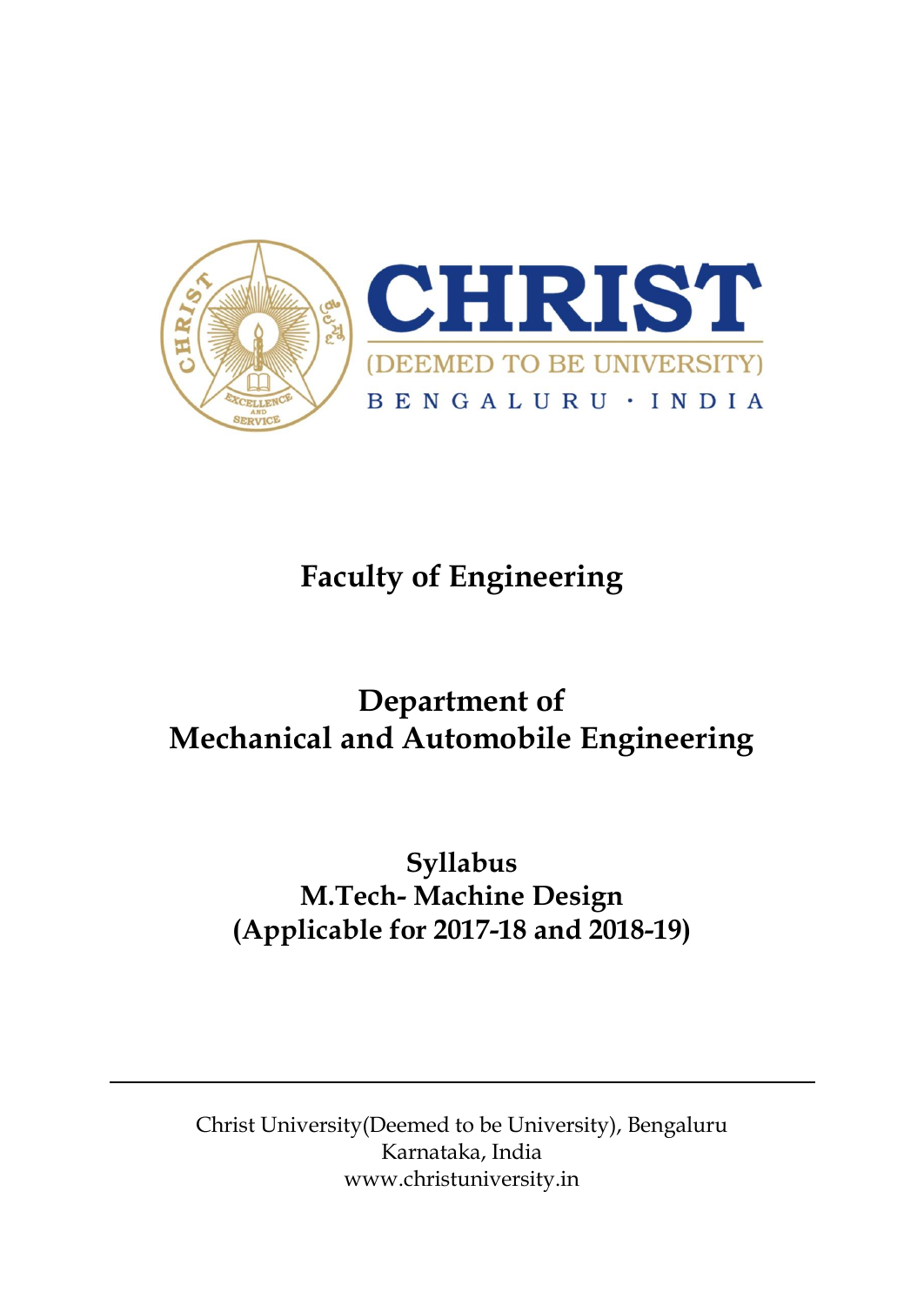

# **Faculty of Engineering**

# **Department of Mechanical and Automobile Engineering**

# **Syllabus M.Tech- Machine Design (Applicable for 2017-18 and 2018-19)**

Christ University(Deemed to be University), Bengaluru Karnataka, India www.christuniversity.in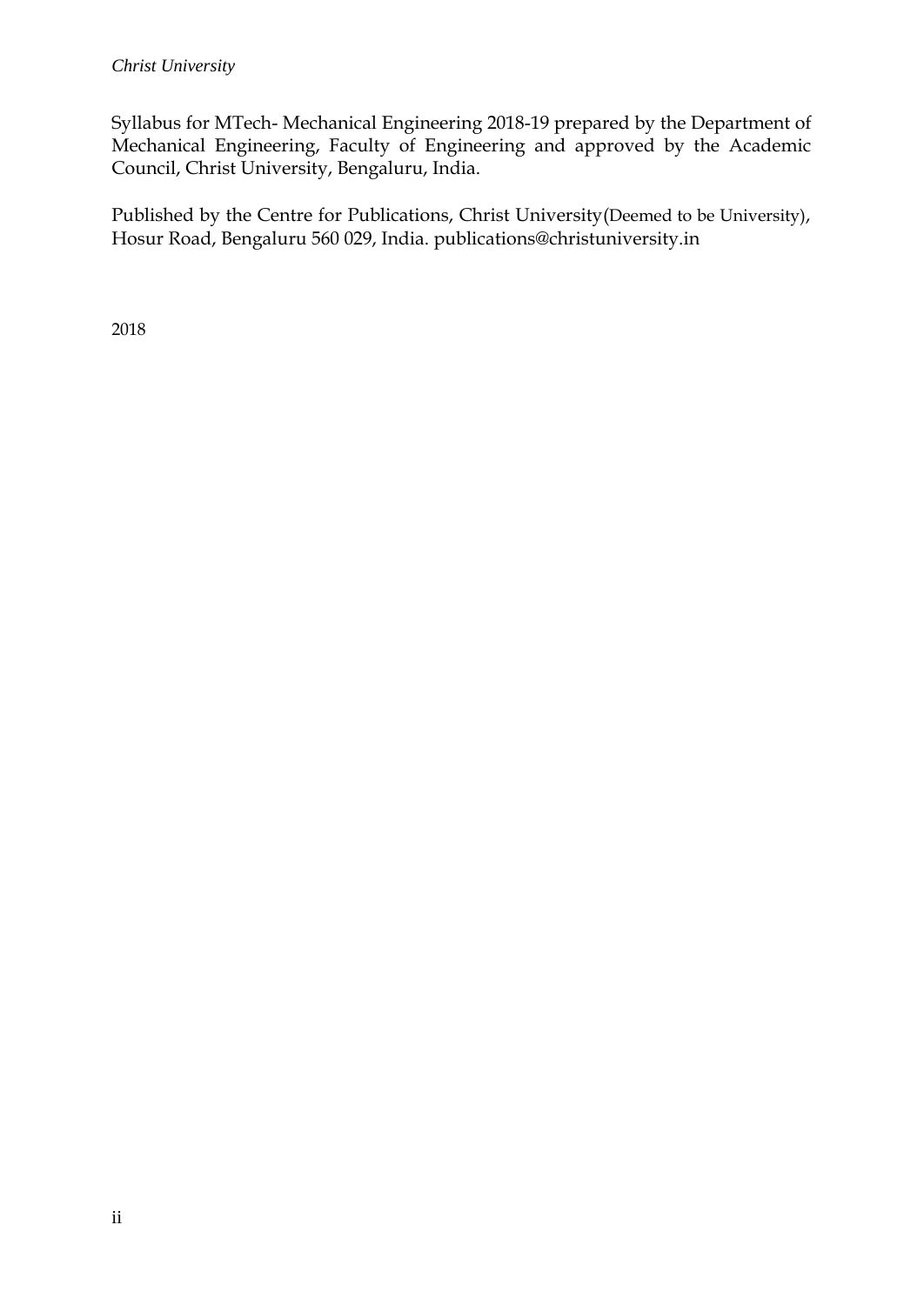Syllabus for MTech- Mechanical Engineering 2018-19 prepared by the Department of Mechanical Engineering, Faculty of Engineering and approved by the Academic Council, Christ University, Bengaluru, India.

Published by the Centre for Publications, Christ University(Deemed to be University), Hosur Road, Bengaluru 560 029, India. publications@christuniversity.in

2018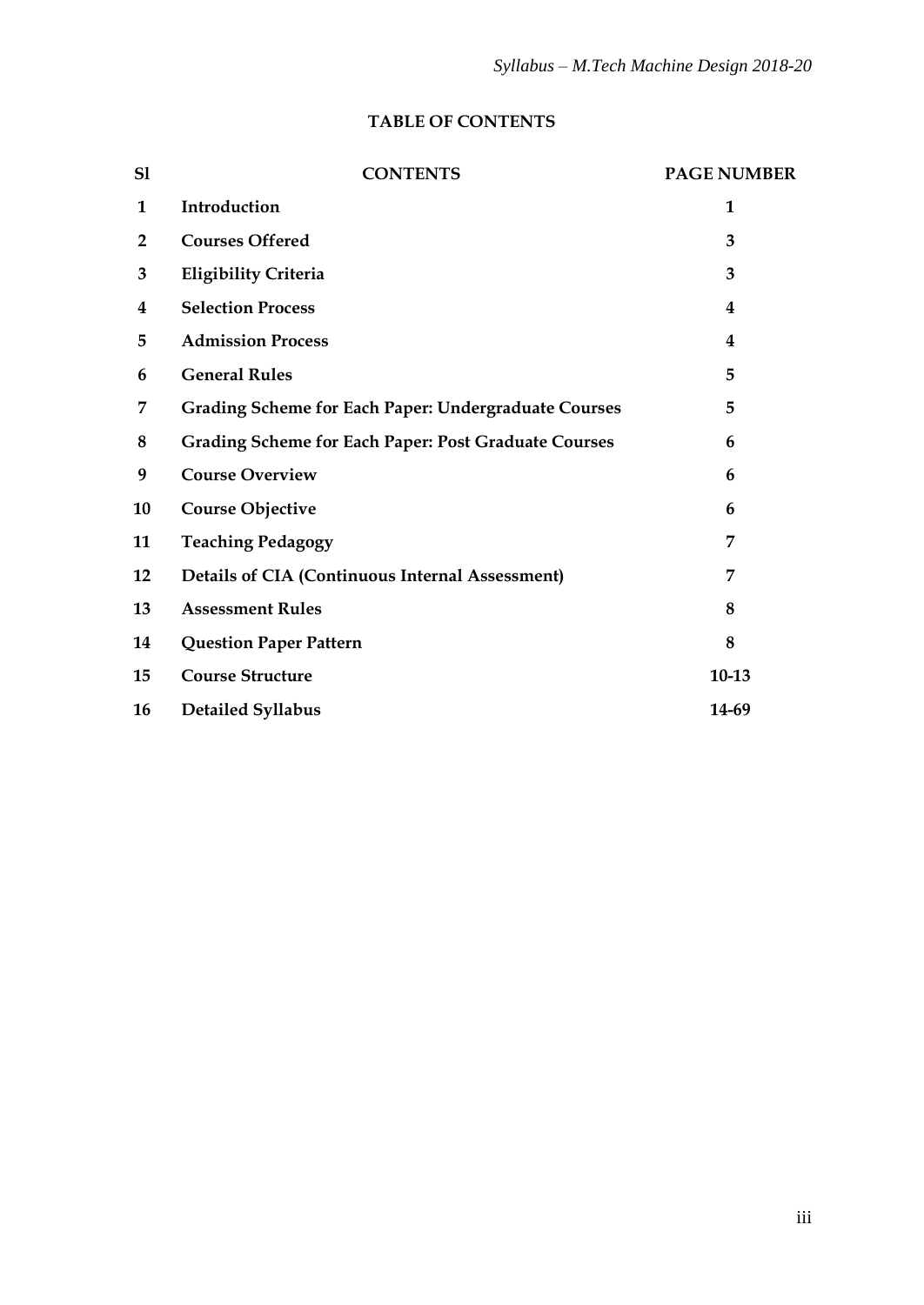# **TABLE OF CONTENTS**

| S1               | <b>CONTENTS</b>                                             | <b>PAGE NUMBER</b> |
|------------------|-------------------------------------------------------------|--------------------|
| 1                | Introduction                                                | $\mathbf{1}$       |
| $\overline{2}$   | <b>Courses Offered</b>                                      | 3                  |
| 3                | <b>Eligibility Criteria</b>                                 | $\overline{3}$     |
| $\boldsymbol{4}$ | <b>Selection Process</b>                                    | 4                  |
| 5                | <b>Admission Process</b>                                    | $\boldsymbol{4}$   |
| 6                | <b>General Rules</b>                                        | 5                  |
| 7                | <b>Grading Scheme for Each Paper: Undergraduate Courses</b> | 5                  |
| 8                | <b>Grading Scheme for Each Paper: Post Graduate Courses</b> | 6                  |
| 9                | <b>Course Overview</b>                                      | 6                  |
| 10               | <b>Course Objective</b>                                     | 6                  |
| 11               | <b>Teaching Pedagogy</b>                                    | 7                  |
| 12               | <b>Details of CIA (Continuous Internal Assessment)</b>      | 7                  |
| 13               | <b>Assessment Rules</b>                                     | 8                  |
| 14               | <b>Question Paper Pattern</b>                               | 8                  |
| 15               | <b>Course Structure</b>                                     | $10-13$            |
| 16               | <b>Detailed Syllabus</b>                                    | 14-69              |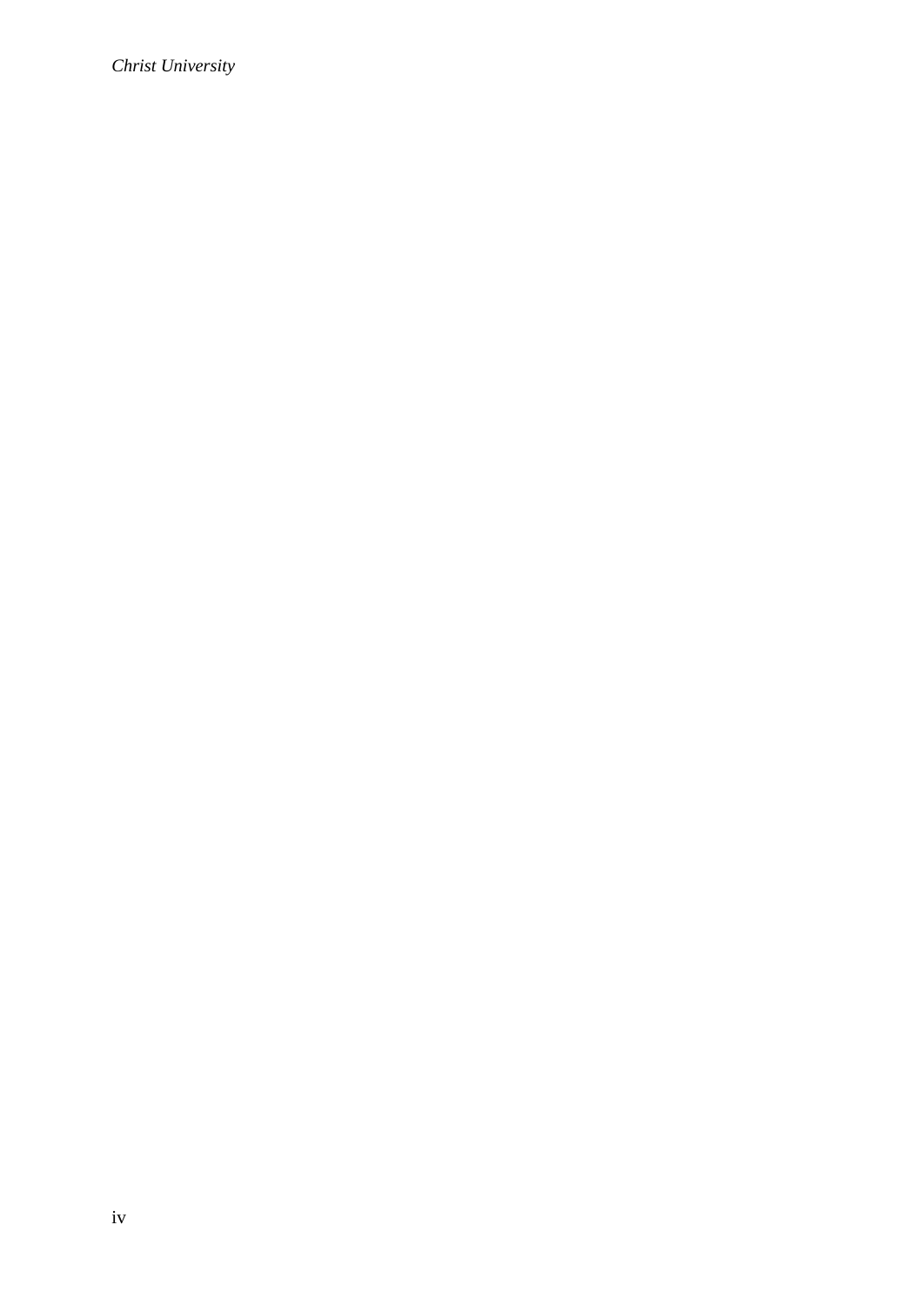*Christ University*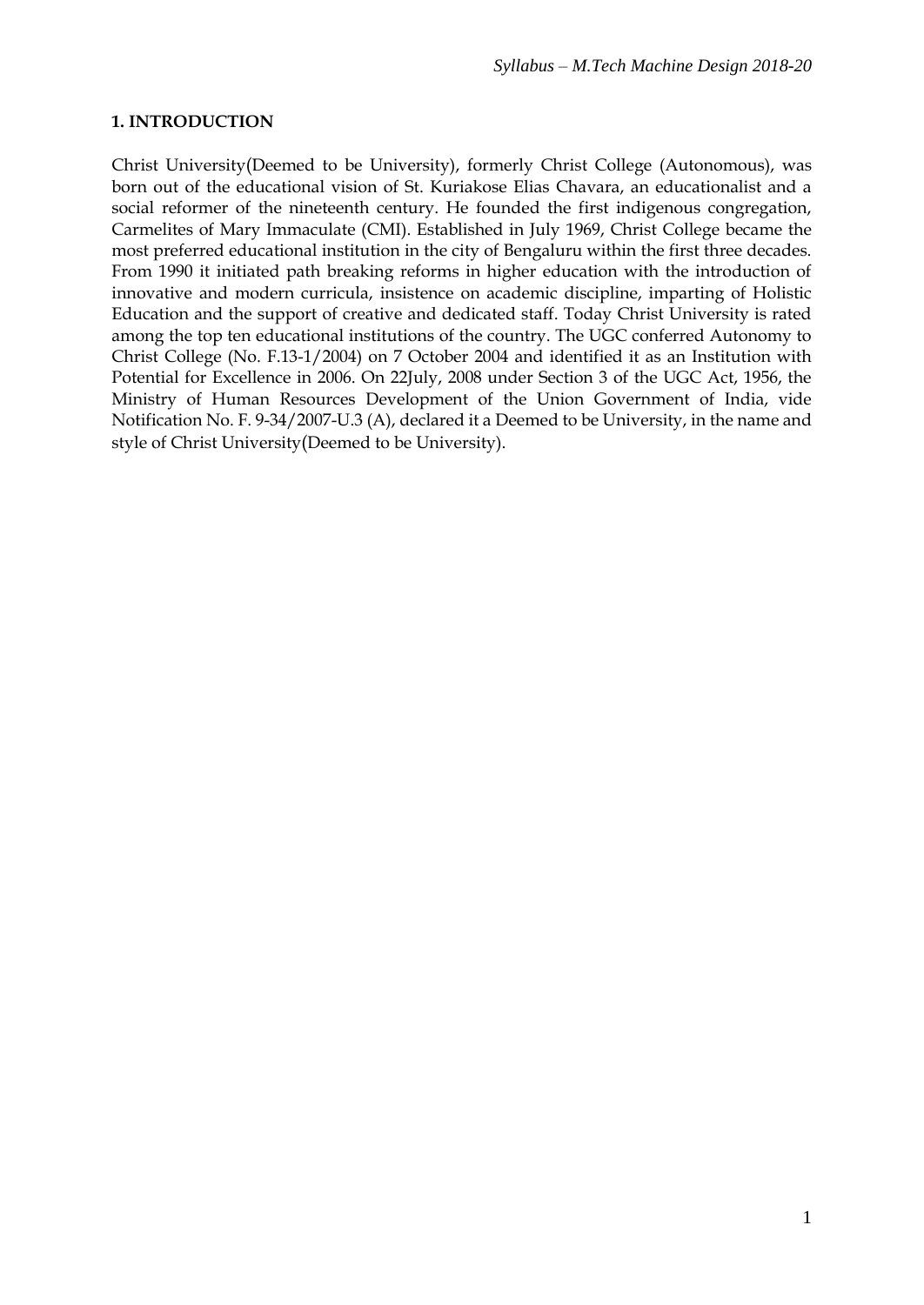#### **1. INTRODUCTION**

Christ University(Deemed to be University), formerly Christ College (Autonomous), was born out of the educational vision of St. Kuriakose Elias Chavara, an educationalist and a social reformer of the nineteenth century. He founded the first indigenous congregation, Carmelites of Mary Immaculate (CMI). Established in July 1969, Christ College became the most preferred educational institution in the city of Bengaluru within the first three decades. From 1990 it initiated path breaking reforms in higher education with the introduction of innovative and modern curricula, insistence on academic discipline, imparting of Holistic Education and the support of creative and dedicated staff. Today Christ University is rated among the top ten educational institutions of the country. The UGC conferred Autonomy to Christ College (No. F.13-1/2004) on 7 October 2004 and identified it as an Institution with Potential for Excellence in 2006. On 22July, 2008 under Section 3 of the UGC Act, 1956, the Ministry of Human Resources Development of the Union Government of India, vide Notification No. F. 9-34/2007-U.3 (A), declared it a Deemed to be University, in the name and style of Christ University(Deemed to be University).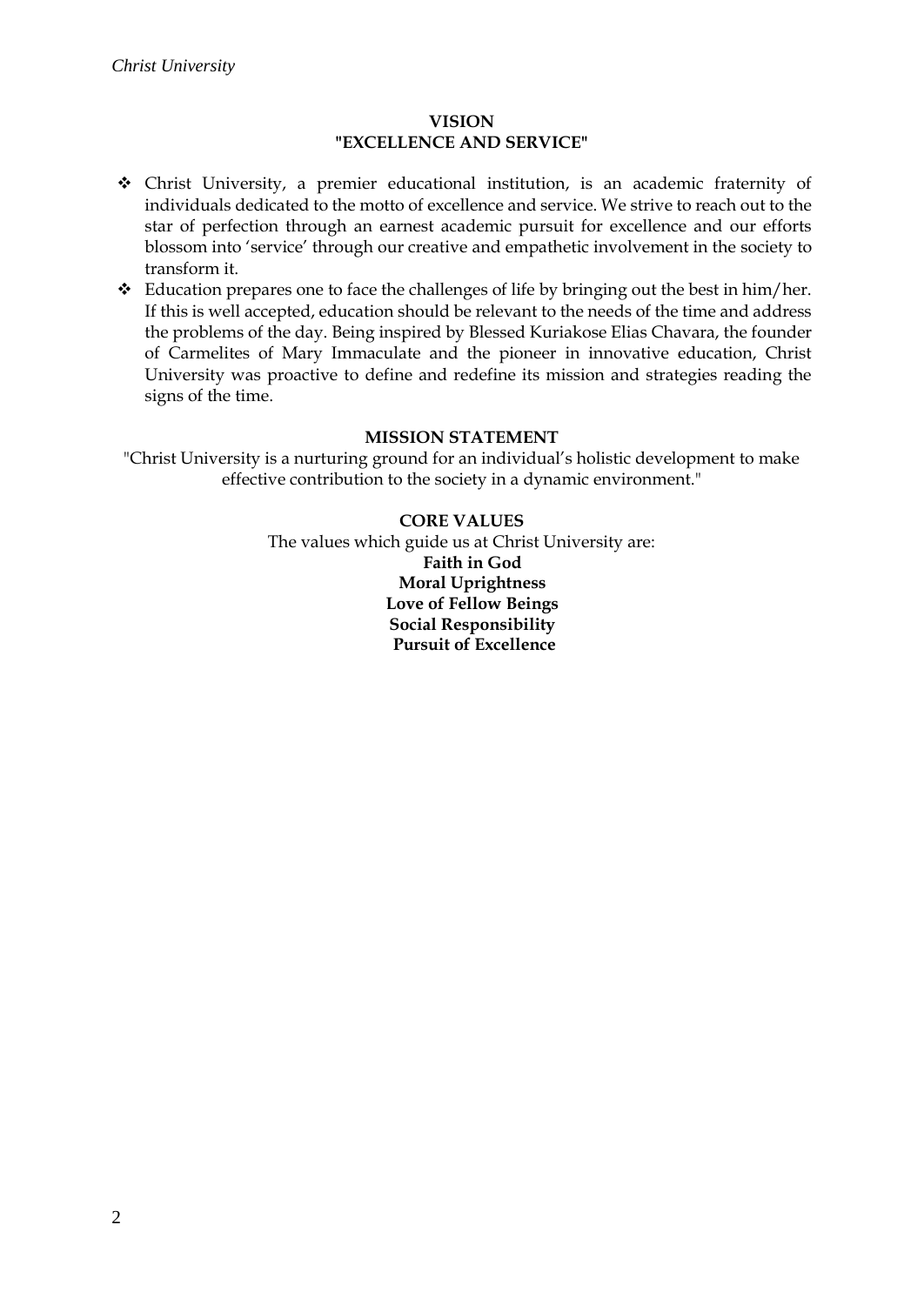#### **VISION "EXCELLENCE AND SERVICE"**

- Christ University, a premier educational institution, is an academic fraternity of individuals dedicated to the motto of excellence and service. We strive to reach out to the star of perfection through an earnest academic pursuit for excellence and our efforts blossom into 'service' through our creative and empathetic involvement in the society to transform it.
- $\div$  Education prepares one to face the challenges of life by bringing out the best in him/her. If this is well accepted, education should be relevant to the needs of the time and address the problems of the day. Being inspired by Blessed Kuriakose Elias Chavara, the founder of Carmelites of Mary Immaculate and the pioneer in innovative education, Christ University was proactive to define and redefine its mission and strategies reading the signs of the time.

#### **MISSION STATEMENT**

"Christ University is a nurturing ground for an individual's holistic development to make effective contribution to the society in a dynamic environment."

> **CORE VALUES** The values which guide us at Christ University are:  **Faith in God Moral Uprightness Love of Fellow Beings Social Responsibility Pursuit of Excellence**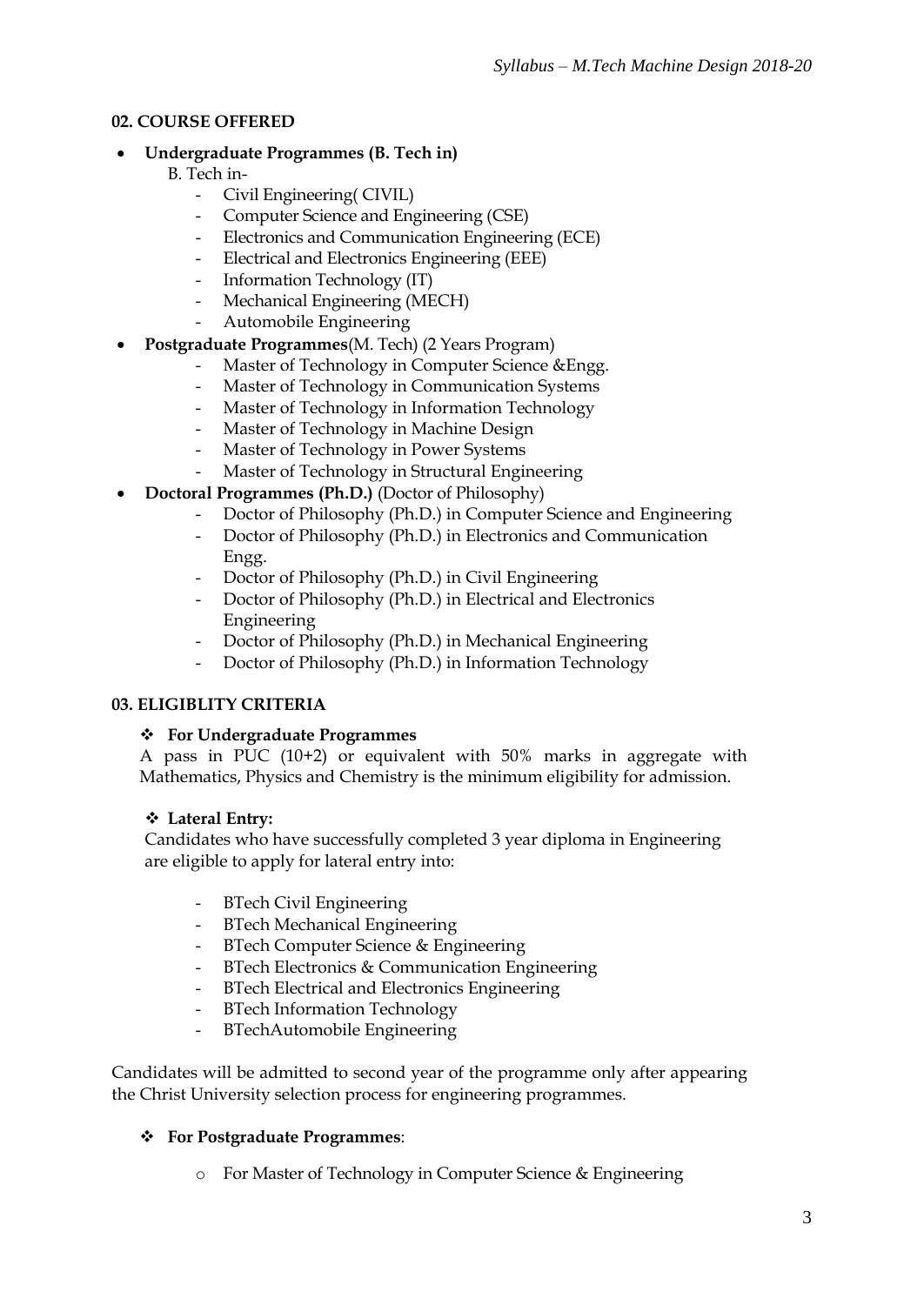#### **02. COURSE OFFERED**

#### **Undergraduate Programmes (B. Tech in)**

- B. Tech in-
	- Civil Engineering( CIVIL)
	- Computer Science and Engineering (CSE)
	- Electronics and Communication Engineering (ECE)
	- Electrical and Electronics Engineering (EEE)
	- Information Technology (IT)
	- Mechanical Engineering (MECH)
	- Automobile Engineering
- **Postgraduate Programmes**(M. Tech) (2 Years Program)
	- Master of Technology in Computer Science & Engg.
	- Master of Technology in Communication Systems
	- Master of Technology in Information Technology
	- Master of Technology in Machine Design
	- Master of Technology in Power Systems
	- Master of Technology in Structural Engineering
- **Doctoral Programmes (Ph.D.)** (Doctor of Philosophy)
	- Doctor of Philosophy (Ph.D.) in Computer Science and Engineering
	- Doctor of Philosophy (Ph.D.) in Electronics and Communication Engg.
	- Doctor of Philosophy (Ph.D.) in Civil Engineering
	- Doctor of Philosophy (Ph.D.) in Electrical and Electronics Engineering
	- Doctor of Philosophy (Ph.D.) in Mechanical Engineering
	- Doctor of Philosophy (Ph.D.) in Information Technology

#### **03. ELIGIBLITY CRITERIA**

#### **For Undergraduate Programmes**

A pass in PUC (10+2) or equivalent with 50% marks in aggregate with Mathematics, Physics and Chemistry is the minimum eligibility for admission.

#### **Lateral Entry:**

Candidates who have successfully completed 3 year diploma in Engineering are eligible to apply for lateral entry into:

- BTech Civil Engineering
- BTech Mechanical Engineering
- BTech Computer Science & Engineering
- BTech Electronics & Communication Engineering
- BTech Electrical and Electronics Engineering
- BTech Information Technology
- BTechAutomobile Engineering

Candidates will be admitted to second year of the programme only after appearing the Christ University selection process for engineering programmes.

#### **For Postgraduate Programmes**:

o For Master of Technology in Computer Science & Engineering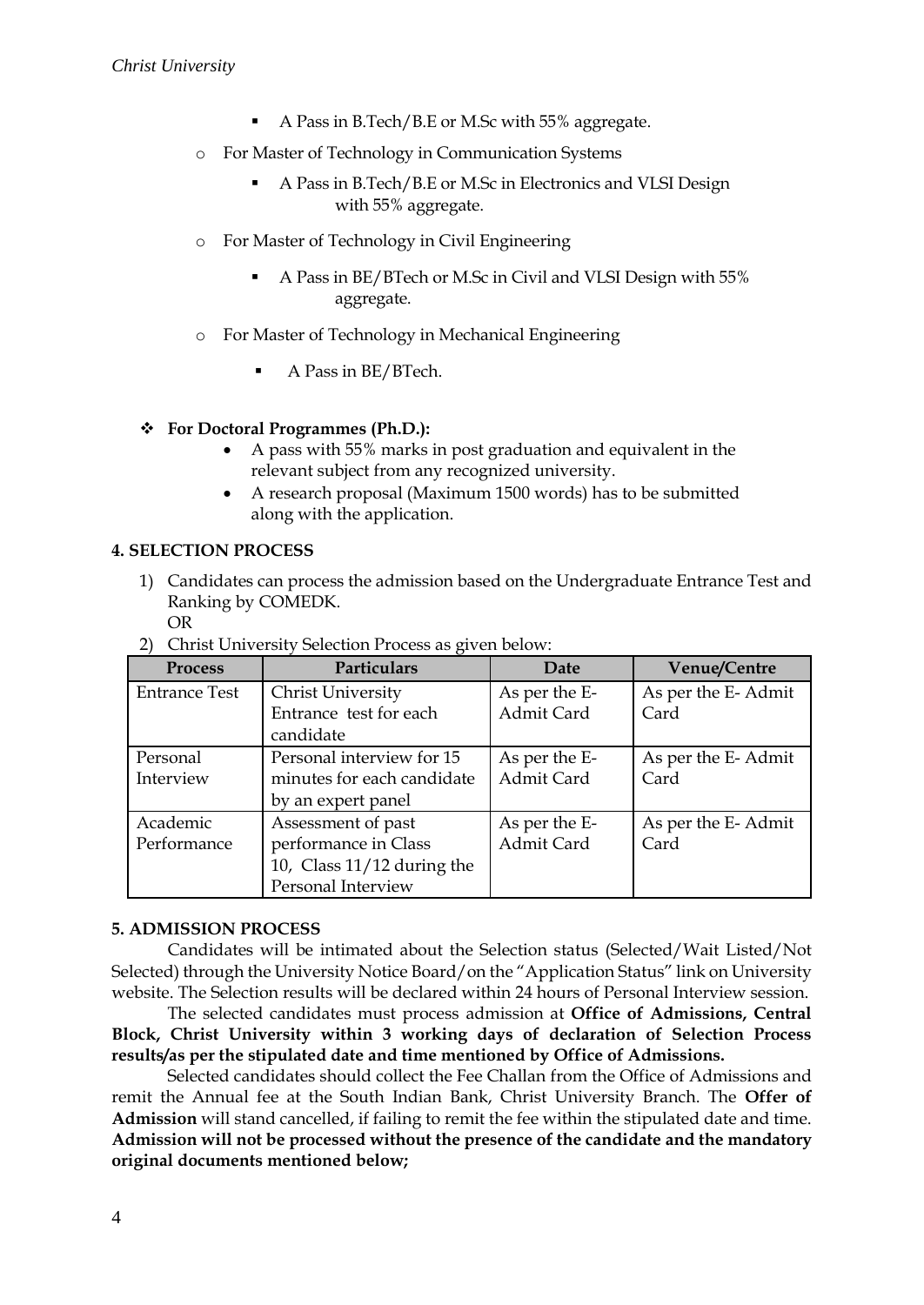- A Pass in B.Tech/B.E or M.Sc with 55% aggregate.
- o For Master of Technology in Communication Systems
	- A Pass in B.Tech/B.E or M.Sc in Electronics and VLSI Design with 55% aggregate.
- o For Master of Technology in Civil Engineering
	- A Pass in BE/BTech or M.Sc in Civil and VLSI Design with 55% aggregate.
- o For Master of Technology in Mechanical Engineering
	- A Pass in BE/BTech.

#### **For Doctoral Programmes (Ph.D.):**

- A pass with 55% marks in post graduation and equivalent in the relevant subject from any recognized university.
- A research proposal (Maximum 1500 words) has to be submitted along with the application.

#### **4. SELECTION PROCESS**

1) Candidates can process the admission based on the Undergraduate Entrance Test and Ranking by COMEDK.

|  |  | 2) Christ University Selection Process as given below: |  |  |  |
|--|--|--------------------------------------------------------|--|--|--|
|--|--|--------------------------------------------------------|--|--|--|

| <b>Process</b>       | Particulars                  | <b>Date</b>   | Venue/Centre       |
|----------------------|------------------------------|---------------|--------------------|
| <b>Entrance Test</b> | Christ University            | As per the E- | As per the E-Admit |
|                      | Entrance test for each       | Admit Card    | Card               |
|                      | candidate                    |               |                    |
| Personal             | Personal interview for 15    | As per the E- | As per the E-Admit |
| Interview            | minutes for each candidate   | Admit Card    | Card               |
|                      | by an expert panel           |               |                    |
| Academic             | Assessment of past           | As per the E- | As per the E-Admit |
| Performance          | performance in Class         | Admit Card    | Card               |
|                      | 10, Class $11/12$ during the |               |                    |
|                      | Personal Interview           |               |                    |

#### **5. ADMISSION PROCESS**

Candidates will be intimated about the Selection status (Selected/Wait Listed/Not Selected) through the University Notice Board/on the "Application Status" link on University website. The Selection results will be declared within 24 hours of Personal Interview session.

The selected candidates must process admission at **Office of Admissions, Central Block, Christ University within 3 working days of declaration of Selection Process results/as per the stipulated date and time mentioned by Office of Admissions.**

Selected candidates should collect the Fee Challan from the Office of Admissions and remit the Annual fee at the South Indian Bank, Christ University Branch. The **Offer of Admission** will stand cancelled, if failing to remit the fee within the stipulated date and time. **Admission will not be processed without the presence of the candidate and the mandatory original documents mentioned below;**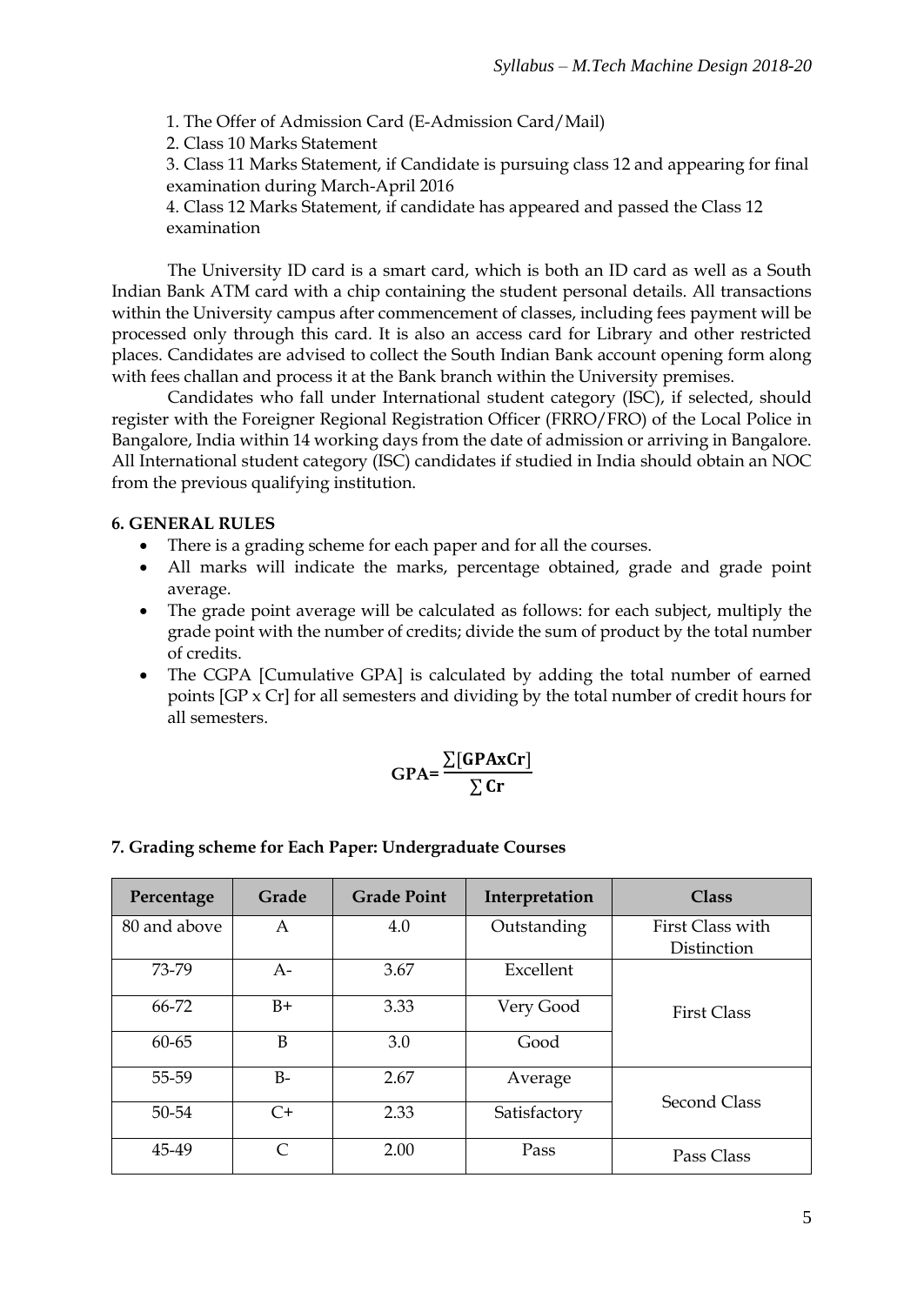- 1. The Offer of Admission Card (E-Admission Card/Mail)
- 2. Class 10 Marks Statement

3. Class 11 Marks Statement, if Candidate is pursuing class 12 and appearing for final examination during March-April 2016

4. Class 12 Marks Statement, if candidate has appeared and passed the Class 12 examination

The University ID card is a smart card, which is both an ID card as well as a South Indian Bank ATM card with a chip containing the student personal details. All transactions within the University campus after commencement of classes, including fees payment will be processed only through this card. It is also an access card for Library and other restricted places. Candidates are advised to collect the South Indian Bank account opening form along with fees challan and process it at the Bank branch within the University premises.

Candidates who fall under International student category (ISC), if selected, should register with the Foreigner Regional Registration Officer (FRRO/FRO) of the Local Police in Bangalore, India within 14 working days from the date of admission or arriving in Bangalore. All International student category (ISC) candidates if studied in India should obtain an NOC from the previous qualifying institution.

#### **6. GENERAL RULES**

- There is a grading scheme for each paper and for all the courses.
- All marks will indicate the marks, percentage obtained, grade and grade point average.
- The grade point average will be calculated as follows: for each subject, multiply the grade point with the number of credits; divide the sum of product by the total number of credits.
- The CGPA [Cumulative GPA] is calculated by adding the total number of earned points [GP x Cr] for all semesters and dividing by the total number of credit hours for all semesters.

$$
GPA = \frac{\sum [GPAxCr]}{\sum Cr}
$$

### **7. Grading scheme for Each Paper: Undergraduate Courses**

| Percentage   | Grade         | <b>Grade Point</b> | Interpretation | <b>Class</b>     |
|--------------|---------------|--------------------|----------------|------------------|
| 80 and above | A             | 4.0                | Outstanding    | First Class with |
|              |               |                    |                | Distinction      |
| 73-79        | $A-$          | 3.67               | Excellent      |                  |
| 66-72        | $B+$          | 3.33               | Very Good      | First Class      |
| $60 - 65$    | B             | 3.0                | Good           |                  |
| 55-59        | $B-$          | 2.67               | Average        |                  |
| 50-54        | $C+$          | 2.33               | Satisfactory   | Second Class     |
| 45-49        | $\mathcal{C}$ | 2.00               | Pass           | Pass Class       |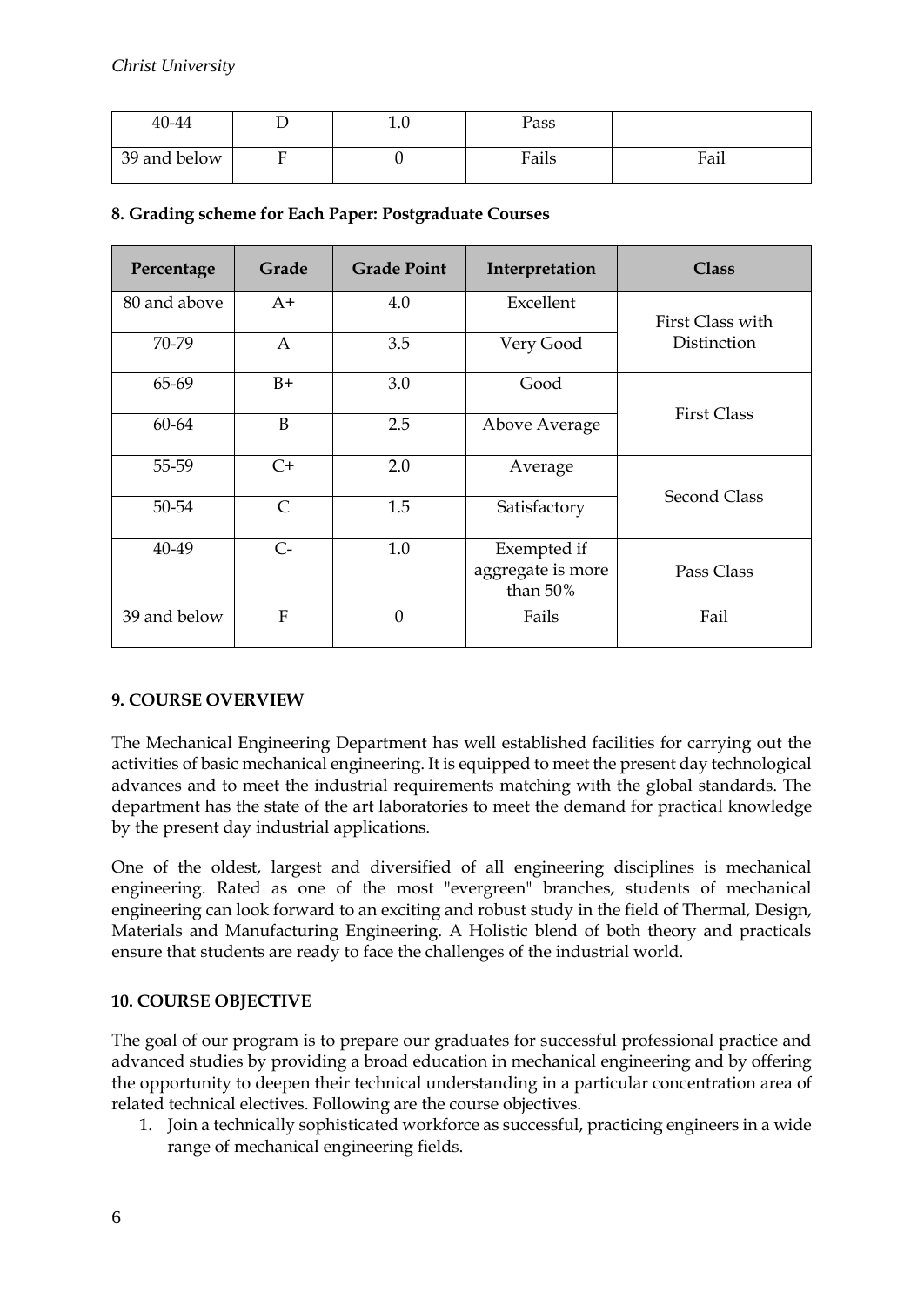| 40-44        | 1.U | Pass  |      |
|--------------|-----|-------|------|
| 39 and below |     | Fails | Fail |

| Percentage   | Grade        | <b>Grade Point</b>   | Interpretation                                  | <b>Class</b>        |
|--------------|--------------|----------------------|-------------------------------------------------|---------------------|
| 80 and above | $A+$         | 4.0                  | Excellent                                       | First Class with    |
| 70-79        | A            | 3.5                  | Very Good                                       | Distinction         |
| 65-69        | $B+$         | 3.0                  | Good                                            |                     |
| 60-64        | B            | 2.5<br>Above Average |                                                 | <b>First Class</b>  |
| 55-59        | $C+$         | 2.0                  | Average                                         |                     |
| 50-54        | $\mathsf{C}$ | 1.5                  | Satisfactory                                    | <b>Second Class</b> |
| 40-49        | $C -$        | 1.0                  | Exempted if<br>aggregate is more<br>than $50\%$ | Pass Class          |
| 39 and below | F            | $\Omega$             | Fails                                           | Fail                |

#### **8. Grading scheme for Each Paper: Postgraduate Courses**

#### **9. COURSE OVERVIEW**

The Mechanical Engineering Department has well established facilities for carrying out the activities of basic mechanical engineering. It is equipped to meet the present day technological advances and to meet the industrial requirements matching with the global standards. The department has the state of the art laboratories to meet the demand for practical knowledge by the present day industrial applications.

One of the oldest, largest and diversified of all engineering disciplines is mechanical engineering. Rated as one of the most "evergreen" branches, students of mechanical engineering can look forward to an exciting and robust study in the field of Thermal, Design, Materials and Manufacturing Engineering. A Holistic blend of both theory and practicals ensure that students are ready to face the challenges of the industrial world.

### **10. COURSE OBJECTIVE**

The goal of our program is to prepare our graduates for successful professional practice and advanced studies by providing a broad education in mechanical engineering and by offering the opportunity to deepen their technical understanding in a particular concentration area of related technical electives. Following are the course objectives.

1. Join a technically sophisticated workforce as successful, practicing engineers in a wide range of mechanical engineering fields.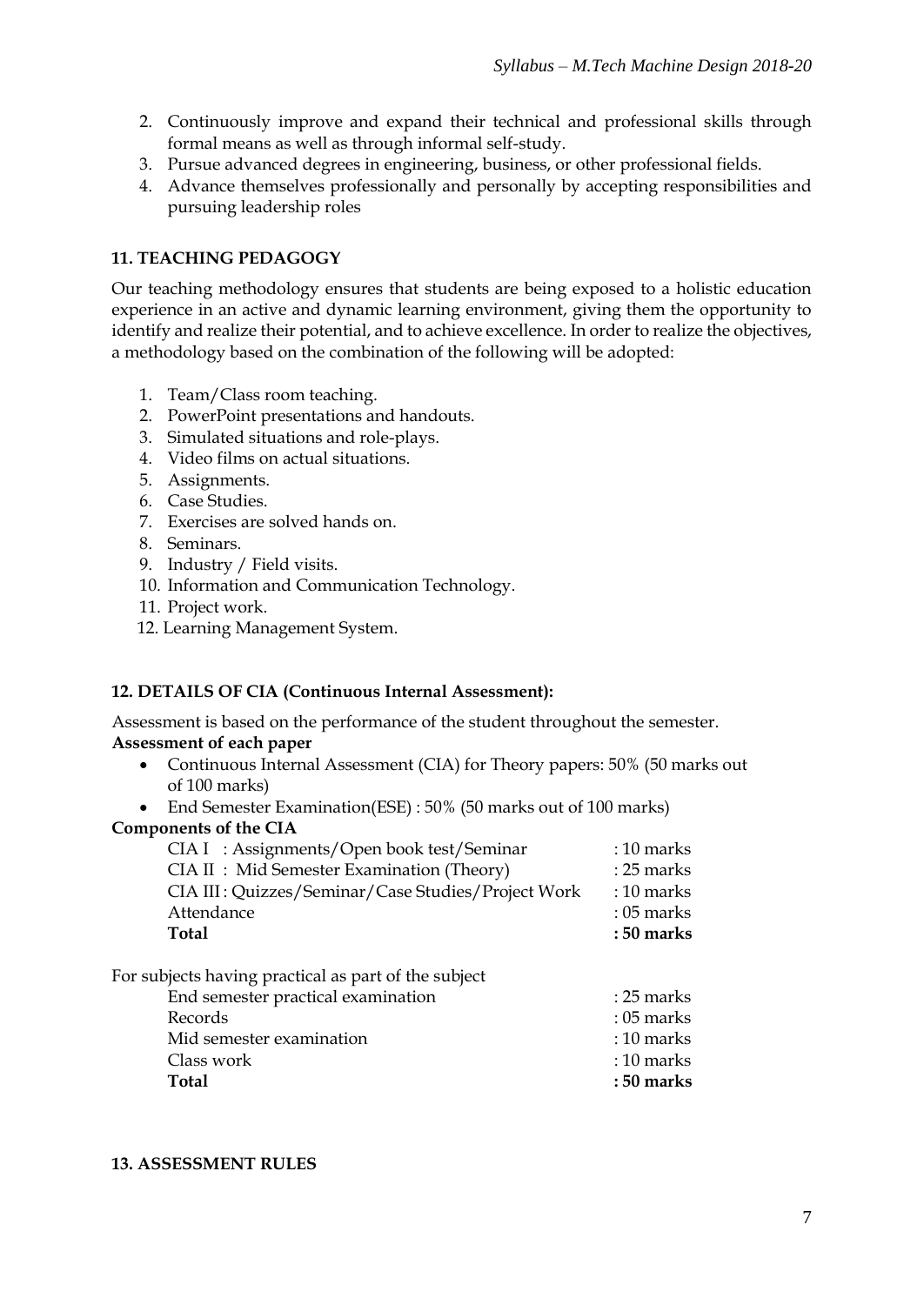- 2. Continuously improve and expand their technical and professional skills through formal means as well as through informal self-study.
- 3. Pursue advanced degrees in engineering, business, or other professional fields.
- 4. Advance themselves professionally and personally by accepting responsibilities and pursuing leadership roles

#### **11. TEACHING PEDAGOGY**

Our teaching methodology ensures that students are being exposed to a holistic education experience in an active and dynamic learning environment, giving them the opportunity to identify and realize their potential, and to achieve excellence. In order to realize the objectives, a methodology based on the combination of the following will be adopted:

- 1. Team/Class room teaching.
- 2. PowerPoint presentations and handouts.
- 3. Simulated situations and role-plays.
- 4. Video films on actual situations.
- 5. Assignments.
- 6. Case Studies.
- 7. Exercises are solved hands on.
- 8. Seminars.
- 9. Industry / Field visits.
- 10. Information and Communication Technology.
- 11. Project work.
- 12. Learning Management System.

#### **12. DETAILS OF CIA (Continuous Internal Assessment):**

Assessment is based on the performance of the student throughout the semester. **Assessment of each paper**

- Continuous Internal Assessment (CIA) for Theory papers: 50% (50 marks out of 100 marks)
- End Semester Examination(ESE) : 50% (50 marks out of 100 marks)

#### **Components of the CIA**

| CIA I : Assignments/Open book test/Seminar         | $: 10$ marks |
|----------------------------------------------------|--------------|
| CIA II: Mid Semester Examination (Theory)          | $: 25$ marks |
| CIA III: Quizzes/Seminar/Case Studies/Project Work | $: 10$ marks |
| Attendance                                         | $:05$ marks  |
| <b>Total</b>                                       | $:50$ marks  |
|                                                    |              |

For subjects having practical as part of the subject

| <b>Total</b>                       | $:50$ marks  |
|------------------------------------|--------------|
| Class work                         | $: 10$ marks |
| Mid semester examination           | $: 10$ marks |
| Records                            | $:05$ marks  |
| End semester practical examination | $: 25$ marks |

#### **13. ASSESSMENT RULES**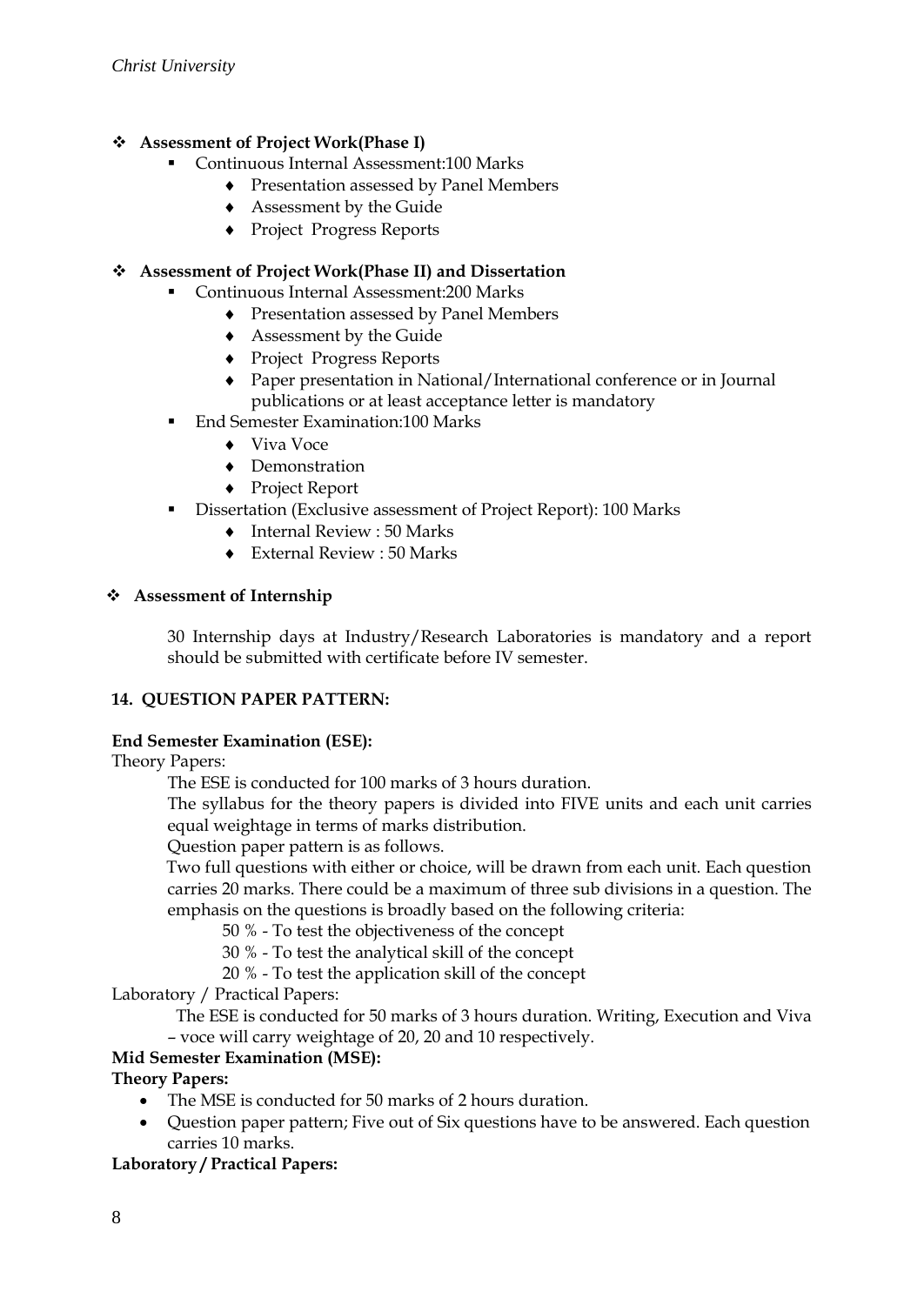#### **Assessment of Project Work(Phase I)**

- Continuous Internal Assessment:100 Marks
	- ◆ Presentation assessed by Panel Members
	- Assessment by the Guide
	- ◆ Project Progress Reports

#### **Assessment of Project Work(Phase II) and Dissertation**

- Continuous Internal Assessment:200 Marks
	- Presentation assessed by Panel Members
	- Assessment by the Guide
	- ◆ Project Progress Reports
	- Paper presentation in National/International conference or in Journal publications or at least acceptance letter is mandatory
- End Semester Examination:100 Marks
	- $\bullet$  Viva Voce
	- Demonstration
	- ◆ Project Report
- Dissertation (Exclusive assessment of Project Report): 100 Marks
	- Internal Review : 50 Marks
	- External Review : 50 Marks

#### **Assessment of Internship**

30 Internship days at Industry/Research Laboratories is mandatory and a report should be submitted with certificate before IV semester.

#### **14. QUESTION PAPER PATTERN:**

#### **End Semester Examination (ESE):**

Theory Papers:

The ESE is conducted for 100 marks of 3 hours duration.

The syllabus for the theory papers is divided into FIVE units and each unit carries equal weightage in terms of marks distribution.

Question paper pattern is as follows.

Two full questions with either or choice, will be drawn from each unit. Each question carries 20 marks. There could be a maximum of three sub divisions in a question. The emphasis on the questions is broadly based on the following criteria:

- 50 % To test the objectiveness of the concept
- 30 % To test the analytical skill of the concept
- 20 % To test the application skill of the concept

#### Laboratory / Practical Papers:

 The ESE is conducted for 50 marks of 3 hours duration. Writing, Execution and Viva – voce will carry weightage of 20, 20 and 10 respectively.

### **Mid Semester Examination (MSE):**

#### **Theory Papers:**

- The MSE is conducted for 50 marks of 2 hours duration.
- Question paper pattern; Five out of Six questions have to be answered. Each question carries 10 marks.

#### **Laboratory / Practical Papers:**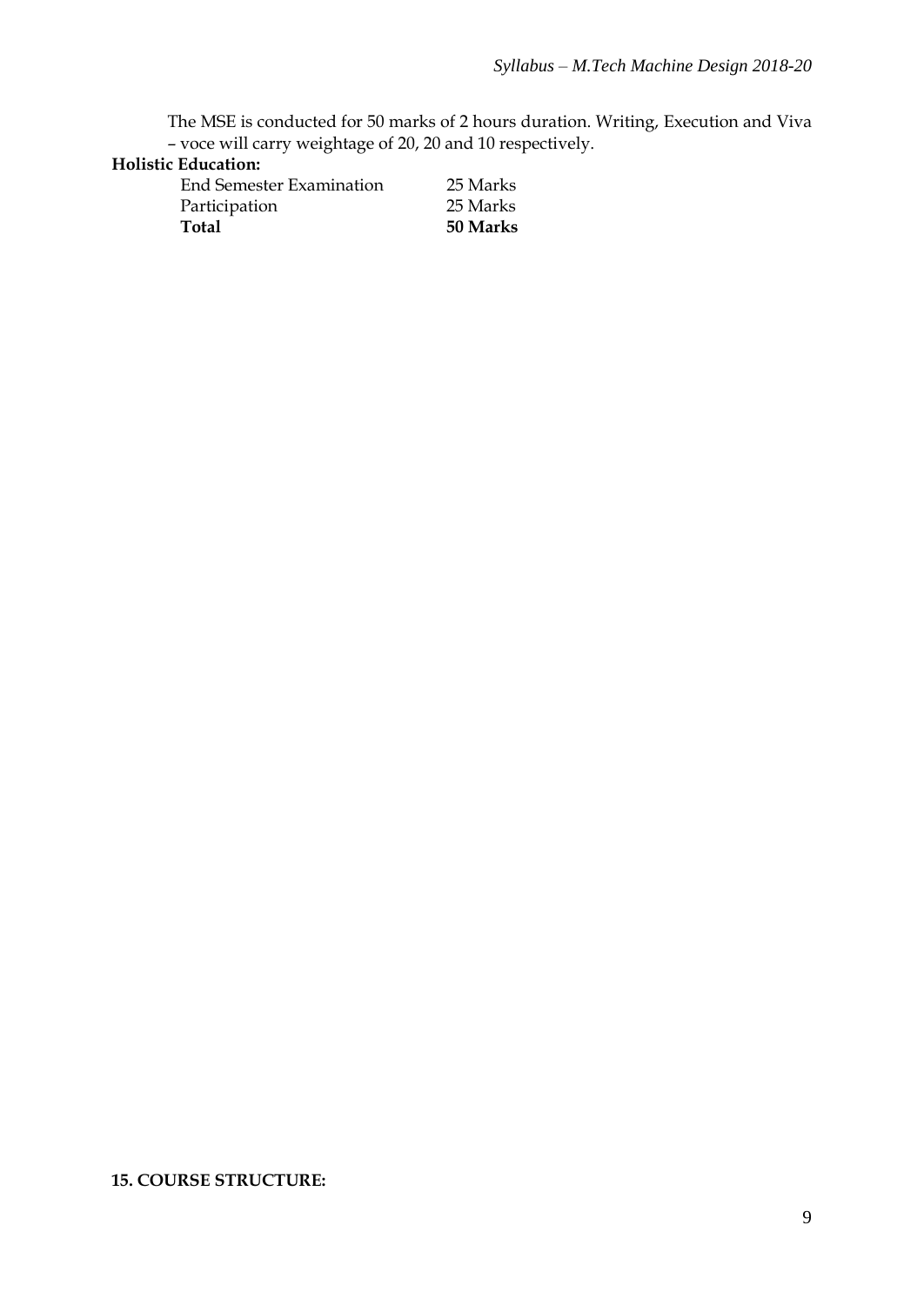The MSE is conducted for 50 marks of 2 hours duration. Writing, Execution and Viva – voce will carry weightage of 20, 20 and 10 respectively.

# **Holistic Education:**

 End Semester Examination 25 Marks Participation 25 Marks<br>
Total 50 Marks

**50 Marks** 

**15. COURSE STRUCTURE:**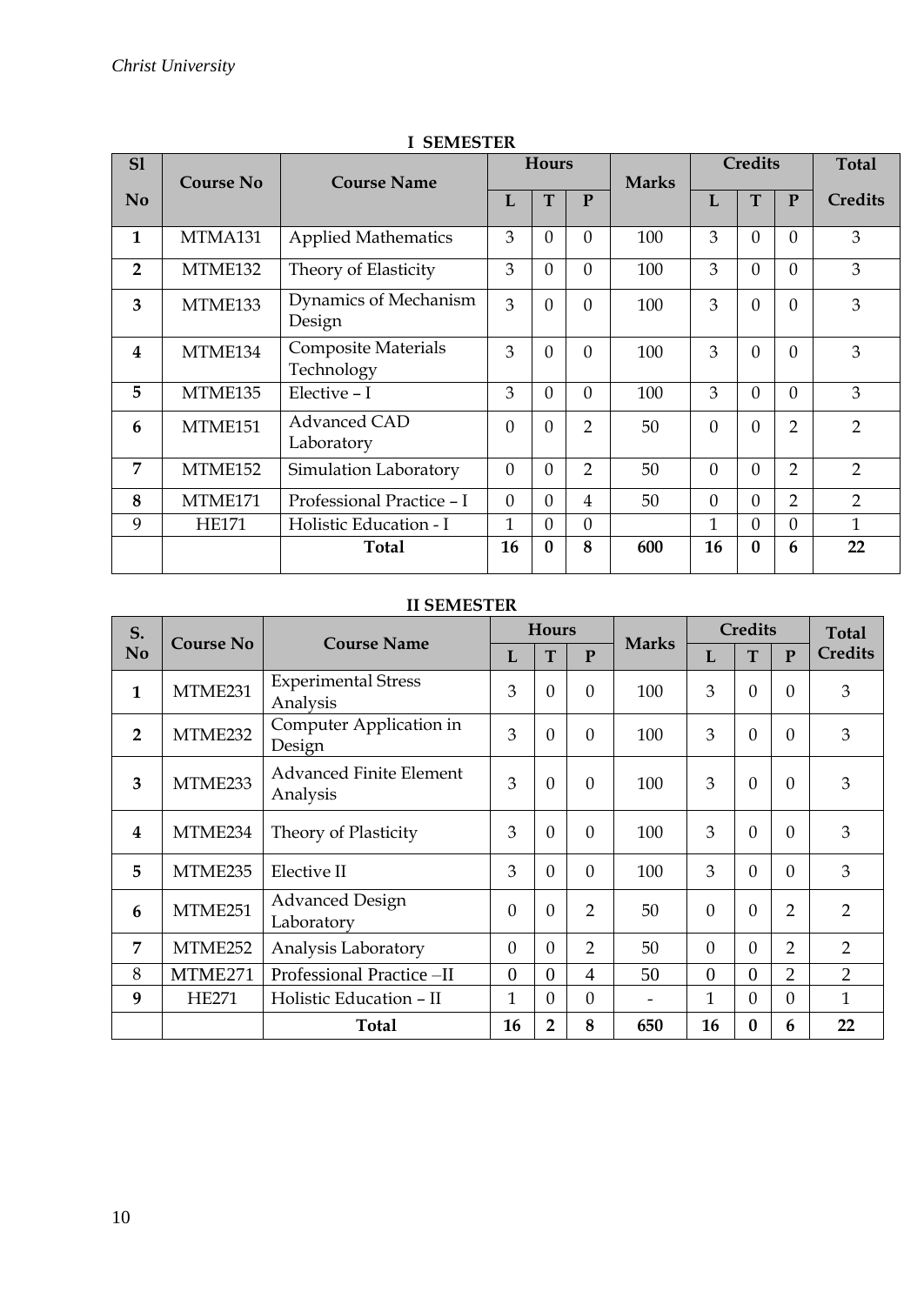| I JENIEJIEN             |                  |                                          |                |              |                |              |                |              |                |                |
|-------------------------|------------------|------------------------------------------|----------------|--------------|----------------|--------------|----------------|--------------|----------------|----------------|
| S1                      | <b>Course No</b> | <b>Course Name</b>                       |                | Hours        |                | <b>Marks</b> | <b>Credits</b> |              |                | <b>Total</b>   |
| N <sub>o</sub>          |                  |                                          | $\mathbf{I}$ . | T            | $\mathbf{P}$   |              | L              | T            | $\mathbf{P}$   | <b>Credits</b> |
| $\mathbf{1}$            | MTMA131          | <b>Applied Mathematics</b>               | 3              | $\Omega$     | $\Omega$       | 100          | 3              | $\Omega$     | $\Omega$       | 3              |
| $\overline{2}$          | MTME132          | Theory of Elasticity                     | 3              | $\Omega$     | $\Omega$       | 100          | 3              | $\Omega$     | $\Omega$       | 3              |
| 3                       | MTME133          | Dynamics of Mechanism<br>Design          | 3              | $\theta$     | $\theta$       | 100          | 3              | $\theta$     | $\Omega$       | 3              |
| $\overline{\mathbf{4}}$ | MTME134          | <b>Composite Materials</b><br>Technology | 3              | $\Omega$     | $\theta$       | 100          | 3              | $\Omega$     | $\Omega$       | 3              |
| 5                       | MTME135          | Elective - I                             | 3              | $\theta$     | $\overline{0}$ | 100          | 3              | $\theta$     | $\Omega$       | 3              |
| 6                       | MTME151          | <b>Advanced CAD</b><br>Laboratory        | $\Omega$       | $\theta$     | $\overline{2}$ | 50           | $\Omega$       | $\Omega$     | $\overline{2}$ | $\overline{2}$ |
| $\overline{7}$          | MTME152          | Simulation Laboratory                    | $\Omega$       | $\Omega$     | $\overline{2}$ | 50           | $\Omega$       | $\theta$     | 2              | $\overline{2}$ |
| 8                       | MTME171          | Professional Practice - I                | $\Omega$       | $\Omega$     | $\overline{4}$ | 50           | $\Omega$       | $\Omega$     | $\overline{2}$ | 2              |
| 9                       | <b>HE171</b>     | Holistic Education - I                   | $\mathbf{1}$   | $\theta$     | $\theta$       |              | 1              | $\Omega$     | $\Omega$       | $\mathbf{1}$   |
|                         |                  | <b>Total</b>                             | 16             | $\mathbf{0}$ | 8              | 600          | 16             | $\mathbf{0}$ | 6              | 22             |

# **I SEMESTER**

#### **II SEMESTER**

| S.                      | <b>Course No</b> | <b>Course Name</b>                         | Hours          |                |                | <b>Marks</b> | <b>Credits</b> |                |                | <b>Total</b>   |
|-------------------------|------------------|--------------------------------------------|----------------|----------------|----------------|--------------|----------------|----------------|----------------|----------------|
| No                      |                  |                                            | L              | T<br>P         |                | L            | T              | ${\bf P}$      | <b>Credits</b> |                |
| $\mathbf{1}$            | MTME231          | <b>Experimental Stress</b><br>Analysis     | 3              | $\overline{0}$ | $\theta$       | 100          | 3              | $\Omega$       | $\Omega$       | 3              |
| $\overline{2}$          | MTME232          | Computer Application in<br>Design          | 3              | $\overline{0}$ | $\theta$       | 100          | 3              | $\Omega$       | $\Omega$       | 3              |
| 3                       | MTME233          | <b>Advanced Finite Element</b><br>Analysis | 3              | $\overline{0}$ | $\theta$       | 100          | 3              | $\Omega$       | $\Omega$       | 3              |
| $\overline{\mathbf{4}}$ | MTME234          | Theory of Plasticity                       | 3              | $\overline{0}$ | $\overline{0}$ | 100          | 3              | $\Omega$       | $\Omega$       | 3              |
| 5                       | MTME235          | Elective II                                | 3              | $\overline{0}$ | $\overline{0}$ | 100          | 3              | $\theta$       | $\Omega$       | 3              |
| 6                       | MTME251          | <b>Advanced Design</b><br>Laboratory       | $\Omega$       | $\overline{0}$ | $\overline{2}$ | 50           | $\theta$       | $\Omega$       | $\overline{2}$ | $\overline{2}$ |
| 7                       | MTME252          | Analysis Laboratory                        | $\Omega$       | $\overline{0}$ | $\overline{2}$ | 50           | $\Omega$       | $\Omega$       | $\overline{2}$ | $\overline{2}$ |
| 8                       | MTME271          | Professional Practice -II                  | $\overline{0}$ | $\overline{0}$ | $\overline{4}$ | 50           | $\overline{0}$ | $\overline{0}$ | $\overline{2}$ | $\overline{2}$ |
| 9                       | <b>HE271</b>     | Holistic Education - II                    | $\mathbf{1}$   | $\Omega$       | $\theta$       |              | 1              | $\Omega$       | $\Omega$       | $\mathbf{1}$   |
|                         |                  | <b>Total</b>                               | 16             | $\overline{2}$ | 8              | 650          | 16             | $\mathbf{0}$   | 6              | 22             |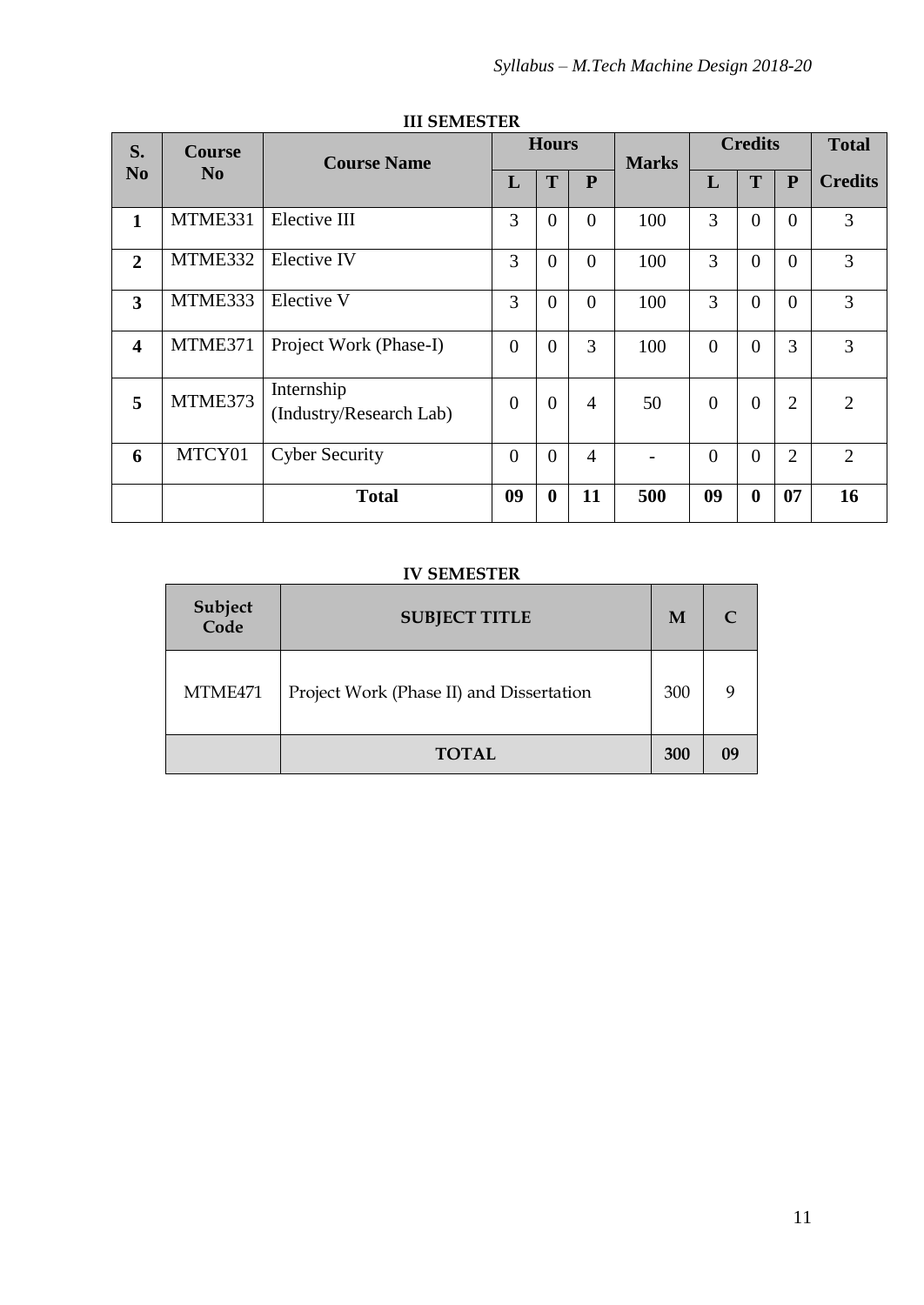| S.                      | <b>Course</b> | <b>Course Name</b>                    |          | <b>Hours</b><br><b>Marks</b> |                |     | <b>Credits</b> | <b>Total</b>   |                |                |
|-------------------------|---------------|---------------------------------------|----------|------------------------------|----------------|-----|----------------|----------------|----------------|----------------|
| N <sub>0</sub>          | $\bf No$      |                                       | L        | T                            | $\mathbf{P}$   |     | L              | T              | $\mathbf{P}$   | <b>Credits</b> |
| $\mathbf{1}$            | MTME331       | Elective III                          | 3        | $\overline{0}$               | $\overline{0}$ | 100 | 3              | $\theta$       | $\overline{0}$ | 3              |
| $\overline{2}$          | MTME332       | Elective IV                           | 3        | $\overline{0}$               | $\overline{0}$ | 100 | 3              | $\Omega$       | $\Omega$       | 3              |
| 3                       | MTME333       | Elective V                            | 3        | $\overline{0}$               | $\overline{0}$ | 100 | 3              | $\Omega$       | $\Omega$       | 3              |
| $\overline{\mathbf{4}}$ | MTME371       | Project Work (Phase-I)                | $\theta$ | $\overline{0}$               | 3              | 100 | $\overline{0}$ | $\overline{0}$ | 3              | 3              |
| 5                       | MTME373       | Internship<br>(Industry/Research Lab) | $\Omega$ | $\overline{0}$               | $\overline{4}$ | 50  | $\theta$       | $\Omega$       | $\overline{2}$ | $\overline{2}$ |
| 6                       | MTCY01        | <b>Cyber Security</b>                 | $\Omega$ | $\overline{0}$               | $\overline{4}$ |     | $\Omega$       | $\Omega$       | $\overline{2}$ | $\overline{2}$ |
|                         |               | <b>Total</b>                          | 09       | $\boldsymbol{0}$             | 11             | 500 | 09             | $\mathbf{0}$   | 07             | 16             |

# **III SEMESTER**

# **IV SEMESTER**

| Subject<br>Code | <b>SUBJECT TITLE</b>                     | M   | $\Gamma$ |
|-----------------|------------------------------------------|-----|----------|
| MTME471         | Project Work (Phase II) and Dissertation | 300 | 9        |
|                 | <b>TOTAL</b>                             | 300 | 09       |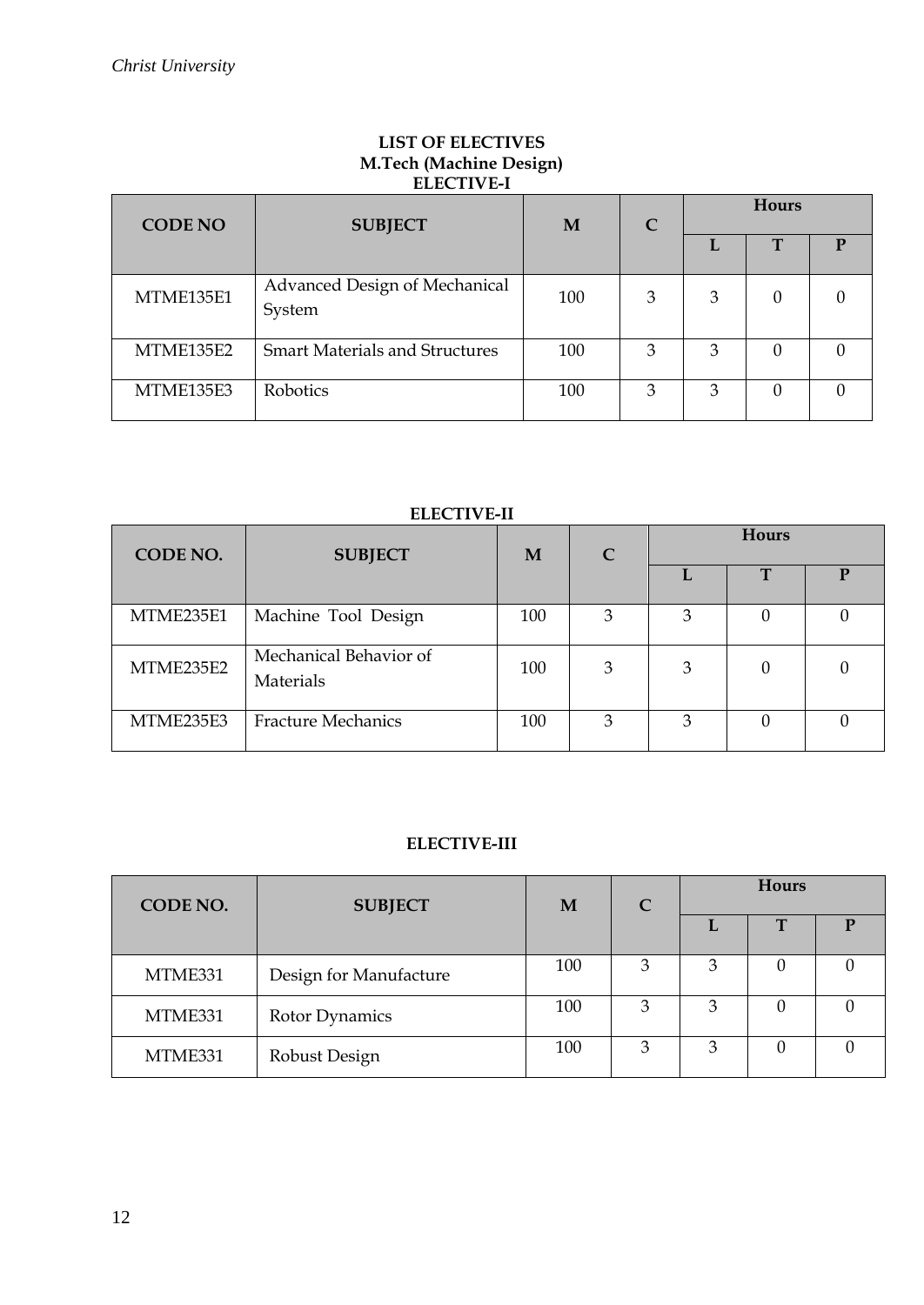| <b>ELECTIVE-I</b> |                                         |     |             |   |              |  |
|-------------------|-----------------------------------------|-----|-------------|---|--------------|--|
| <b>CODE NO</b>    | <b>SUBJECT</b>                          | M   | $\mathbf C$ |   | <b>Hours</b> |  |
|                   |                                         |     |             |   |              |  |
| MTME135E1         | Advanced Design of Mechanical<br>System | 100 | 3           | 3 | $\theta$     |  |
| MTME135E2         | <b>Smart Materials and Structures</b>   | 100 | 3           | 3 | 0            |  |
| MTME135E3         | Robotics                                | 100 | 3           | 3 | $\Omega$     |  |

# **LIST OF ELECTIVES M.Tech (Machine Design)**

# **ELECTIVE-II**

| <b>CODE NO.</b> | <b>SUBJECT</b>                      | M   | $\mathbf C$ |   | <b>Hours</b> |  |
|-----------------|-------------------------------------|-----|-------------|---|--------------|--|
|                 |                                     |     |             |   |              |  |
| MTME235E1       | Machine Tool Design                 | 100 | З           | З | U            |  |
| MTME235E2       | Mechanical Behavior of<br>Materials | 100 | 3           | 3 | 0            |  |
| MTME235E3       | <b>Fracture Mechanics</b>           | 100 | 3           | З |              |  |

# **ELECTIVE-III**

| <b>CODE NO.</b> | <b>SUBJECT</b>         | M   | C |   | <b>Hours</b> |  |
|-----------------|------------------------|-----|---|---|--------------|--|
|                 |                        |     |   |   | т            |  |
| MTME331         | Design for Manufacture | 100 | 3 | 3 | O            |  |
| MTME331         | Rotor Dynamics         | 100 | 3 | 3 | U            |  |
| MTME331         | Robust Design          | 100 | 3 | 3 |              |  |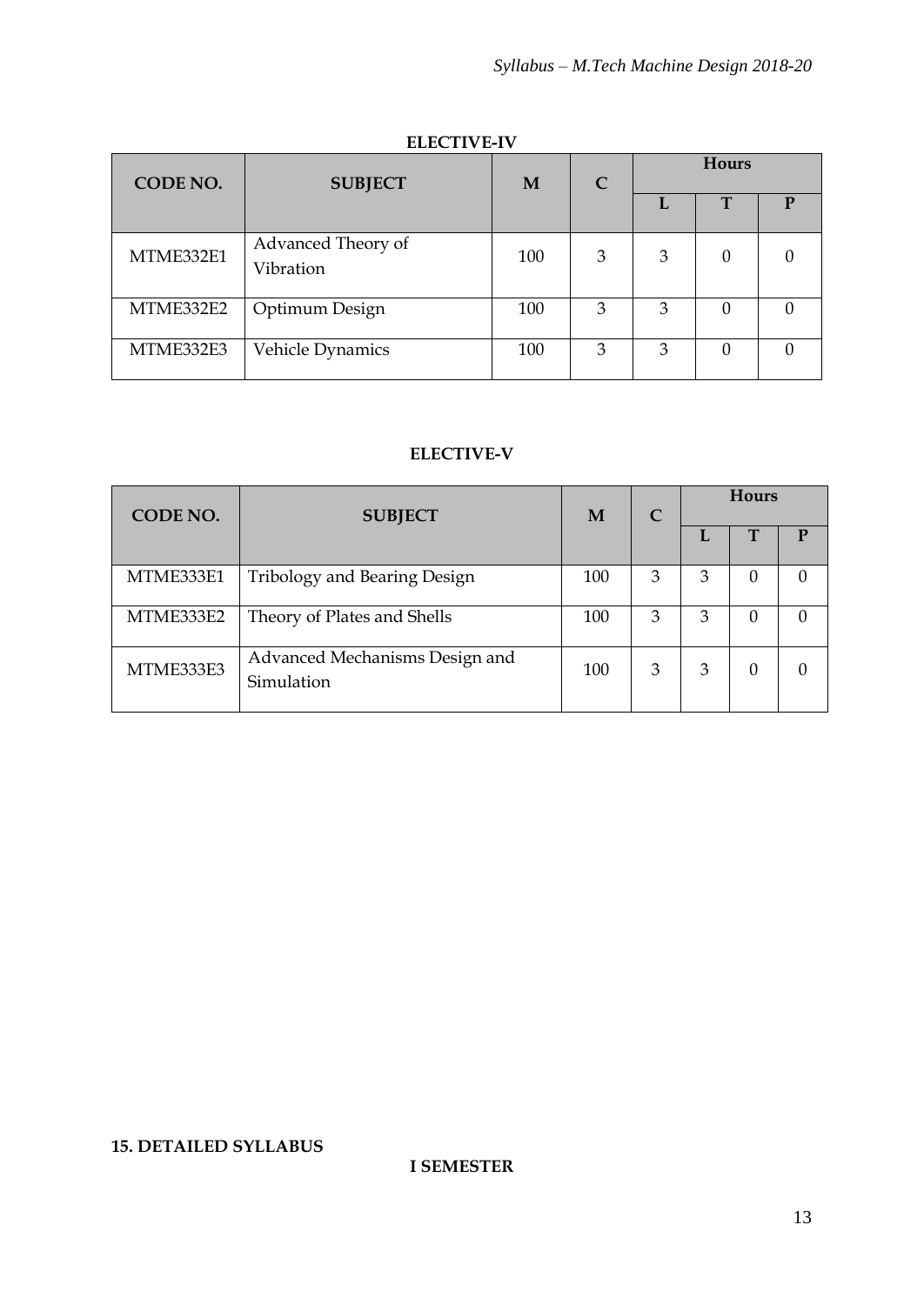| <b>CODE NO.</b> | <b>SUBJECT</b>                  | М   | C |   | <b>Hours</b>     |  |
|-----------------|---------------------------------|-----|---|---|------------------|--|
|                 |                                 |     |   |   | T                |  |
| MTME332E1       | Advanced Theory of<br>Vibration | 100 | 3 | 3 | 0                |  |
| MTME332E2       | Optimum Design                  | 100 | 3 | 3 | 0                |  |
| MTME332E3       | Vehicle Dynamics                | 100 | 3 | 3 | $\left( \right)$ |  |

# **ELECTIVE-IV**

#### **ELECTIVE-V**

|                 |                                              |     |   |   | Hours            |          |
|-----------------|----------------------------------------------|-----|---|---|------------------|----------|
| <b>CODE NO.</b> | <b>SUBJECT</b>                               | M   | C |   |                  |          |
|                 |                                              |     |   |   |                  | D        |
| MTME333E1       | Tribology and Bearing Design                 | 100 | 3 | З | $\left( \right)$ | $\theta$ |
| MTME333E2       | Theory of Plates and Shells                  | 100 | 3 | 3 | $\left( \right)$ | $\Omega$ |
| MTME333E3       | Advanced Mechanisms Design and<br>Simulation | 100 | 3 | 3 | 0                |          |

# **15. DETAILED SYLLABUS**

**I SEMESTER**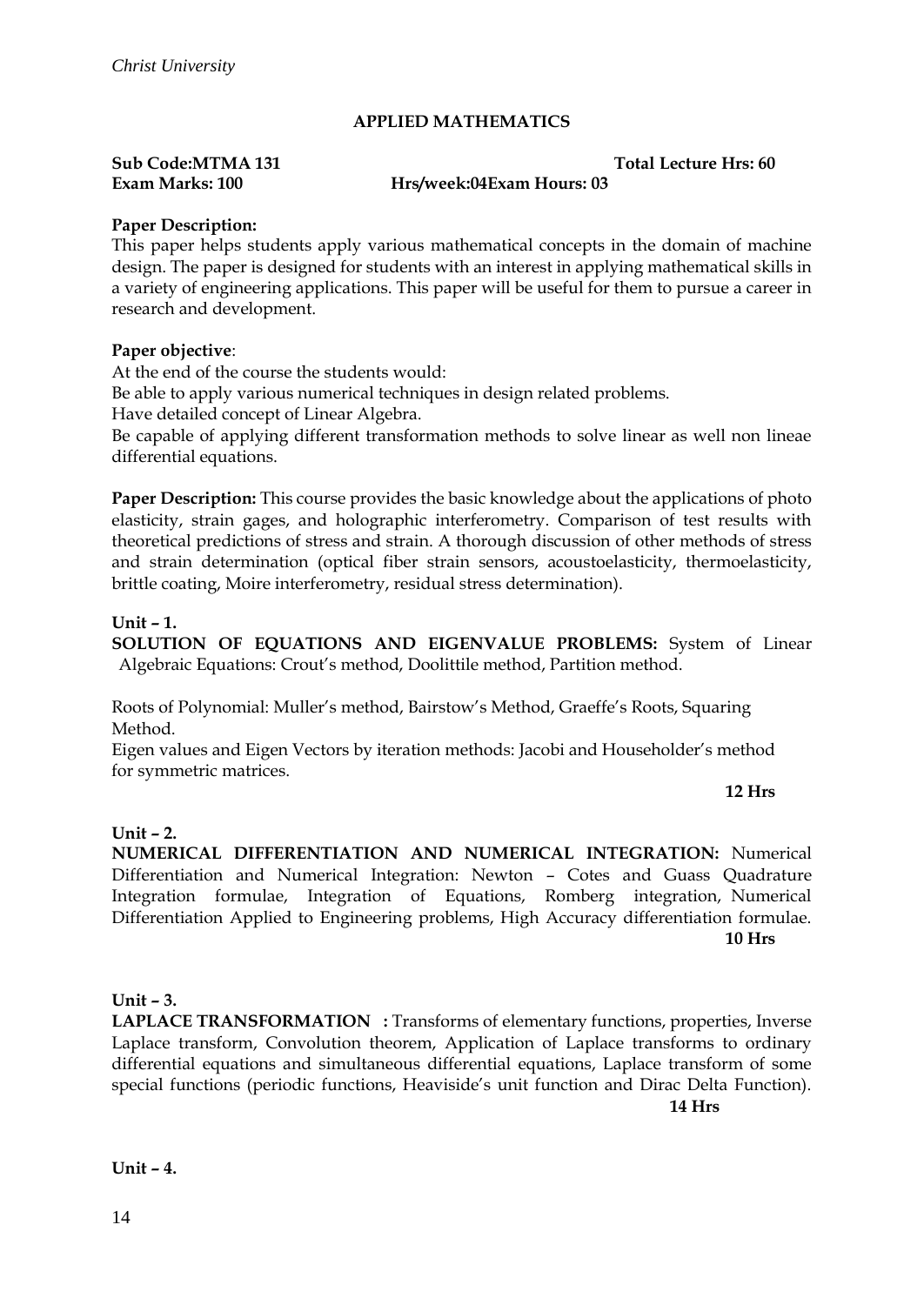#### **APPLIED MATHEMATICS**

| <b>Sub Code:MTMA 131</b> |                           | Total Lecture Hrs: 60 |
|--------------------------|---------------------------|-----------------------|
| Exam Marks: 100          | Hrs/week:04Exam Hours: 03 |                       |

#### **Paper Description:**

This paper helps students apply various mathematical concepts in the domain of machine design. The paper is designed for students with an interest in applying mathematical skills in a variety of engineering applications. This paper will be useful for them to pursue a career in research and development.

#### **Paper objective**:

At the end of the course the students would: Be able to apply various numerical techniques in design related problems. Have detailed concept of Linear Algebra.

Be capable of applying different transformation methods to solve linear as well non lineae differential equations.

**Paper Description:** This course provides the basic knowledge about the applications of photo elasticity, strain gages, and holographic interferometry. Comparison of test results with theoretical predictions of stress and strain. A thorough discussion of other methods of stress and strain determination (optical fiber strain sensors, acoustoelasticity, thermoelasticity, brittle coating, Moire interferometry, residual stress determination).

### **Unit – 1.**

**SOLUTION OF EQUATIONS AND EIGENVALUE PROBLEMS:** System of Linear Algebraic Equations: Crout's method, Doolittile method, Partition method.

Roots of Polynomial: Muller's method, Bairstow's Method, Graeffe's Roots, Squaring Method.

Eigen values and Eigen Vectors by iteration methods: Jacobi and Householder's method for symmetric matrices.

**12 Hrs**

#### **Unit – 2.**

**NUMERICAL DIFFERENTIATION AND NUMERICAL INTEGRATION:** Numerical Differentiation and Numerical Integration: Newton – Cotes and Guass Quadrature Integration formulae, Integration of Equations, Romberg integration, Numerical Differentiation Applied to Engineering problems, High Accuracy differentiation formulae.

**10 Hrs**

#### **Unit – 3.**

**LAPLACE TRANSFORMATION :** Transforms of elementary functions, properties, Inverse Laplace transform, Convolution theorem, Application of Laplace transforms to ordinary differential equations and simultaneous differential equations, Laplace transform of some special functions (periodic functions, Heaviside's unit function and Dirac Delta Function).

**14 Hrs**

**Unit – 4.**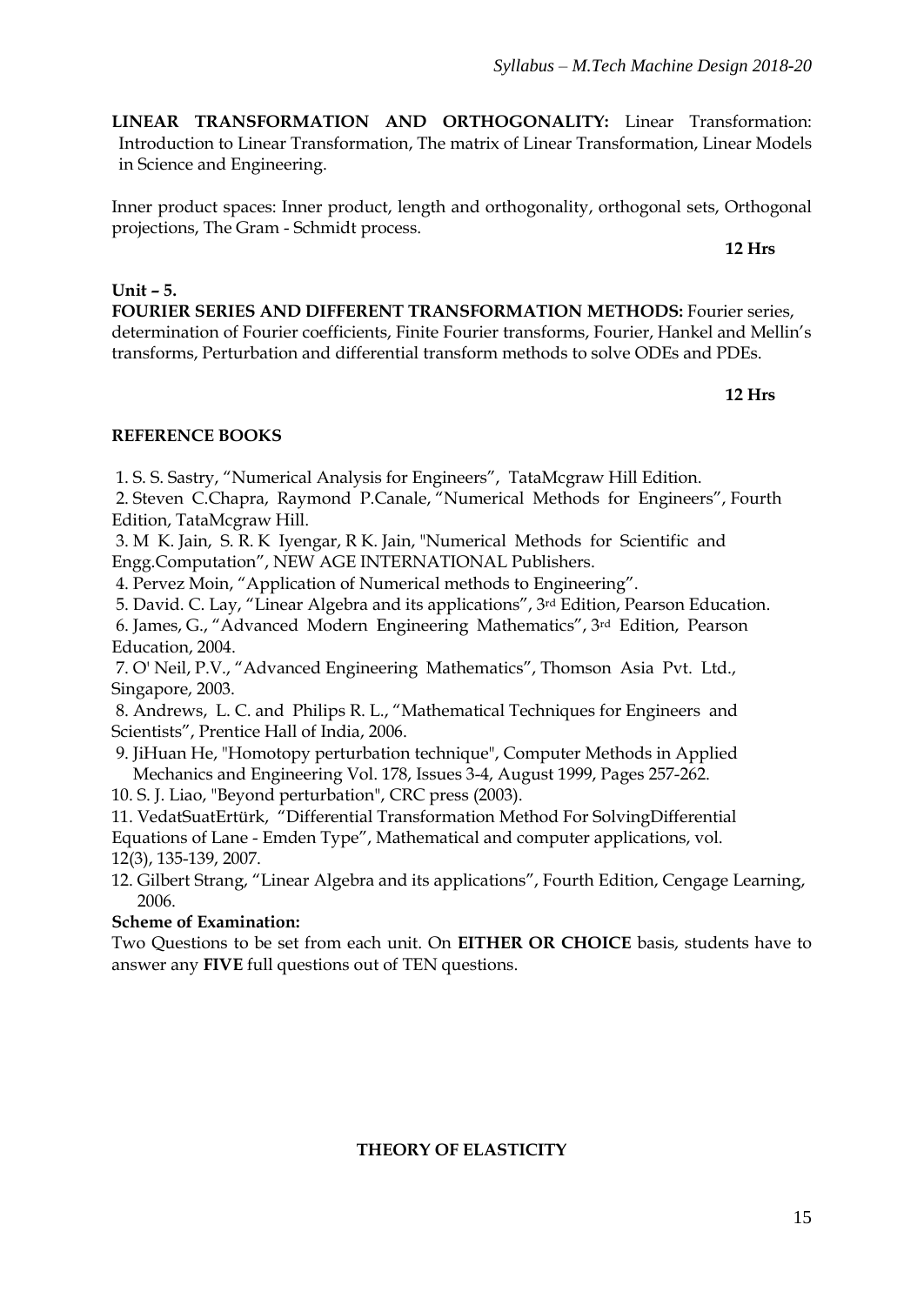15

**LINEAR TRANSFORMATION AND ORTHOGONALITY:** Linear Transformation: Introduction to Linear Transformation, The matrix of Linear Transformation, Linear Models in Science and Engineering.

Inner product spaces: Inner product, length and orthogonality, orthogonal sets, Orthogonal projections, The Gram - Schmidt process.

#### **12 Hrs**

# **Unit – 5.**

**FOURIER SERIES AND DIFFERENT TRANSFORMATION METHODS:** Fourier series, determination of Fourier coefficients, Finite Fourier transforms, Fourier, Hankel and Mellin's transforms, Perturbation and differential transform methods to solve ODEs and PDEs.

#### **12 Hrs**

### **REFERENCE BOOKS**

1. S. S. Sastry, "Numerical Analysis for Engineers", TataMcgraw Hill Edition.

2. Steven C.Chapra, Raymond P.Canale, "Numerical Methods for Engineers", Fourth Edition, TataMcgraw Hill.

3. M K. Jain, S. R. K Iyengar, R K. Jain, "Numerical Methods for Scientific and Engg.Computation", NEW AGE INTERNATIONAL Publishers.

4. Pervez Moin, "Application of Numerical methods to Engineering".

5. David. C. Lay, "Linear Algebra and its applications", 3rd Edition, Pearson Education.

6. James, G., "Advanced Modern Engineering Mathematics", 3rd Edition, Pearson Education, 2004.

7. O' Neil, P.V., "Advanced Engineering Mathematics", Thomson Asia Pvt. Ltd., Singapore, 2003.

8. Andrews, L. C. and Philips R. L., "Mathematical Techniques for Engineers and Scientists", Prentice Hall of India, 2006.

9. JiHuan He, "Homotopy perturbation technique", Computer Methods in Applied Mechanics and Engineering Vol. 178, Issues 3-4, August 1999, Pages 257-262.

10. S. J. Liao, "Beyond perturbation", CRC press (2003).

11. VedatSuatErtürk, "Differential Transformation Method For SolvingDifferential Equations of Lane - Emden Type", Mathematical and computer applications, vol. 12(3), 135-139, 2007.

12. Gilbert Strang, "Linear Algebra and its applications", Fourth Edition, Cengage Learning, 2006.

**Scheme of Examination:**

Two Questions to be set from each unit. On **EITHER OR CHOICE** basis, students have to answer any **FIVE** full questions out of TEN questions.

### **THEORY OF ELASTICITY**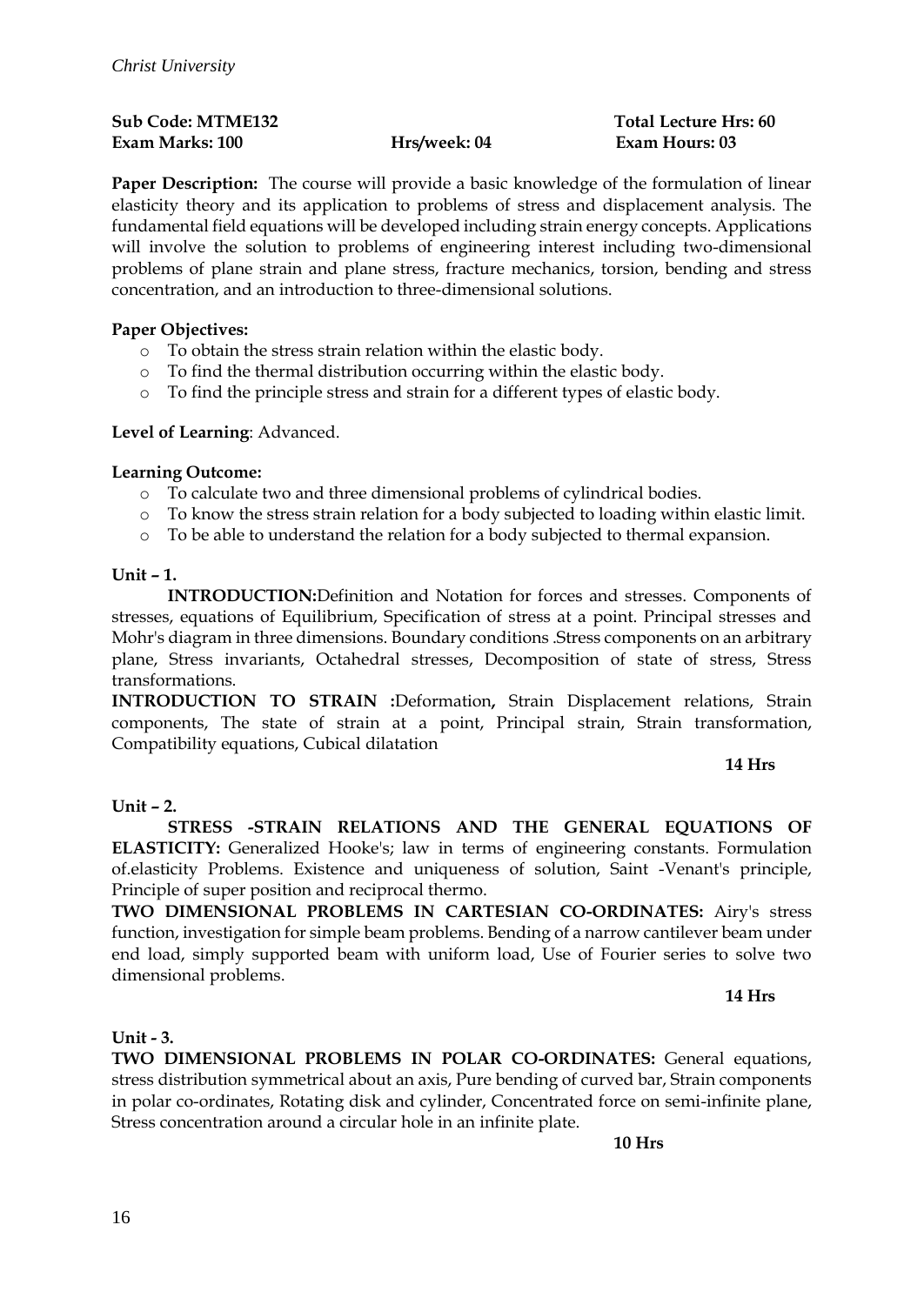| <b>Sub Code: MTME132</b> |              | Total Lecture Hrs: 60 |
|--------------------------|--------------|-----------------------|
| Exam Marks: 100          | Hrs/week: 04 | Exam Hours: 03        |

**Paper Description:** The course will provide a basic knowledge of the formulation of linear elasticity theory and its application to problems of stress and displacement analysis. The fundamental field equations will be developed including strain energy concepts. Applications will involve the solution to problems of engineering interest including two-dimensional problems of plane strain and plane stress, fracture mechanics, torsion, bending and stress concentration, and an introduction to three-dimensional solutions.

#### **Paper Objectives:**

- o To obtain the stress strain relation within the elastic body.
- o To find the thermal distribution occurring within the elastic body.
- o To find the principle stress and strain for a different types of elastic body.

#### **Level of Learning**: Advanced.

#### **Learning Outcome:**

- o To calculate two and three dimensional problems of cylindrical bodies.
- o To know the stress strain relation for a body subjected to loading within elastic limit.
- o To be able to understand the relation for a body subjected to thermal expansion.

#### **Unit – 1.**

**INTRODUCTION:**Definition and Notation for forces and stresses. Components of stresses, equations of Equilibrium, Specification of stress at a point. Principal stresses and Mohr's diagram in three dimensions. Boundary conditions .Stress components on an arbitrary plane, Stress invariants, Octahedral stresses, Decomposition of state of stress, Stress transformations.

**INTRODUCTION TO STRAIN :**Deformation**,** Strain Displacement relations, Strain components, The state of strain at a point, Principal strain, Strain transformation, Compatibility equations, Cubical dilatation

#### **14 Hrs**

#### **Unit – 2.**

**STRESS -STRAIN RELATIONS AND THE GENERAL EQUATIONS OF ELASTICITY:** Generalized Hooke's; law in terms of engineering constants. Formulation of.elasticity Problems. Existence and uniqueness of solution, Saint -Venant's principle, Principle of super position and reciprocal thermo.

**TWO DIMENSIONAL PROBLEMS IN CARTESIAN CO-ORDINATES:** Airy's stress function, investigation for simple beam problems. Bending of a narrow cantilever beam under end load, simply supported beam with uniform load, Use of Fourier series to solve two dimensional problems.

#### **14 Hrs**

#### **Unit - 3.**

**TWO DIMENSIONAL PROBLEMS IN POLAR CO-ORDINATES:** General equations, stress distribution symmetrical about an axis, Pure bending of curved bar, Strain components in polar co-ordinates, Rotating disk and cylinder, Concentrated force on semi-infinite plane, Stress concentration around a circular hole in an infinite plate.

#### **10 Hrs**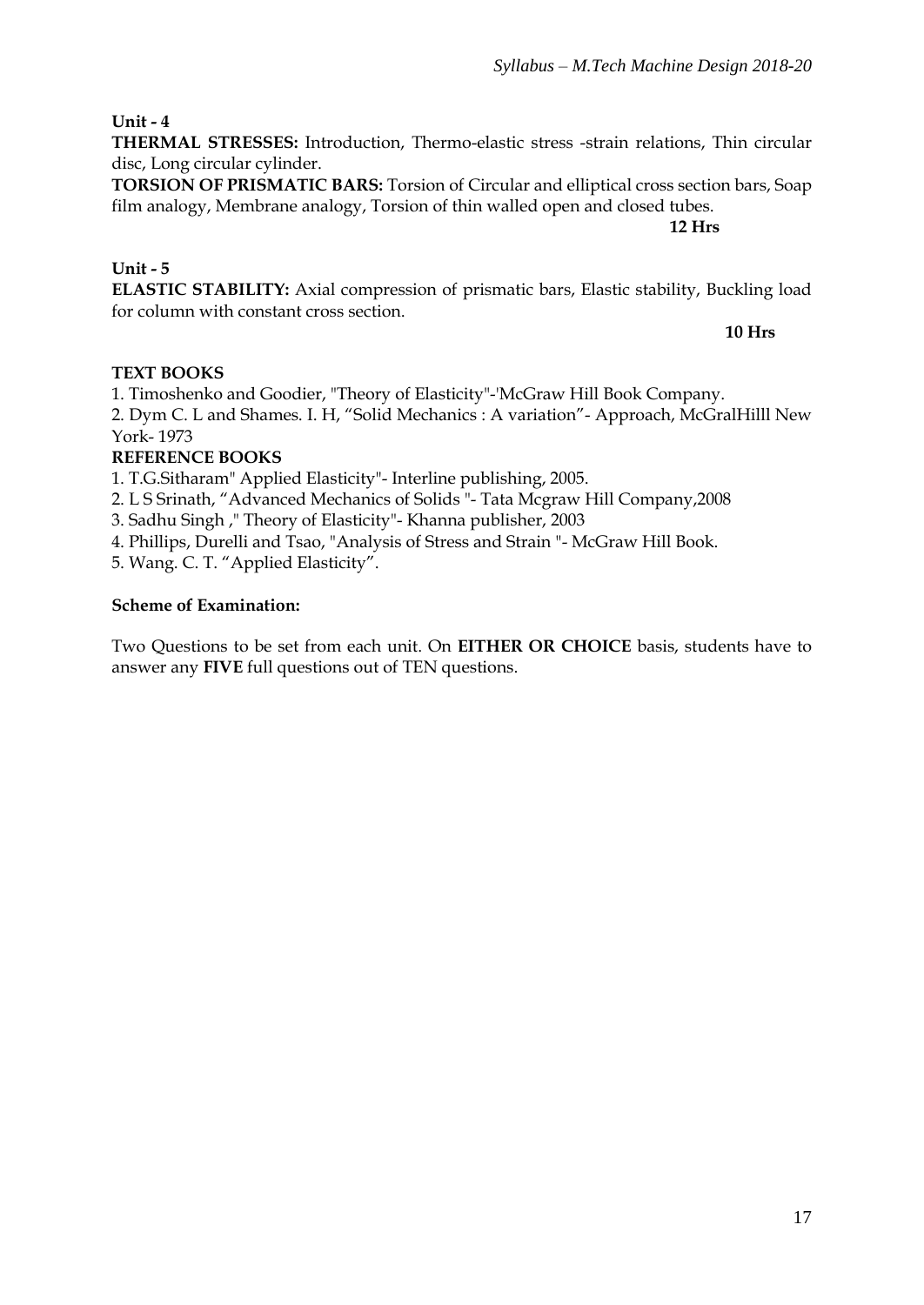### **Unit - 4**

**THERMAL STRESSES:** Introduction, Thermo-elastic stress -strain relations, Thin circular disc, Long circular cylinder.

**TORSION OF PRISMATIC BARS:** Torsion of Circular and elliptical cross section bars, Soap film analogy, Membrane analogy, Torsion of thin walled open and closed tubes.

**12 Hrs**

# **Unit - 5**

**ELASTIC STABILITY:** Axial compression of prismatic bars, Elastic stability, Buckling load for column with constant cross section.

**10 Hrs**

### **TEXT BOOKS**

1. Timoshenko and Goodier, "Theory of Elasticity"-'McGraw Hill Book Company.

2. Dym C. L and Shames. I. H, "Solid Mechanics : A variation"- Approach, McGralHilll New York- 1973

### **REFERENCE BOOKS**

1. T.G.Sitharam" Applied Elasticity"- Interline publishing, 2005.

2. L S Srinath, "Advanced Mechanics of Solids "- Tata Mcgraw Hill Company,2008

3. Sadhu Singh ," Theory of Elasticity"- Khanna publisher, 2003

4. Phillips, Durelli and Tsao, "Analysis of Stress and Strain "- McGraw Hill Book.

5. Wang. C. T. "Applied Elasticity".

#### **Scheme of Examination:**

Two Questions to be set from each unit. On **EITHER OR CHOICE** basis, students have to answer any **FIVE** full questions out of TEN questions.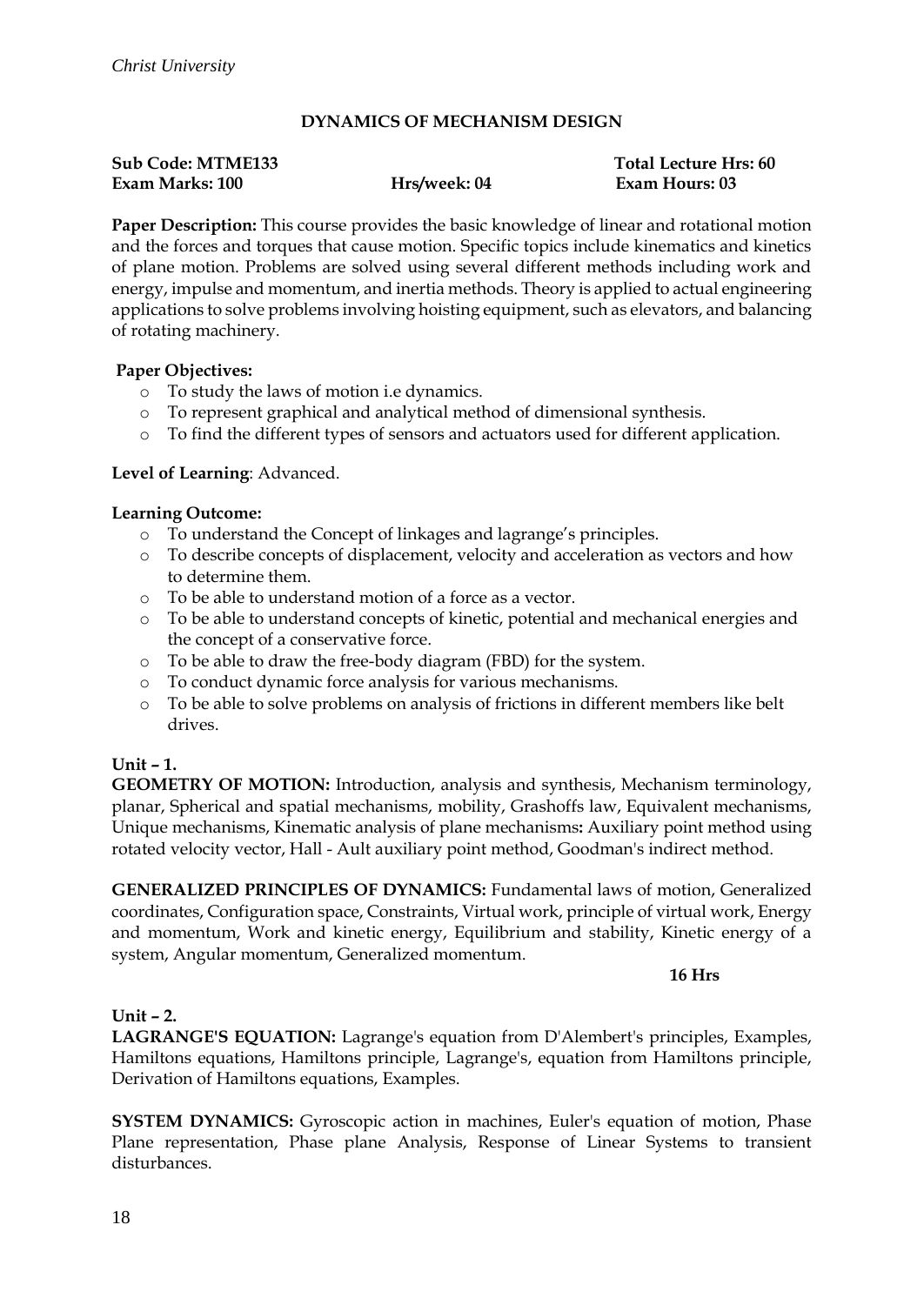#### **DYNAMICS OF MECHANISM DESIGN**

| <b>Sub Code: MTME133</b> |              | Total Lecture Hrs: 60 |
|--------------------------|--------------|-----------------------|
| Exam Marks: 100          | Hrs/week: 04 | Exam Hours: 03        |

**Paper Description:** This course provides the basic knowledge of linear and rotational motion and the forces and torques that cause motion. Specific topics include kinematics and kinetics of plane motion. Problems are solved using several different methods including work and energy, impulse and momentum, and inertia methods. Theory is applied to actual engineering applications to solve problems involving hoisting equipment, such as elevators, and balancing of rotating machinery.

#### **Paper Objectives:**

- o To study the laws of motion i.e dynamics.
- o To represent graphical and analytical method of dimensional synthesis.
- o To find the different types of sensors and actuators used for different application.

### **Level of Learning**: Advanced.

#### **Learning Outcome:**

- o To understand the Concept of linkages and lagrange's principles.
- o To describe concepts of displacement, velocity and acceleration as vectors and how to determine them.
- o To be able to understand motion of a force as a vector.
- o To be able to understand concepts of kinetic, potential and mechanical energies and the concept of a conservative force.
- o To be able to draw the free-body diagram (FBD) for the system.
- o To conduct dynamic force analysis for various mechanisms.
- o To be able to solve problems on analysis of frictions in different members like belt drives.

### **Unit – 1.**

**GEOMETRY OF MOTION:** Introduction, analysis and synthesis, Mechanism terminology, planar, Spherical and spatial mechanisms, mobility, Grashoffs law, Equivalent mechanisms, Unique mechanisms, Kinematic analysis of plane mechanisms**:** Auxiliary point method using rotated velocity vector, Hall - Ault auxiliary point method, Goodman's indirect method.

**GENERALIZED PRINCIPLES OF DYNAMICS:** Fundamental laws of motion, Generalized coordinates, Configuration space, Constraints, Virtual work, principle of virtual work, Energy and momentum, Work and kinetic energy, Equilibrium and stability, Kinetic energy of a system, Angular momentum, Generalized momentum.

#### **16 Hrs**

### **Unit – 2.**

**LAGRANGE'S EQUATION:** Lagrange's equation from D'Alembert's principles, Examples, Hamiltons equations, Hamiltons principle, Lagrange's, equation from Hamiltons principle, Derivation of Hamiltons equations, Examples.

**SYSTEM DYNAMICS:** Gyroscopic action in machines, Euler's equation of motion, Phase Plane representation, Phase plane Analysis, Response of Linear Systems to transient disturbances.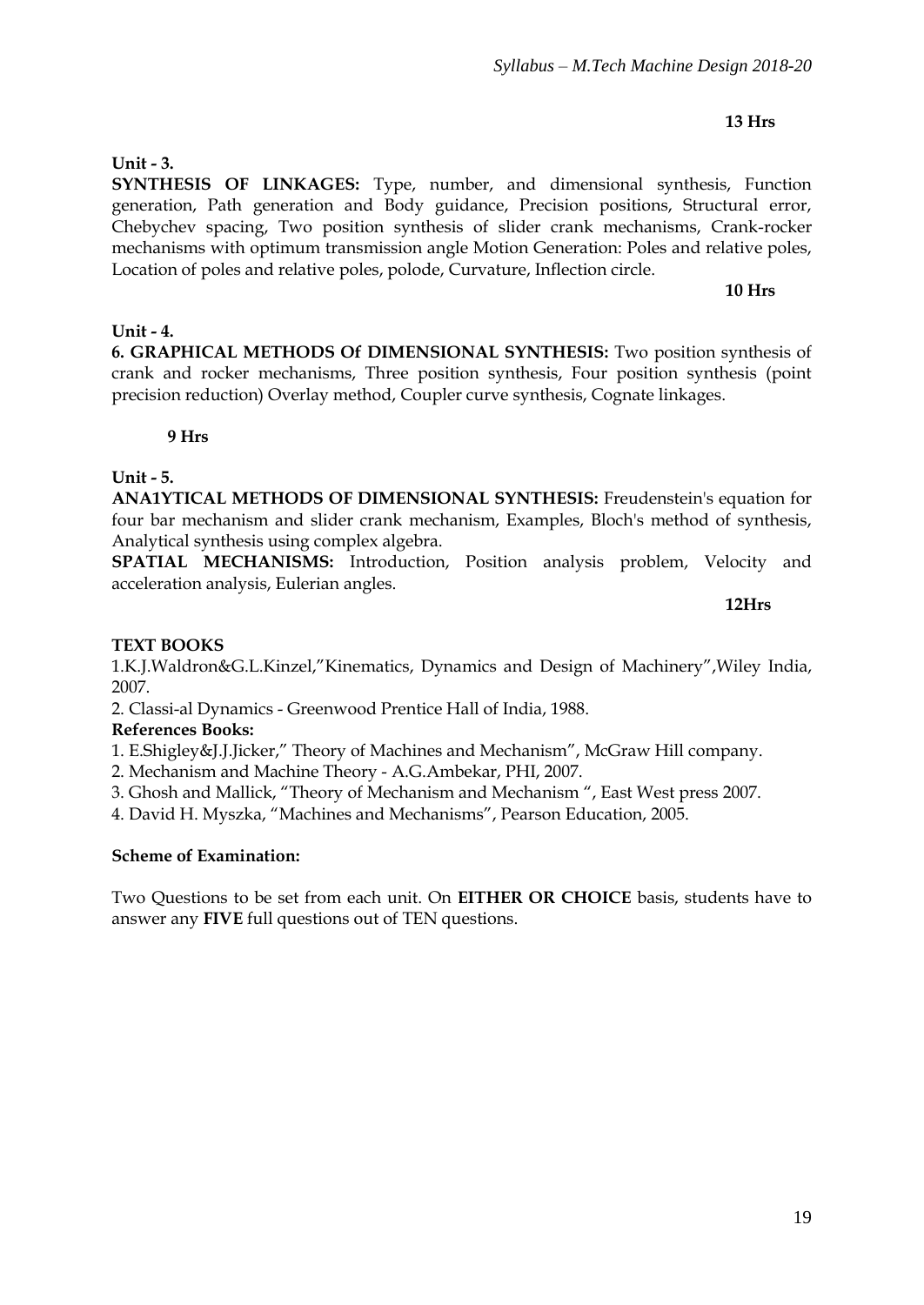# **13 Hrs**

### **Unit - 3.**

**SYNTHESIS OF LINKAGES:** Type, number, and dimensional synthesis, Function generation, Path generation and Body guidance, Precision positions, Structural error, Chebychev spacing, Two position synthesis of slider crank mechanisms, Crank-rocker mechanisms with optimum transmission angle Motion Generation: Poles and relative poles, Location of poles and relative poles, polode, Curvature, Inflection circle.

**10 Hrs**

### **Unit - 4.**

**6. GRAPHICAL METHODS Of DIMENSIONAL SYNTHESIS:** Two position synthesis of crank and rocker mechanisms, Three position synthesis, Four position synthesis (point precision reduction) Overlay method, Coupler curve synthesis, Cognate linkages.

#### **9 Hrs**

# **Unit - 5.**

**ANA1YTICAL METHODS OF DIMENSIONAL SYNTHESIS:** Freudenstein's equation for four bar mechanism and slider crank mechanism, Examples, Bloch's method of synthesis, Analytical synthesis using complex algebra.

**SPATIAL MECHANISMS:** Introduction, Position analysis problem, Velocity and acceleration analysis, Eulerian angles.

**12Hrs**

### **TEXT BOOKS**

1.K.J.Waldron&G.L.Kinzel,"Kinematics, Dynamics and Design of Machinery",Wiley India, 2007.

2. Classi-al Dynamics - Greenwood Prentice Hall of India, 1988.

#### **References Books:**

1. E.Shigley&J.J.Jicker," Theory of Machines and Mechanism", McGraw Hill company.

2. Mechanism and Machine Theory - A.G.Ambekar, PHI, 2007.

3. Ghosh and Mallick, "Theory of Mechanism and Mechanism ", East West press 2007.

4. David H. Myszka, "Machines and Mechanisms", Pearson Education, 2005.

### **Scheme of Examination:**

Two Questions to be set from each unit. On **EITHER OR CHOICE** basis, students have to answer any **FIVE** full questions out of TEN questions.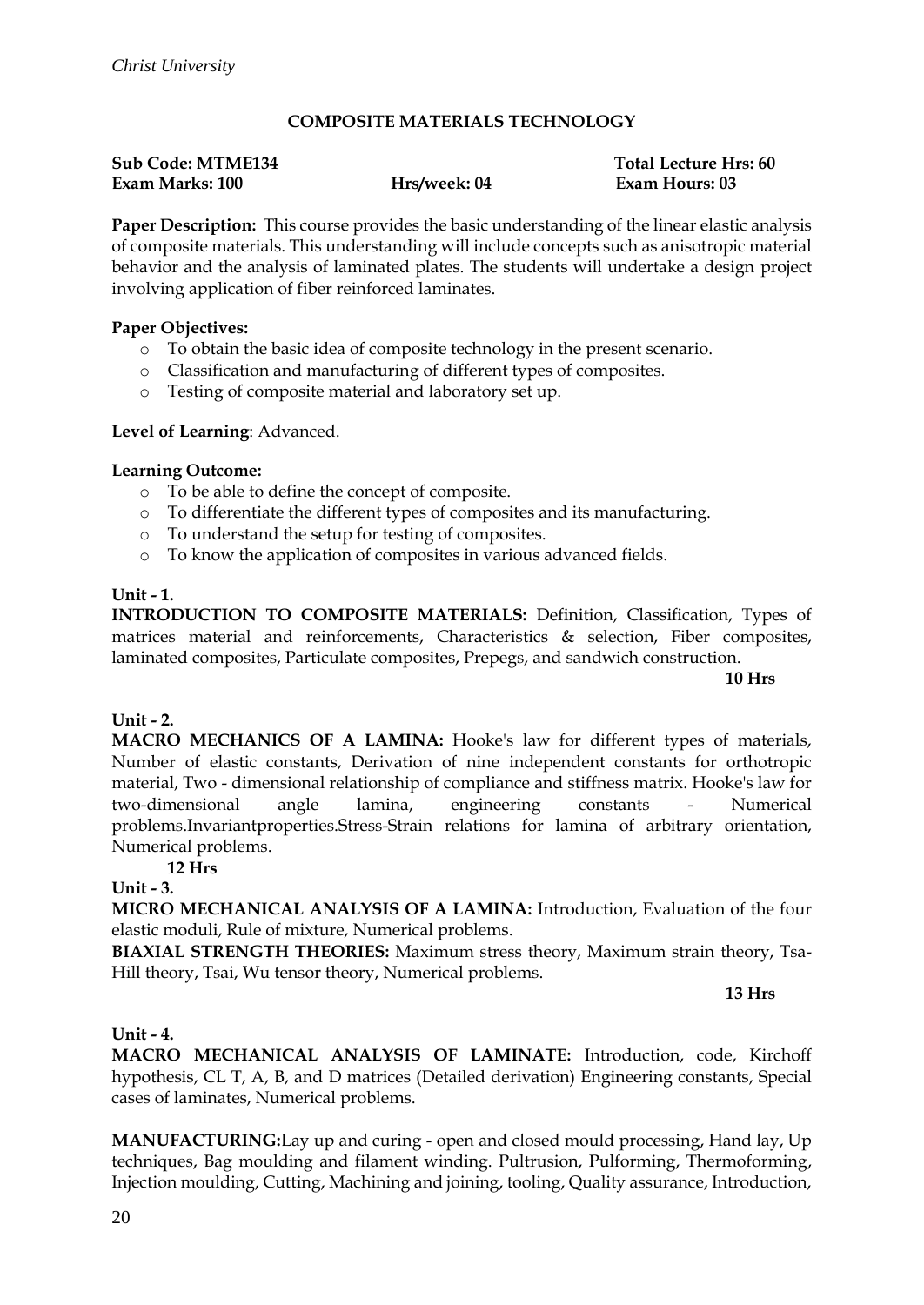#### **COMPOSITE MATERIALS TECHNOLOGY**

| <b>Sub Code: MTME134</b> |              | Total Lecture Hrs: 60 |
|--------------------------|--------------|-----------------------|
| Exam Marks: 100          | Hrs/week: 04 | Exam Hours: 03        |

**Paper Description:** This course provides the basic understanding of the linear elastic analysis of composite materials. This understanding will include concepts such as anisotropic material behavior and the analysis of laminated plates. The students will undertake a design project involving application of fiber reinforced laminates.

#### **Paper Objectives:**

- o To obtain the basic idea of composite technology in the present scenario.
- o Classification and manufacturing of different types of composites.
- o Testing of composite material and laboratory set up.

### **Level of Learning**: Advanced.

#### **Learning Outcome:**

- o To be able to define the concept of composite.
- o To differentiate the different types of composites and its manufacturing.
- o To understand the setup for testing of composites.
- o To know the application of composites in various advanced fields.

### **Unit - 1.**

**INTRODUCTION TO COMPOSITE MATERIALS:** Definition, Classification, Types of matrices material and reinforcements, Characteristics & selection, Fiber composites, laminated composites, Particulate composites, Prepegs, and sandwich construction.

#### **10 Hrs**

### **Unit - 2.**

**MACRO MECHANICS OF A LAMINA:** Hooke's law for different types of materials, Number of elastic constants, Derivation of nine independent constants for orthotropic material, Two - dimensional relationship of compliance and stiffness matrix. Hooke's law for two-dimensional angle lamina, engineering constants - Numerical problems.Invariantproperties.Stress-Strain relations for lamina of arbitrary orientation, Numerical problems.

### **12 Hrs**

### **Unit - 3.**

**MICRO MECHANICAL ANALYSIS OF A LAMINA:** Introduction, Evaluation of the four elastic moduli, Rule of mixture, Numerical problems.

**BIAXIAL STRENGTH THEORIES:** Maximum stress theory, Maximum strain theory, Tsa-Hill theory, Tsai, Wu tensor theory, Numerical problems.

#### **13 Hrs**

### **Unit - 4.**

**MACRO MECHANICAL ANALYSIS OF LAMINATE:** Introduction, code, Kirchoff hypothesis, CL T, A, B, and D matrices (Detailed derivation) Engineering constants, Special cases of laminates, Numerical problems.

**MANUFACTURING:**Lay up and curing - open and closed mould processing, Hand lay, Up techniques, Bag moulding and filament winding. Pultrusion, Pulforming, Thermoforming, Injection moulding, Cutting, Machining and joining, tooling, Quality assurance, Introduction,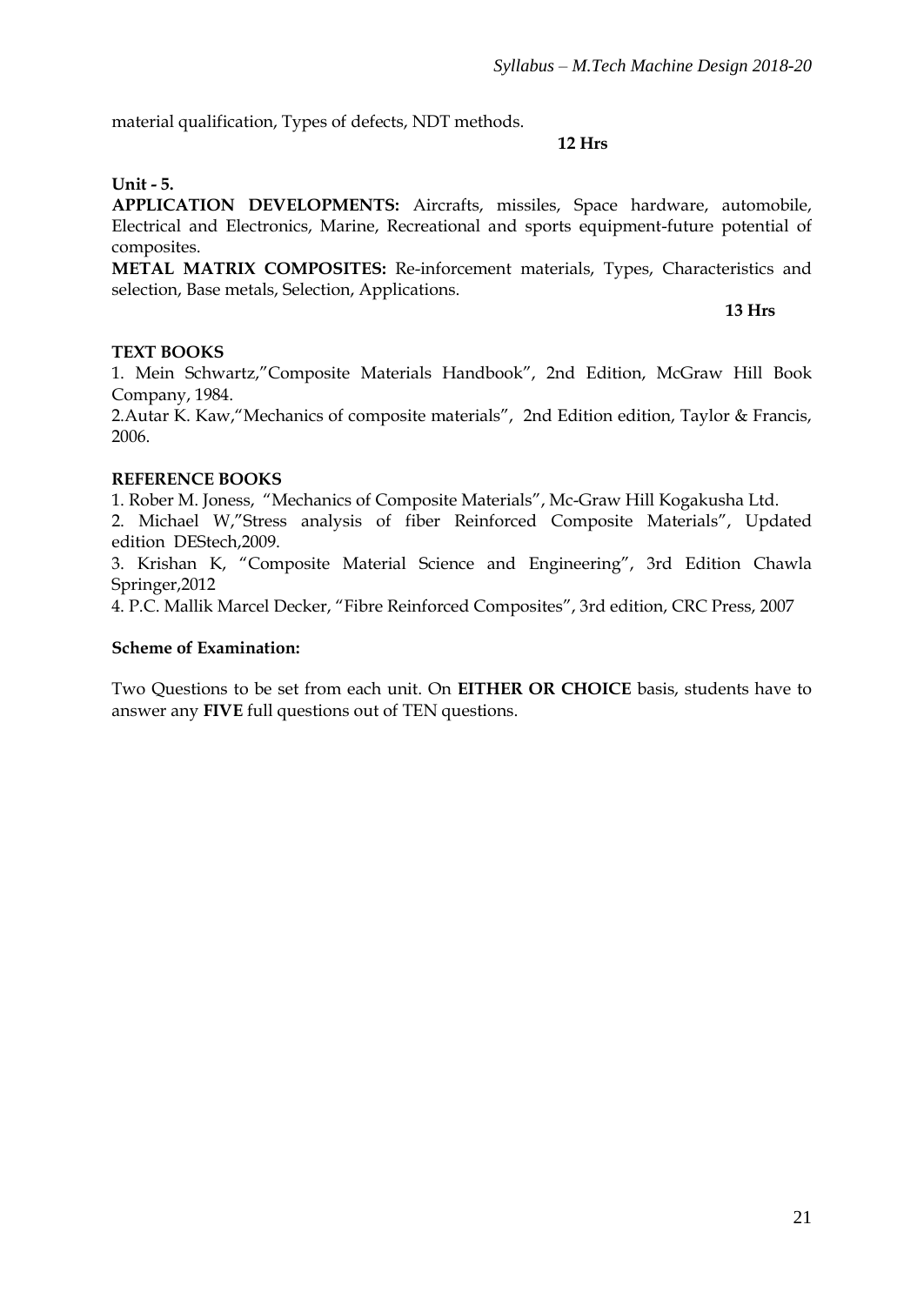material qualification, Types of defects, NDT methods.

#### **12 Hrs**

**Unit - 5.**

**APPLICATION DEVELOPMENTS:** Aircrafts, missiles, Space hardware, automobile, Electrical and Electronics, Marine, Recreational and sports equipment-future potential of composites.

**METAL MATRIX COMPOSITES:** Re-inforcement materials, Types, Characteristics and selection, Base metals, Selection, Applications.

**13 Hrs**

#### **TEXT BOOKS**

1. Mein Schwartz,"Composite Materials Handbook", 2nd Edition, McGraw Hill Book Company, 1984.

2.Autar K. Kaw,"Mechanics of composite materials", 2nd Edition edition, Taylor & Francis, 2006.

#### **REFERENCE BOOKS**

1. Rober M. Joness, "Mechanics of Composite Materials", Mc-Graw Hill Kogakusha Ltd.

2. Michael W,"Stress analysis of fiber Reinforced Composite Materials", Updated edition DEStech,2009.

3. Krishan K, "Composite Material Science and Engineering", 3rd Edition Chawla Springer,2012

4. P.C. Mallik Marcel Decker, "Fibre Reinforced Composites", 3rd edition, CRC Press, 2007

#### **Scheme of Examination:**

Two Questions to be set from each unit. On **EITHER OR CHOICE** basis, students have to answer any **FIVE** full questions out of TEN questions.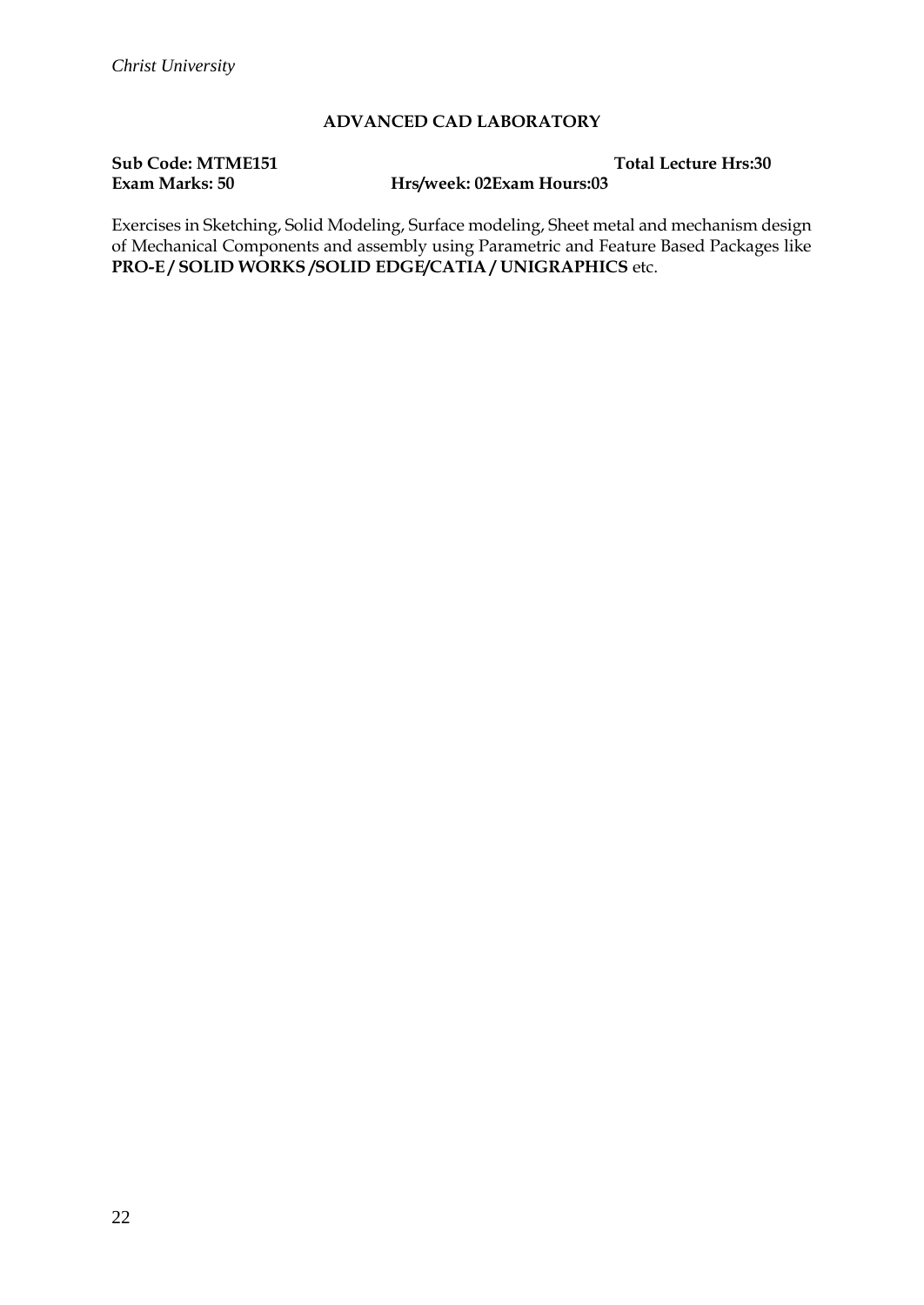#### **ADVANCED CAD LABORATORY**

# **Sub Code: MTME151** Total Lecture Hrs:30

**Exam Marks: 50 Hrs/week: 02Exam Hours:03**

Exercises in Sketching, Solid Modeling, Surface modeling, Sheet metal and mechanism design of Mechanical Components and assembly using Parametric and Feature Based Packages like **PRO-E / SOLID WORKS /SOLID EDGE/CATIA / UNIGRAPHICS** etc.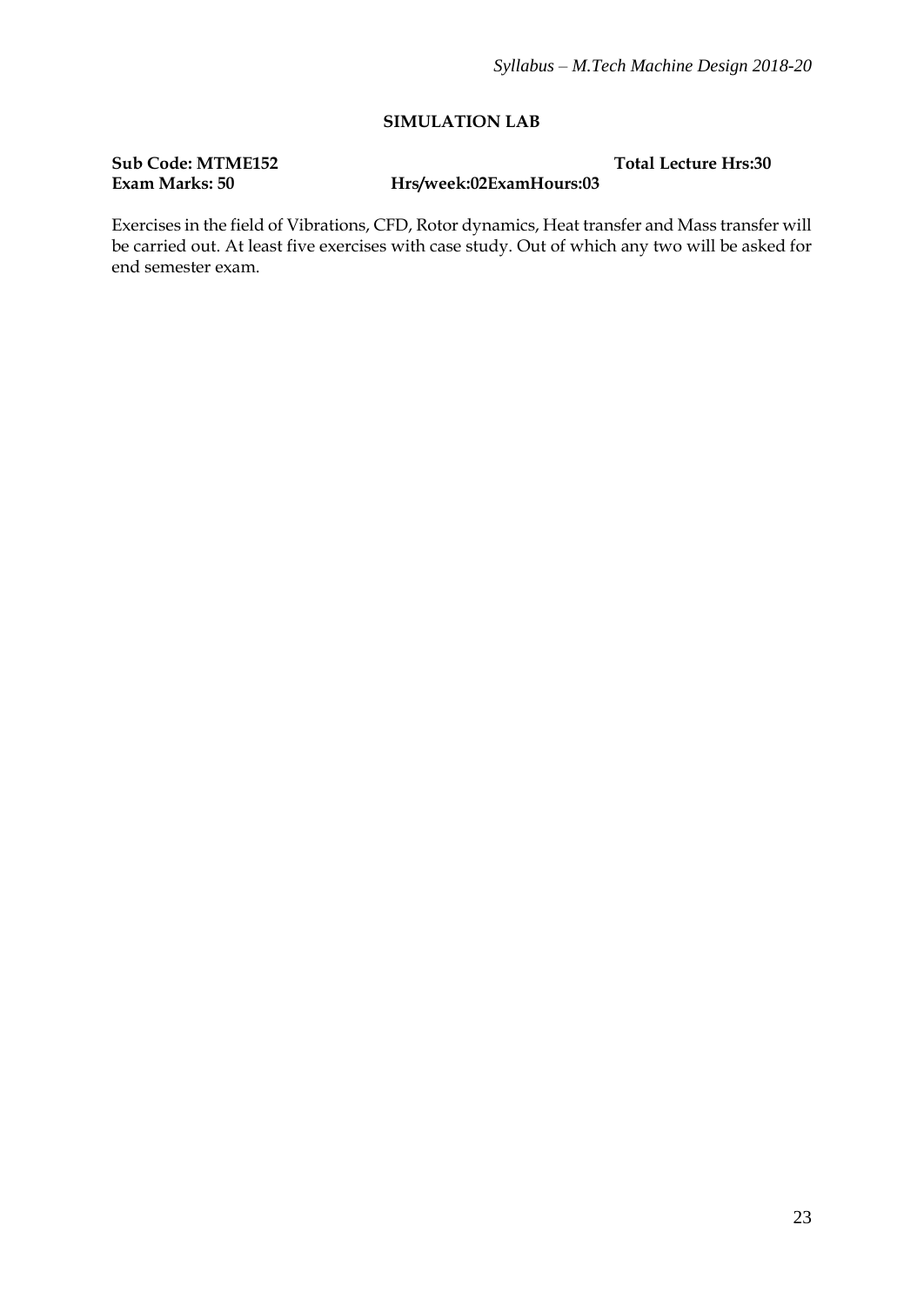#### **SIMULATION LAB**

#### **Sub Code: MTME152** Total Lecture Hrs:30 **Exam Marks: 50 Hrs/week:02ExamHours:03**

Exercises in the field of Vibrations, CFD, Rotor dynamics, Heat transfer and Mass transfer will be carried out. At least five exercises with case study. Out of which any two will be asked for end semester exam.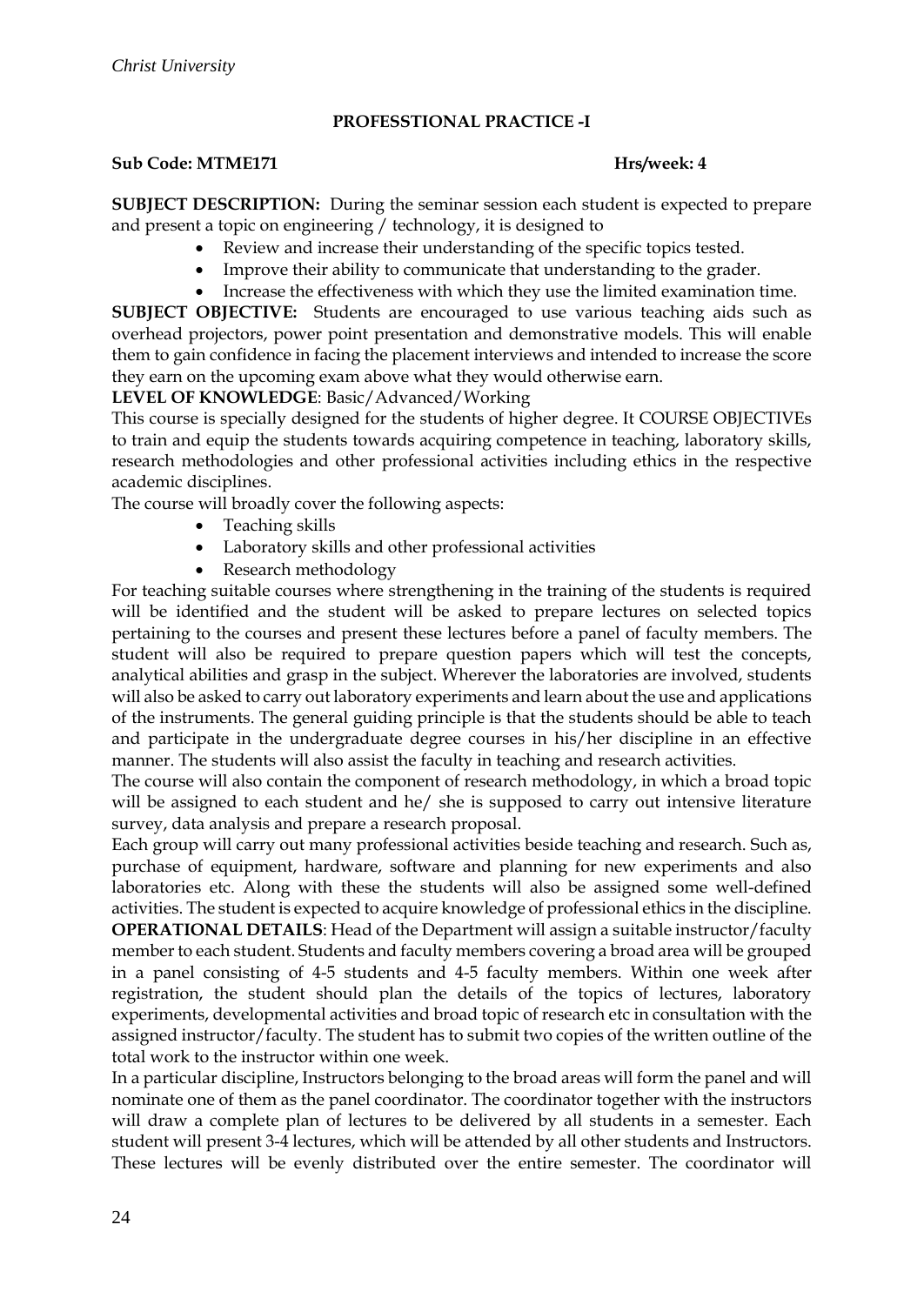#### **PROFESSTIONAL PRACTICE -I**

#### **Sub Code: MTME171 Hrs/week: 4**

**SUBJECT DESCRIPTION:** During the seminar session each student is expected to prepare and present a topic on engineering / technology, it is designed to

- Review and increase their understanding of the specific topics tested.
- Improve their ability to communicate that understanding to the grader.
- Increase the effectiveness with which they use the limited examination time.

**SUBJECT OBJECTIVE:** Students are encouraged to use various teaching aids such as overhead projectors, power point presentation and demonstrative models. This will enable them to gain confidence in facing the placement interviews and intended to increase the score they earn on the upcoming exam above what they would otherwise earn.

**LEVEL OF KNOWLEDGE**: Basic/Advanced/Working

This course is specially designed for the students of higher degree. It COURSE OBJECTIVEs to train and equip the students towards acquiring competence in teaching, laboratory skills, research methodologies and other professional activities including ethics in the respective academic disciplines.

The course will broadly cover the following aspects:

- Teaching skills
- Laboratory skills and other professional activities
- Research methodology

For teaching suitable courses where strengthening in the training of the students is required will be identified and the student will be asked to prepare lectures on selected topics pertaining to the courses and present these lectures before a panel of faculty members. The student will also be required to prepare question papers which will test the concepts, analytical abilities and grasp in the subject. Wherever the laboratories are involved, students will also be asked to carry out laboratory experiments and learn about the use and applications of the instruments. The general guiding principle is that the students should be able to teach and participate in the undergraduate degree courses in his/her discipline in an effective manner. The students will also assist the faculty in teaching and research activities.

The course will also contain the component of research methodology, in which a broad topic will be assigned to each student and he/ she is supposed to carry out intensive literature survey, data analysis and prepare a research proposal.

Each group will carry out many professional activities beside teaching and research. Such as, purchase of equipment, hardware, software and planning for new experiments and also laboratories etc. Along with these the students will also be assigned some well-defined activities. The student is expected to acquire knowledge of professional ethics in the discipline. **OPERATIONAL DETAILS**: Head of the Department will assign a suitable instructor/faculty member to each student. Students and faculty members covering a broad area will be grouped in a panel consisting of 4-5 students and 4-5 faculty members. Within one week after registration, the student should plan the details of the topics of lectures, laboratory experiments, developmental activities and broad topic of research etc in consultation with the assigned instructor/faculty. The student has to submit two copies of the written outline of the total work to the instructor within one week.

In a particular discipline, Instructors belonging to the broad areas will form the panel and will nominate one of them as the panel coordinator. The coordinator together with the instructors will draw a complete plan of lectures to be delivered by all students in a semester. Each student will present 3-4 lectures, which will be attended by all other students and Instructors. These lectures will be evenly distributed over the entire semester. The coordinator will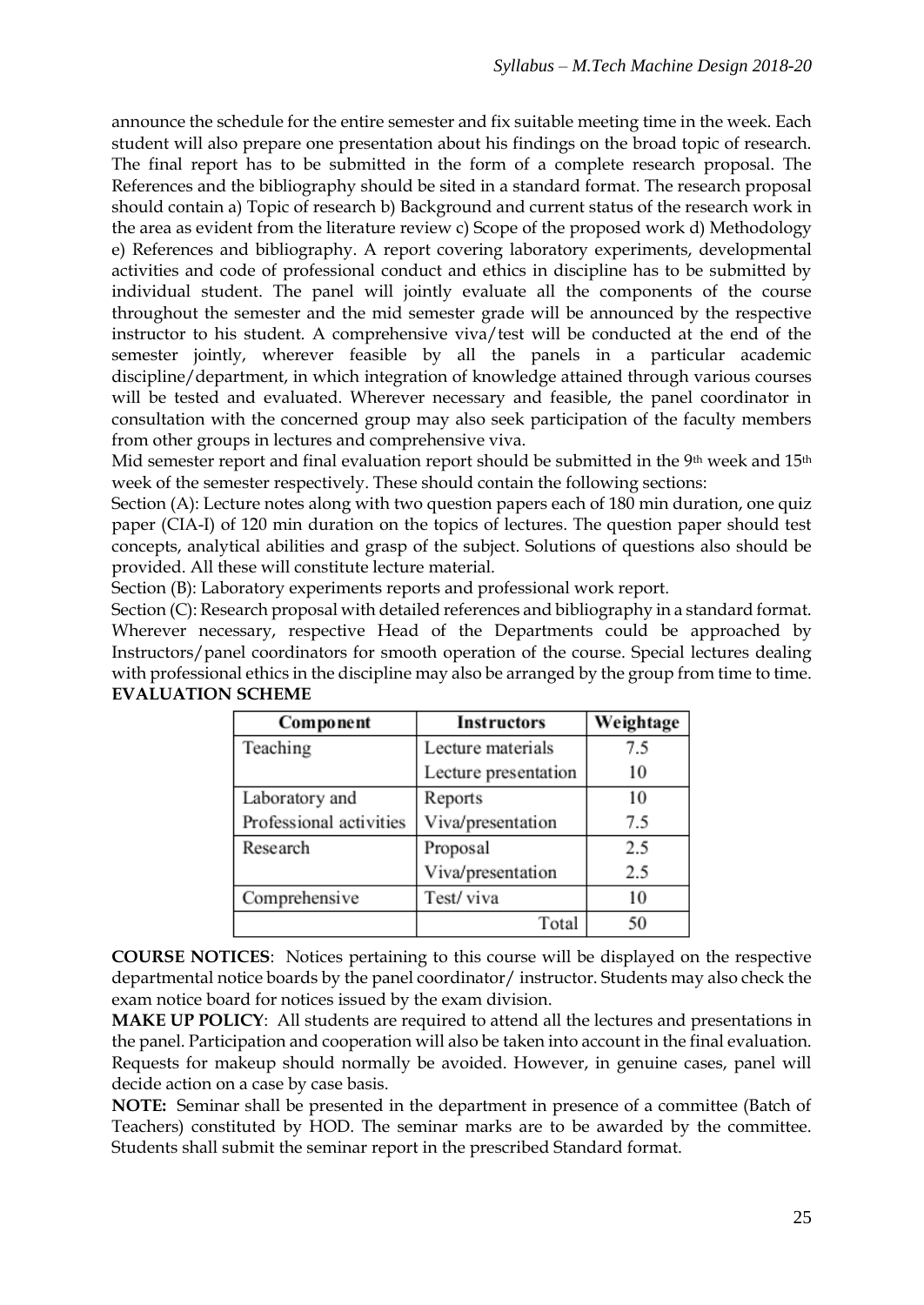announce the schedule for the entire semester and fix suitable meeting time in the week. Each student will also prepare one presentation about his findings on the broad topic of research. The final report has to be submitted in the form of a complete research proposal. The References and the bibliography should be sited in a standard format. The research proposal should contain a) Topic of research b) Background and current status of the research work in the area as evident from the literature review c) Scope of the proposed work d) Methodology e) References and bibliography. A report covering laboratory experiments, developmental activities and code of professional conduct and ethics in discipline has to be submitted by individual student. The panel will jointly evaluate all the components of the course throughout the semester and the mid semester grade will be announced by the respective instructor to his student. A comprehensive viva/test will be conducted at the end of the semester jointly, wherever feasible by all the panels in a particular academic discipline/department, in which integration of knowledge attained through various courses will be tested and evaluated. Wherever necessary and feasible, the panel coordinator in consultation with the concerned group may also seek participation of the faculty members from other groups in lectures and comprehensive viva.

Mid semester report and final evaluation report should be submitted in the 9<sup>th</sup> week and 15<sup>th</sup> week of the semester respectively. These should contain the following sections:

Section (A): Lecture notes along with two question papers each of 180 min duration, one quiz paper (CIA-I) of 120 min duration on the topics of lectures. The question paper should test concepts, analytical abilities and grasp of the subject. Solutions of questions also should be provided. All these will constitute lecture material.

Section (B): Laboratory experiments reports and professional work report.

Section (C): Research proposal with detailed references and bibliography in a standard format. Wherever necessary, respective Head of the Departments could be approached by Instructors/panel coordinators for smooth operation of the course. Special lectures dealing with professional ethics in the discipline may also be arranged by the group from time to time. **EVALUATION SCHEME** 

| Component               | <b>Instructors</b>   | Weightage |
|-------------------------|----------------------|-----------|
| Teaching                | Lecture materials    | 7.5       |
|                         | Lecture presentation | 10        |
| Laboratory and          | Reports              | 10        |
| Professional activities | Viva/presentation    | 7.5       |
| Research                | Proposal             | 2.5       |
|                         | Viva/presentation    | 2.5       |
| Comprehensive           | Test/viva            | 10        |
|                         | Total                | 50        |

**COURSE NOTICES**: Notices pertaining to this course will be displayed on the respective departmental notice boards by the panel coordinator/ instructor. Students may also check the exam notice board for notices issued by the exam division.

**MAKE UP POLICY**: All students are required to attend all the lectures and presentations in the panel. Participation and cooperation will also be taken into account in the final evaluation. Requests for makeup should normally be avoided. However, in genuine cases, panel will decide action on a case by case basis.

**NOTE:** Seminar shall be presented in the department in presence of a committee (Batch of Teachers) constituted by HOD. The seminar marks are to be awarded by the committee. Students shall submit the seminar report in the prescribed Standard format.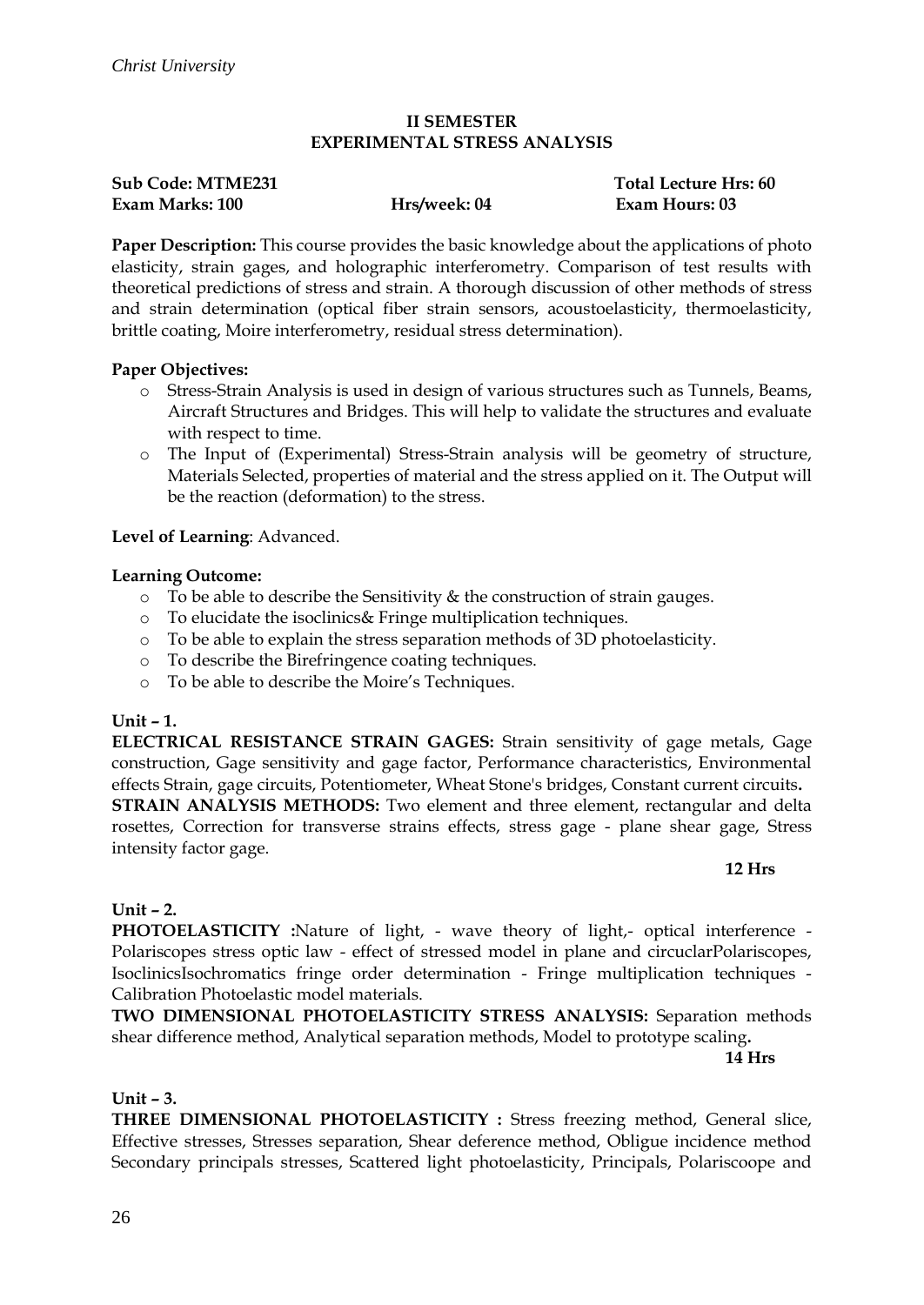#### **II SEMESTER EXPERIMENTAL STRESS ANALYSIS**

#### **Sub Code: MTME231 Total Lecture Hrs:** 60 **Exam Marks: 100 Hrs/week: 04 Exam Hours: 03**

**Paper Description:** This course provides the basic knowledge about the applications of photo elasticity, strain gages, and holographic interferometry. Comparison of test results with theoretical predictions of stress and strain. A thorough discussion of other methods of stress and strain determination (optical fiber strain sensors, acoustoelasticity, thermoelasticity, brittle coating, Moire interferometry, residual stress determination).

#### **Paper Objectives:**

- o Stress-Strain Analysis is used in design of various structures such as Tunnels, Beams, Aircraft Structures and Bridges. This will help to validate the structures and evaluate with respect to time.
- o The Input of (Experimental) Stress-Strain analysis will be geometry of structure, Materials Selected, properties of material and the stress applied on it. The Output will be the reaction (deformation) to the stress.

#### **Level of Learning**: Advanced.

#### **Learning Outcome:**

- o To be able to describe the Sensitivity & the construction of strain gauges.
- o To elucidate the isoclinics& Fringe multiplication techniques.
- o To be able to explain the stress separation methods of 3D photoelasticity.
- o To describe the Birefringence coating techniques.
- o To be able to describe the Moire's Techniques.

#### **Unit – 1.**

**ELECTRICAL RESISTANCE STRAIN GAGES:** Strain sensitivity of gage metals, Gage construction, Gage sensitivity and gage factor, Performance characteristics, Environmental effects Strain, gage circuits, Potentiometer, Wheat Stone's bridges, Constant current circuits**. STRAIN ANALYSIS METHODS:** Two element and three element, rectangular and delta rosettes, Correction for transverse strains effects, stress gage - plane shear gage, Stress intensity factor gage.

#### **12 Hrs**

### **Unit – 2.**

PHOTOELASTICITY :Nature of light, - wave theory of light,- optical interference -Polariscopes stress optic law - effect of stressed model in plane and circuclarPolariscopes, IsoclinicsIsochromatics fringe order determination - Fringe multiplication techniques - Calibration Photoelastic model materials.

**TWO DIMENSIONAL PHOTOELASTICITY STRESS ANALYSIS:** Separation methods shear difference method, Analytical separation methods, Model to prototype scaling**.** 

**14 Hrs**

#### **Unit – 3.**

**THREE DIMENSIONAL PHOTOELASTICITY :** Stress freezing method, General slice, Effective stresses, Stresses separation, Shear deference method, Obligue incidence method Secondary principals stresses, Scattered light photoelasticity, Principals, Polariscoope and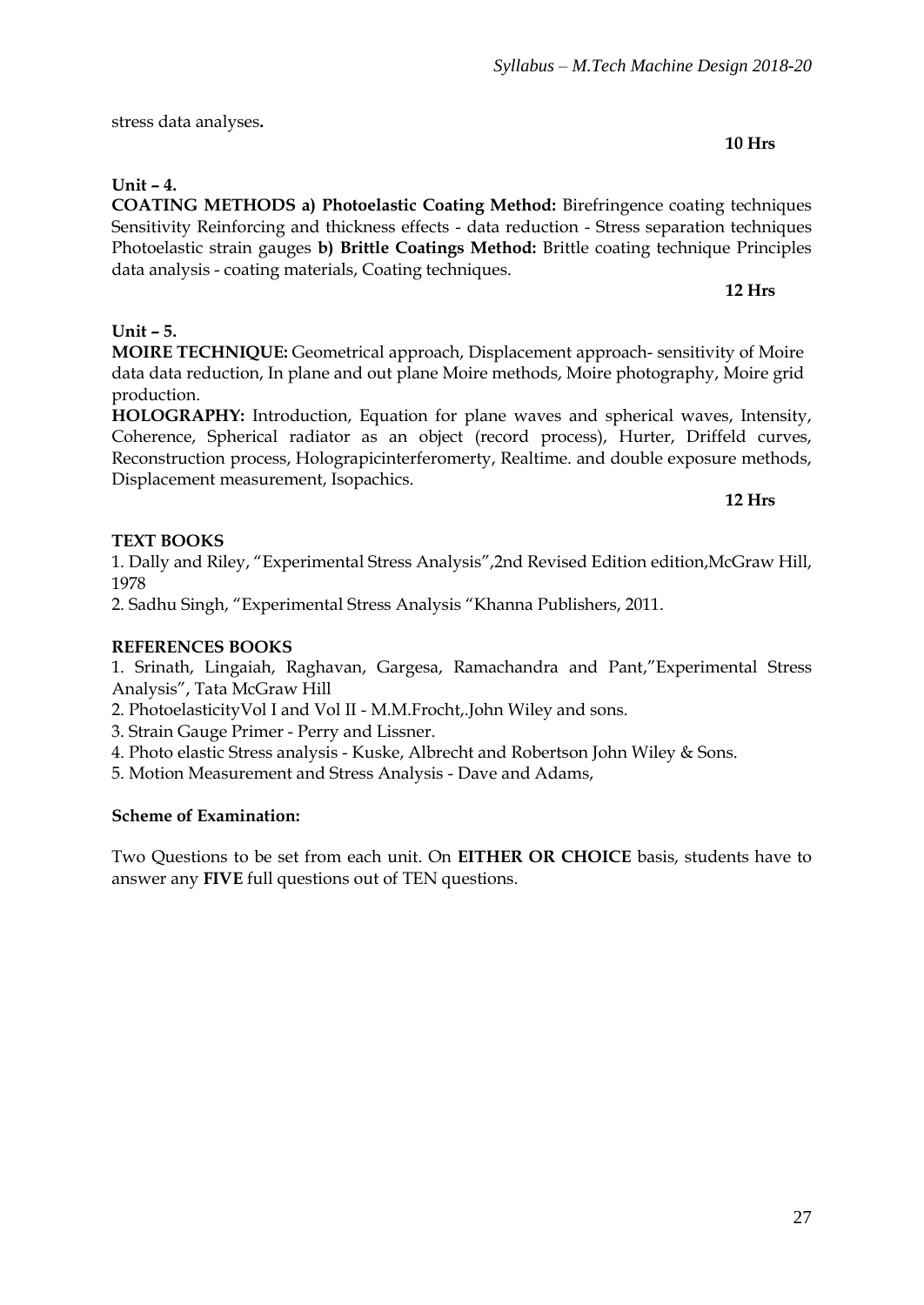stress data analyses**.** 

# **Unit – 4.**

**COATING METHODS a) Photoelastic Coating Method:** Birefringence coating techniques Sensitivity Reinforcing and thickness effects - data reduction - Stress separation techniques Photoelastic strain gauges **b) Brittle Coatings Method:** Brittle coating technique Principles data analysis - coating materials, Coating techniques.

**Unit – 5.**

### **MOIRE TECHNIQUE:** Geometrical approach, Displacement approach- sensitivity of Moire data data reduction, In plane and out plane Moire methods, Moire photography, Moire grid production.

**HOLOGRAPHY:** Introduction, Equation for plane waves and spherical waves, Intensity, Coherence, Spherical radiator as an object (record process), Hurter, Driffeld curves, Reconstruction process, Holograpicinterferomerty, Realtime. and double exposure methods, Displacement measurement, Isopachics.

#### **12 Hrs**

# **TEXT BOOKS**

1. Dally and Riley, "Experimental Stress Analysis",2nd Revised Edition edition,McGraw Hill, 1978

2. Sadhu Singh, "Experimental Stress Analysis "Khanna Publishers, 2011.

### **REFERENCES BOOKS**

1. Srinath, Lingaiah, Raghavan, Gargesa, Ramachandra and Pant,"Experimental Stress Analysis", Tata McGraw Hill

2. PhotoelasticityVol I and Vol II - M.M.Frocht,.John Wiley and sons.

3. Strain Gauge Primer - Perry and Lissner.

4. Photo elastic Stress analysis - Kuske, Albrecht and Robertson John Wiley & Sons.

5. Motion Measurement and Stress Analysis - Dave and Adams,

# **Scheme of Examination:**

Two Questions to be set from each unit. On **EITHER OR CHOICE** basis, students have to answer any **FIVE** full questions out of TEN questions.

**10 Hrs**

**12 Hrs**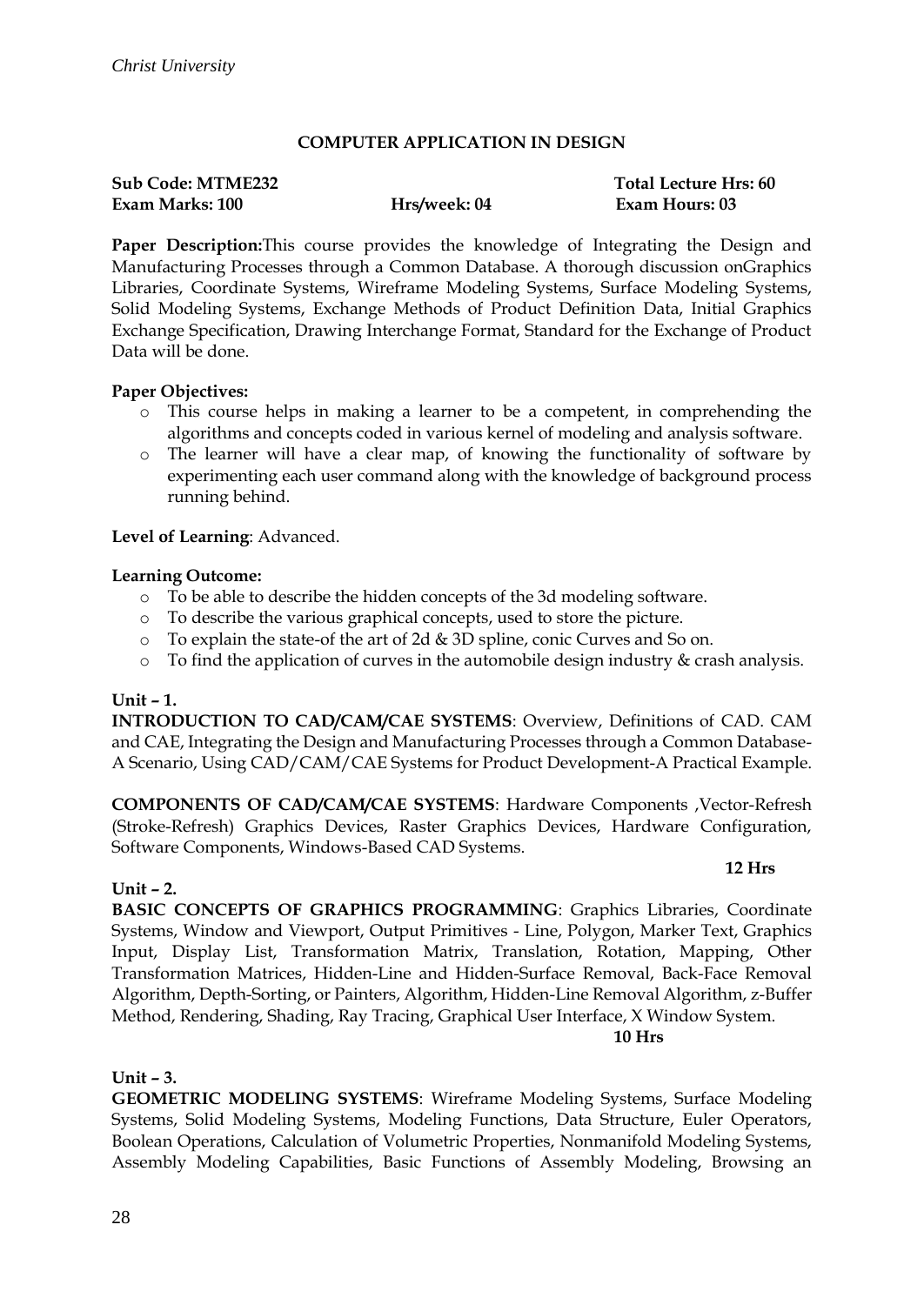#### **COMPUTER APPLICATION IN DESIGN**

### **Sub Code: MTME232 Total Lecture Hrs: 60 Exam Marks: 100 Hrs/week: 04 Exam Hours: 03**

**Paper Description:**This course provides the knowledge of Integrating the Design and Manufacturing Processes through a Common Database. A thorough discussion onGraphics Libraries, Coordinate Systems, Wireframe Modeling Systems, Surface Modeling Systems, Solid Modeling Systems, Exchange Methods of Product Definition Data, Initial Graphics Exchange Specification, Drawing Interchange Format, Standard for the Exchange of Product Data will be done.

#### **Paper Objectives:**

- o This course helps in making a learner to be a competent, in comprehending the algorithms and concepts coded in various kernel of modeling and analysis software.
- o The learner will have a clear map, of knowing the functionality of software by experimenting each user command along with the knowledge of background process running behind.

**Level of Learning**: Advanced.

#### **Learning Outcome:**

- o To be able to describe the hidden concepts of the 3d modeling software.
- o To describe the various graphical concepts, used to store the picture.
- o To explain the state-of the art of 2d & 3D spline, conic Curves and So on.
- o To find the application of curves in the automobile design industry & crash analysis.

### **Unit – 1.**

**INTRODUCTION TO CAD/CAM/CAE SYSTEMS**: Overview, Definitions of CAD. CAM and CAE, Integrating the Design and Manufacturing Processes through a Common Database-A Scenario, Using CAD/CAM/CAE Systems for Product Development-A Practical Example.

**COMPONENTS OF CAD/CAM/CAE SYSTEMS**: Hardware Components ,Vector-Refresh (Stroke-Refresh) Graphics Devices, Raster Graphics Devices, Hardware Configuration, Software Components, Windows-Based CAD Systems.

#### **Unit – 2.**

**BASIC CONCEPTS OF GRAPHICS PROGRAMMING**: Graphics Libraries, Coordinate Systems, Window and Viewport, Output Primitives - Line, Polygon, Marker Text, Graphics Input, Display List, Transformation Matrix, Translation, Rotation, Mapping, Other Transformation Matrices, Hidden-Line and Hidden-Surface Removal, Back-Face Removal Algorithm, Depth-Sorting, or Painters, Algorithm, Hidden-Line Removal Algorithm, z-Buffer Method, Rendering, Shading, Ray Tracing, Graphical User Interface, X Window System.

**10 Hrs**

**12 Hrs**

### **Unit – 3.**

**GEOMETRIC MODELING SYSTEMS**: Wireframe Modeling Systems, Surface Modeling Systems, Solid Modeling Systems, Modeling Functions, Data Structure, Euler Operators, Boolean Operations, Calculation of Volumetric Properties, Nonmanifold Modeling Systems, Assembly Modeling Capabilities, Basic Functions of Assembly Modeling, Browsing an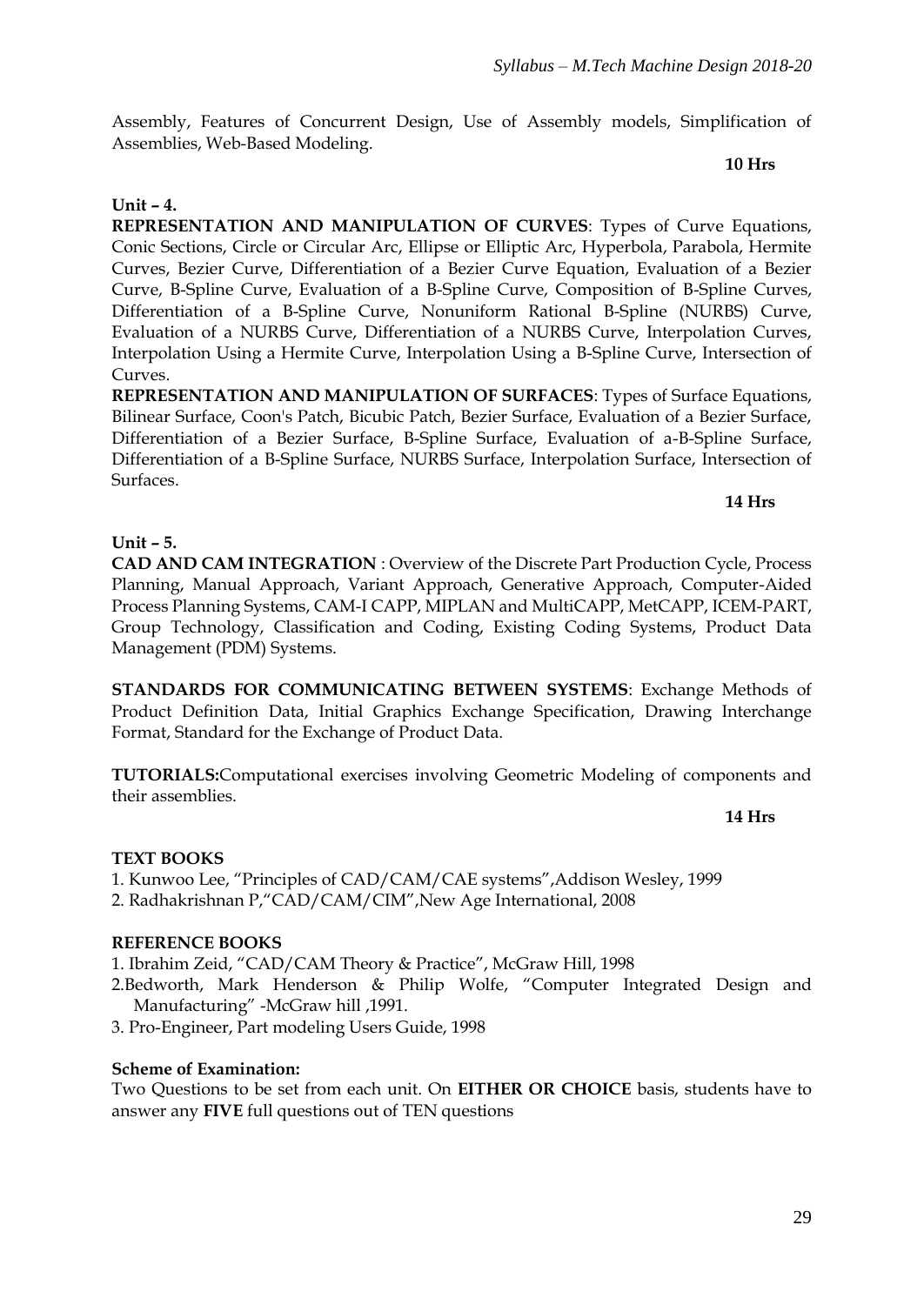Assembly, Features of Concurrent Design, Use of Assembly models, Simplification of Assemblies, Web-Based Modeling.

# **10 Hrs**

#### **Unit – 4.**

**REPRESENTATION AND MANIPULATION OF CURVES**: Types of Curve Equations, Conic Sections, Circle or Circular Arc, Ellipse or Elliptic Arc, Hyperbola, Parabola, Hermite Curves, Bezier Curve, Differentiation of a Bezier Curve Equation, Evaluation of a Bezier Curve, B-Spline Curve, Evaluation of a B-Spline Curve, Composition of B-Spline Curves, Differentiation of a B-Spline Curve, Nonuniform Rational B-Spline (NURBS) Curve, Evaluation of a NURBS Curve, Differentiation of a NURBS Curve, Interpolation Curves, Interpolation Using a Hermite Curve, Interpolation Using a B-Spline Curve, Intersection of Curves.

**REPRESENTATION AND MANIPULATION OF SURFACES**: Types of Surface Equations, Bilinear Surface, Coon's Patch, Bicubic Patch, Bezier Surface, Evaluation of a Bezier Surface, Differentiation of a Bezier Surface, B-Spline Surface, Evaluation of a-B-Spline Surface, Differentiation of a B-Spline Surface, NURBS Surface, Interpolation Surface, Intersection of Surfaces.

#### **14 Hrs**

#### **Unit – 5.**

**CAD AND CAM INTEGRATION** : Overview of the Discrete Part Production Cycle, Process Planning, Manual Approach, Variant Approach, Generative Approach, Computer-Aided Process Planning Systems, CAM-I CAPP, MIPLAN and MultiCAPP, MetCAPP, ICEM-PART, Group Technology, Classification and Coding, Existing Coding Systems, Product Data Management (PDM) Systems.

**STANDARDS FOR COMMUNICATING BETWEEN SYSTEMS**: Exchange Methods of Product Definition Data, Initial Graphics Exchange Specification, Drawing Interchange Format, Standard for the Exchange of Product Data.

**TUTORIALS:**Computational exercises involving Geometric Modeling of components and their assemblies.

#### **14 Hrs**

#### **TEXT BOOKS**

1. Kunwoo Lee, "Principles of CAD/CAM/CAE systems",Addison Wesley, 1999

2. Radhakrishnan P,"CAD/CAM/CIM",New Age International, 2008

### **REFERENCE BOOKS**

1. Ibrahim Zeid, "CAD/CAM Theory & Practice", McGraw Hill, 1998

2.Bedworth, Mark Henderson & Philip Wolfe, "Computer Integrated Design and Manufacturing" -McGraw hill ,1991.

3. Pro-Engineer, Part modeling Users Guide, 1998

#### **Scheme of Examination:**

Two Questions to be set from each unit. On **EITHER OR CHOICE** basis, students have to answer any **FIVE** full questions out of TEN questions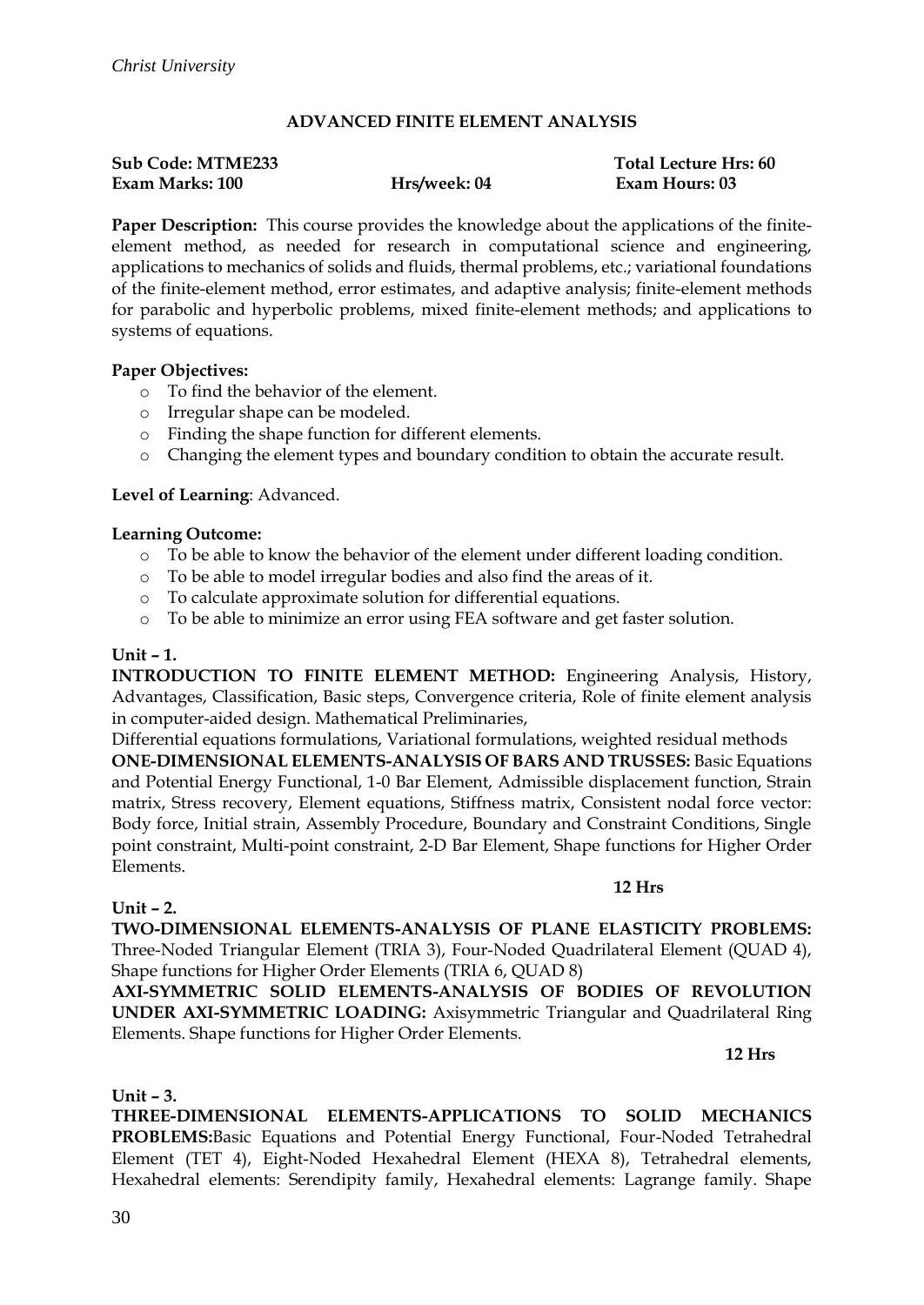#### **ADVANCED FINITE ELEMENT ANALYSIS**

| <b>Sub Code: MTME233</b> |              | Total Lecture Hrs: 60 |
|--------------------------|--------------|-----------------------|
| Exam Marks: 100          | Hrs/week: 04 | Exam Hours: 03        |

**Paper Description:** This course provides the knowledge about the applications of the finiteelement method, as needed for research in computational science and engineering, applications to mechanics of solids and fluids, thermal problems, etc.; variational foundations of the finite-element method, error estimates, and adaptive analysis; finite-element methods for parabolic and hyperbolic problems, mixed finite-element methods; and applications to systems of equations.

#### **Paper Objectives:**

- o To find the behavior of the element.
- o Irregular shape can be modeled.
- o Finding the shape function for different elements.
- o Changing the element types and boundary condition to obtain the accurate result.

#### **Level of Learning**: Advanced.

#### **Learning Outcome:**

- o To be able to know the behavior of the element under different loading condition.
- o To be able to model irregular bodies and also find the areas of it.
- o To calculate approximate solution for differential equations.
- o To be able to minimize an error using FEA software and get faster solution.

#### **Unit – 1.**

**INTRODUCTION TO FINITE ELEMENT METHOD:** Engineering Analysis, History, Advantages, Classification, Basic steps, Convergence criteria, Role of finite element analysis in computer-aided design. Mathematical Preliminaries,

Differential equations formulations, Variational formulations, weighted residual methods **ONE-DIMENSIONAL ELEMENTS-ANALYSIS OF BARS AND TRUSSES:** Basic Equations and Potential Energy Functional, 1-0 Bar Element, Admissible displacement function, Strain matrix, Stress recovery, Element equations, Stiffness matrix, Consistent nodal force vector: Body force, Initial strain, Assembly Procedure, Boundary and Constraint Conditions, Single point constraint, Multi-point constraint, 2-D Bar Element, Shape functions for Higher Order Elements.

#### **Unit – 2.**

**TWO-DIMENSIONAL ELEMENTS-ANALYSIS OF PLANE ELASTICITY PROBLEMS:**  Three-Noded Triangular Element (TRIA 3), Four-Noded Quadrilateral Element (QUAD 4), Shape functions for Higher Order Elements (TRIA 6, QUAD 8)

**AXI-SYMMETRIC SOLID ELEMENTS-ANALYSIS OF BODIES OF REVOLUTION UNDER AXI-SYMMETRIC LOADING:** Axisymmetric Triangular and Quadrilateral Ring Elements. Shape functions for Higher Order Elements.

**12 Hrs**

**12 Hrs**

#### **Unit – 3.**

**THREE-DIMENSIONAL ELEMENTS-APPLICATIONS TO SOLID MECHANICS PROBLEMS:**Basic Equations and Potential Energy Functional, Four-Noded Tetrahedral Element (TET 4), Eight-Noded Hexahedral Element (HEXA 8), Tetrahedral elements, Hexahedral elements: Serendipity family, Hexahedral elements: Lagrange family. Shape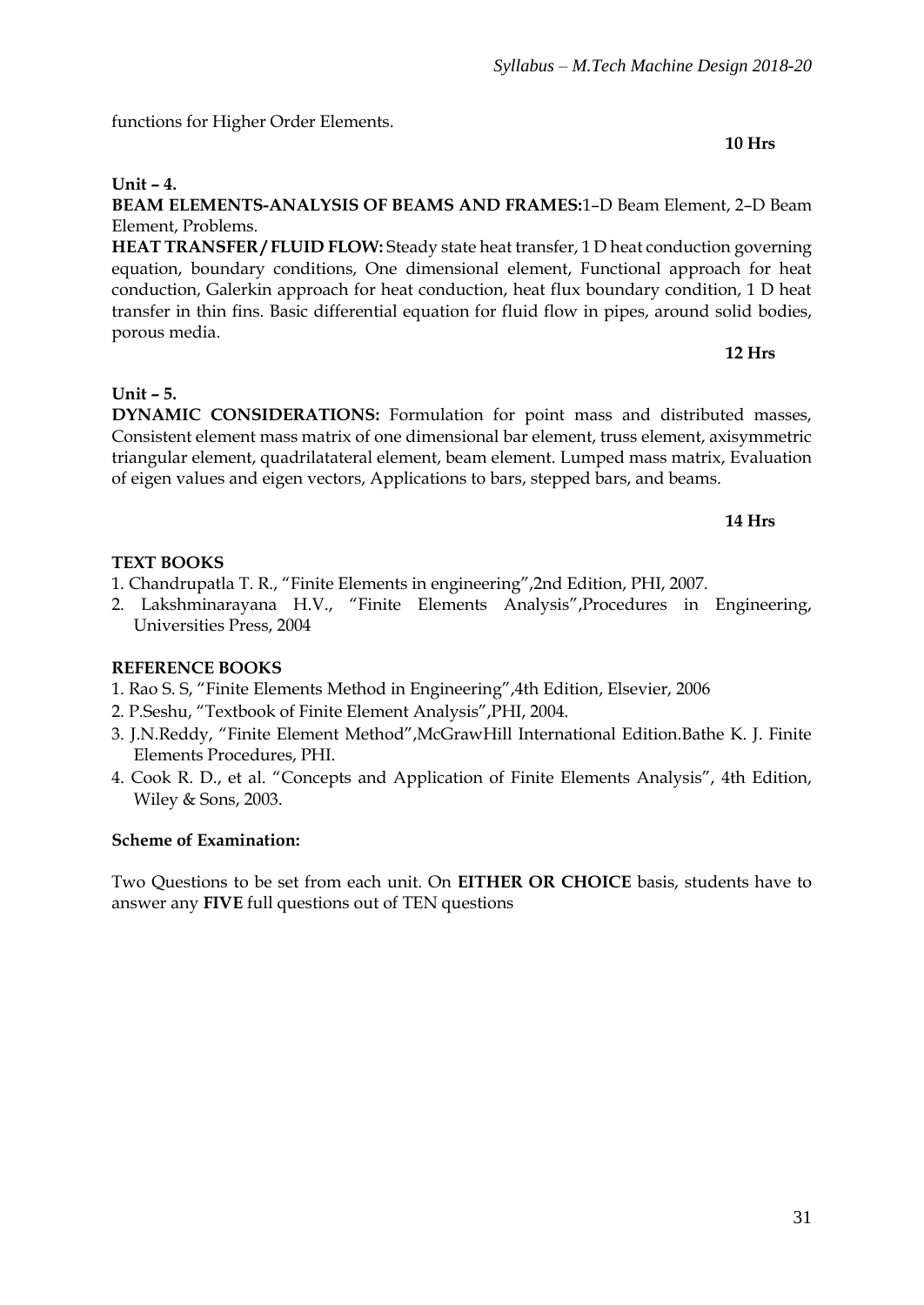functions for Higher Order Elements.

# **Unit – 4.**

**BEAM ELEMENTS-ANALYSIS OF BEAMS AND FRAMES:**1–D Beam Element, 2–D Beam Element, Problems.

**HEAT TRANSFER / FLUID FLOW:** Steady state heat transfer, 1 D heat conduction governing equation, boundary conditions, One dimensional element, Functional approach for heat conduction, Galerkin approach for heat conduction, heat flux boundary condition, 1 D heat transfer in thin fins. Basic differential equation for fluid flow in pipes, around solid bodies, porous media.

#### **12 Hrs**

**10 Hrs**

### **Unit – 5.**

**DYNAMIC CONSIDERATIONS:** Formulation for point mass and distributed masses, Consistent element mass matrix of one dimensional bar element, truss element, axisymmetric triangular element, quadrilatateral element, beam element. Lumped mass matrix, Evaluation of eigen values and eigen vectors, Applications to bars, stepped bars, and beams.

#### **14 Hrs**

# **TEXT BOOKS**

- 1. Chandrupatla T. R., "Finite Elements in engineering",2nd Edition, PHI, 2007.
- 2. Lakshminarayana H.V., "Finite Elements Analysis",Procedures in Engineering, Universities Press, 2004

### **REFERENCE BOOKS**

- 1. Rao S. S, "Finite Elements Method in Engineering",4th Edition, Elsevier, 2006
- 2. P.Seshu, "Textbook of Finite Element Analysis",PHI, 2004.
- 3. J.N.Reddy, "Finite Element Method",McGrawHill International Edition.Bathe K. J. Finite Elements Procedures, PHI.
- 4. Cook R. D., et al. "Concepts and Application of Finite Elements Analysis", 4th Edition, Wiley & Sons, 2003.

# **Scheme of Examination:**

Two Questions to be set from each unit. On **EITHER OR CHOICE** basis, students have to answer any **FIVE** full questions out of TEN questions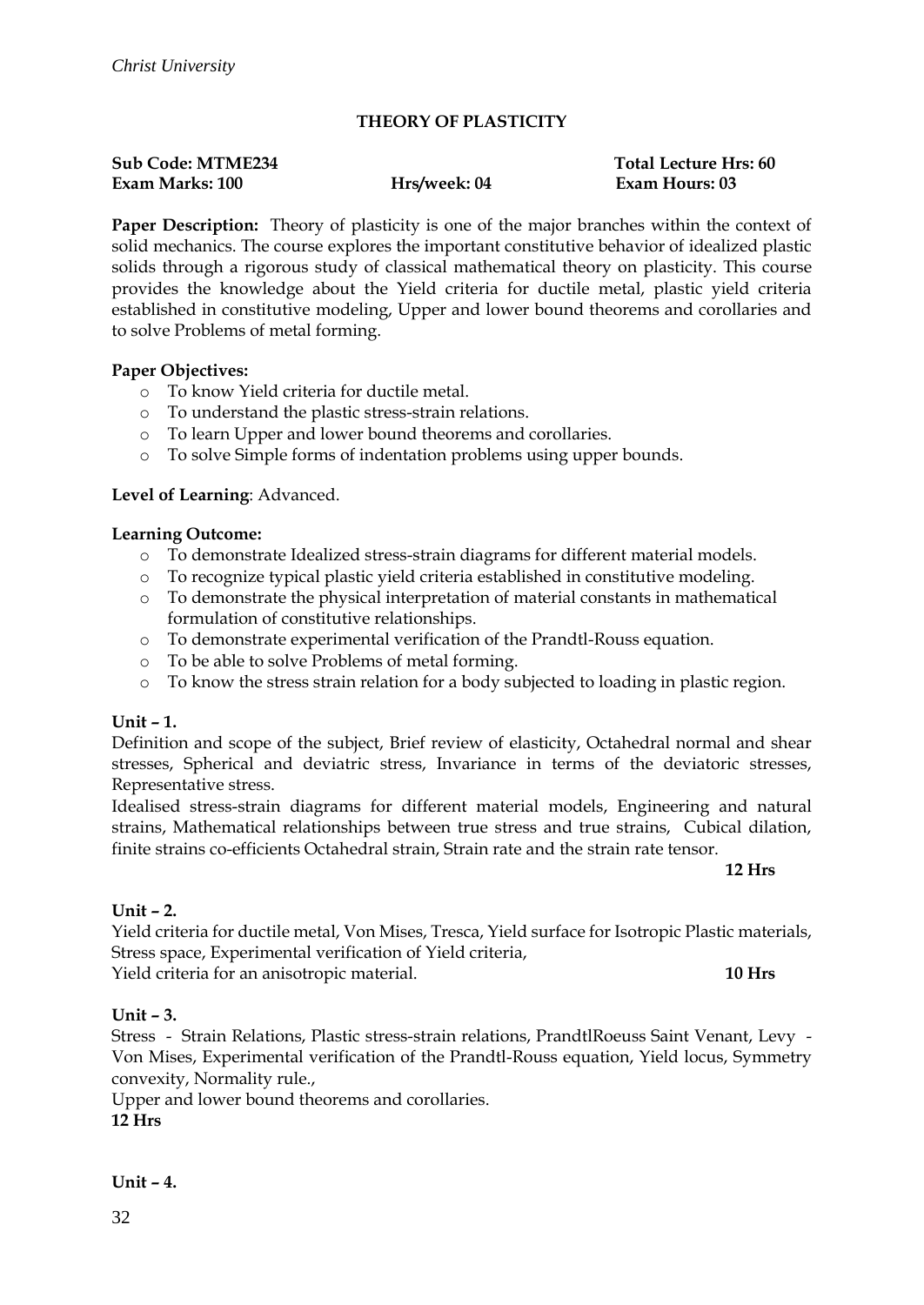#### **THEORY OF PLASTICITY**

| <b>Sub Code: MTME234</b> |              | Tot |
|--------------------------|--------------|-----|
| Exam Marks: 100          | Hrs/week: 04 | Ex  |

**Sub Code: MTME234 Total Lecture Hrs: 60 Exam Marks: 100 Hrs/week: 04 Exam Hours: 03**

**Paper Description:** Theory of plasticity is one of the major branches within the context of solid mechanics. The course explores the important constitutive behavior of idealized plastic solids through a rigorous study of classical mathematical theory on plasticity. This course provides the knowledge about the Yield criteria for ductile metal, plastic yield criteria established in constitutive modeling, Upper and lower bound theorems and corollaries and to solve Problems of metal forming.

#### **Paper Objectives:**

- o To know Yield criteria for ductile metal.
- o To understand the plastic stress-strain relations.
- o To learn Upper and lower bound theorems and corollaries.
- o To solve Simple forms of indentation problems using upper bounds.

#### **Level of Learning**: Advanced.

#### **Learning Outcome:**

- o To demonstrate Idealized stress-strain diagrams for different material models.
- o To recognize typical plastic yield criteria established in constitutive modeling.
- o To demonstrate the physical interpretation of material constants in mathematical formulation of constitutive relationships.
- o To demonstrate experimental verification of the Prandtl-Rouss equation.
- o To be able to solve Problems of metal forming.
- o To know the stress strain relation for a body subjected to loading in plastic region.

#### **Unit – 1.**

Definition and scope of the subject, Brief review of elasticity, Octahedral normal and shear stresses, Spherical and deviatric stress, Invariance in terms of the deviatoric stresses, Representative stress.

Idealised stress-strain diagrams for different material models, Engineering and natural strains, Mathematical relationships between true stress and true strains, Cubical dilation, finite strains co-efficients Octahedral strain, Strain rate and the strain rate tensor.

**12 Hrs**

#### **Unit – 2.**

Yield criteria for ductile metal, Von Mises, Tresca, Yield surface for Isotropic Plastic materials, Stress space, Experimental verification of Yield criteria,

Yield criteria for an anisotropic material. **10 Hrs**

### **Unit – 3.**

Stress - Strain Relations, Plastic stress-strain relations, PrandtlRoeuss Saint Venant, Levy - Von Mises, Experimental verification of the Prandtl-Rouss equation, Yield locus, Symmetry convexity, Normality rule.,

Upper and lower bound theorems and corollaries.

# **12 Hrs**

# **Unit – 4.**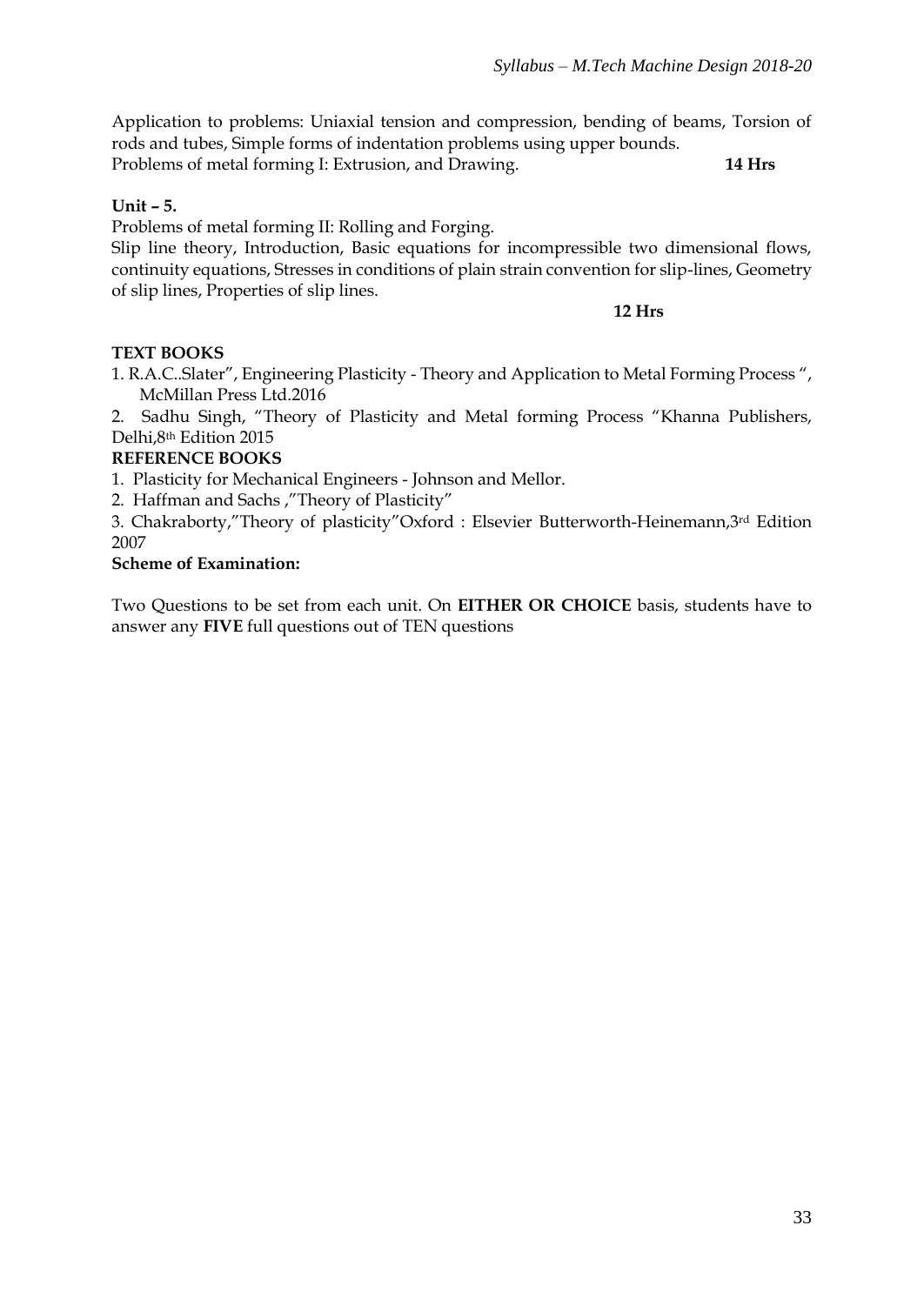Application to problems: Uniaxial tension and compression, bending of beams, Torsion of rods and tubes, Simple forms of indentation problems using upper bounds. Problems of metal forming I: Extrusion, and Drawing. **14 Hrs**

## **Unit – 5.**

Problems of metal forming II: Rolling and Forging.

Slip line theory, Introduction, Basic equations for incompressible two dimensional flows, continuity equations, Stresses in conditions of plain strain convention for slip-lines, Geometry of slip lines, Properties of slip lines.

#### **12 Hrs**

## **TEXT BOOKS**

1. R.A.C..Slater", Engineering Plasticity - Theory and Application to Metal Forming Process ", McMillan Press Ltd.2016

2. Sadhu Singh, "Theory of Plasticity and Metal forming Process "Khanna Publishers, Delhi,8th Edition 2015

## **REFERENCE BOOKS**

1. Plasticity for Mechanical Engineers - Johnson and Mellor.

2. Haffman and Sachs ,"Theory of Plasticity"

3. Chakraborty,"Theory of plasticity"Oxford : Elsevier Butterworth-Heinemann,3rd Edition 2007

#### **Scheme of Examination:**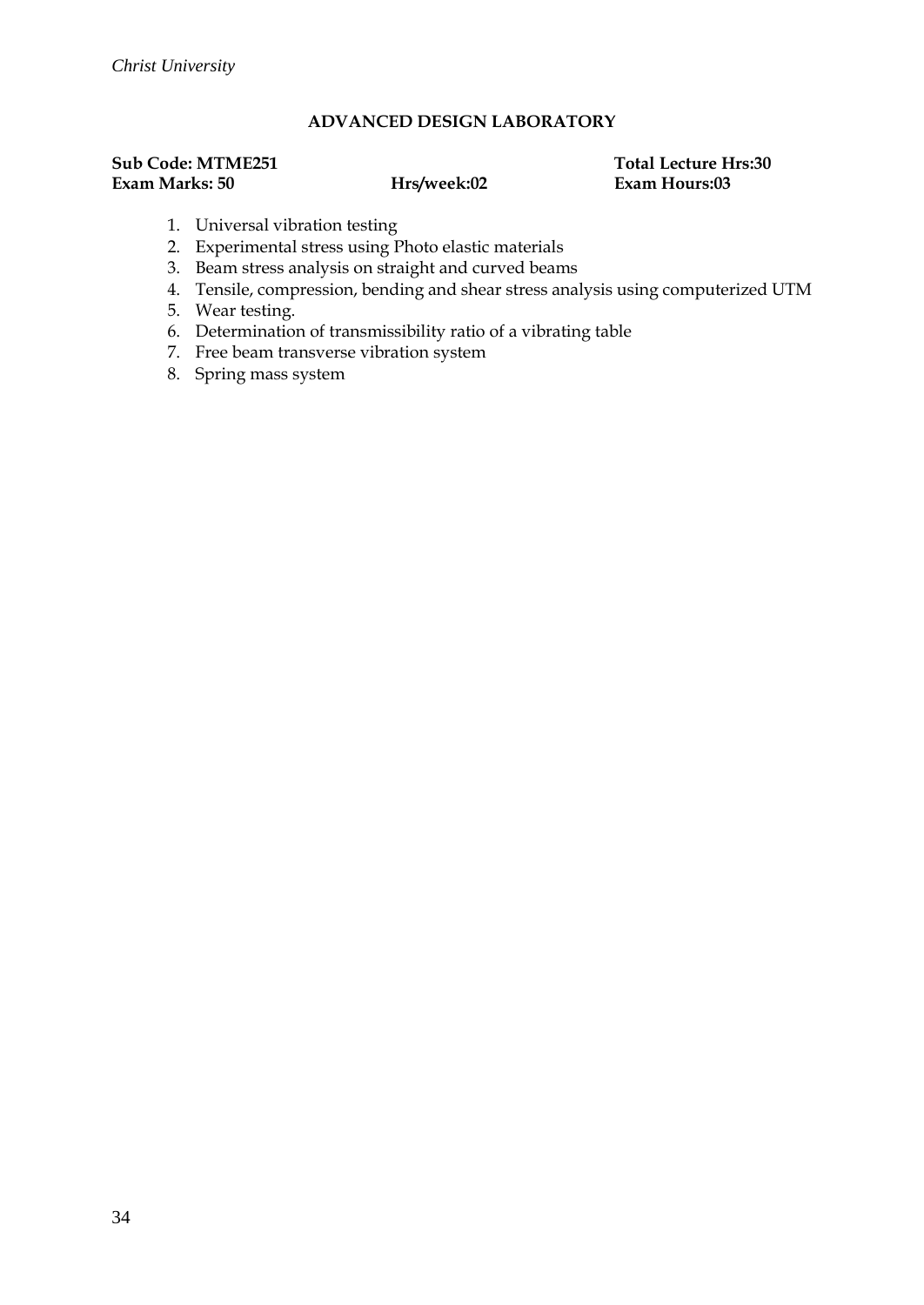#### **ADVANCED DESIGN LABORATORY**

**Sub Code: MTME251 Total Lecture Hrs:30 Exam Marks: 50 Hrs/week:02 Exam Hours:03**

- 1. Universal vibration testing
- 2. Experimental stress using Photo elastic materials
- 3. Beam stress analysis on straight and curved beams
- 4. Tensile, compression, bending and shear stress analysis using computerized UTM
- 5. Wear testing.
- 6. Determination of transmissibility ratio of a vibrating table
- 7. Free beam transverse vibration system
- 8. Spring mass system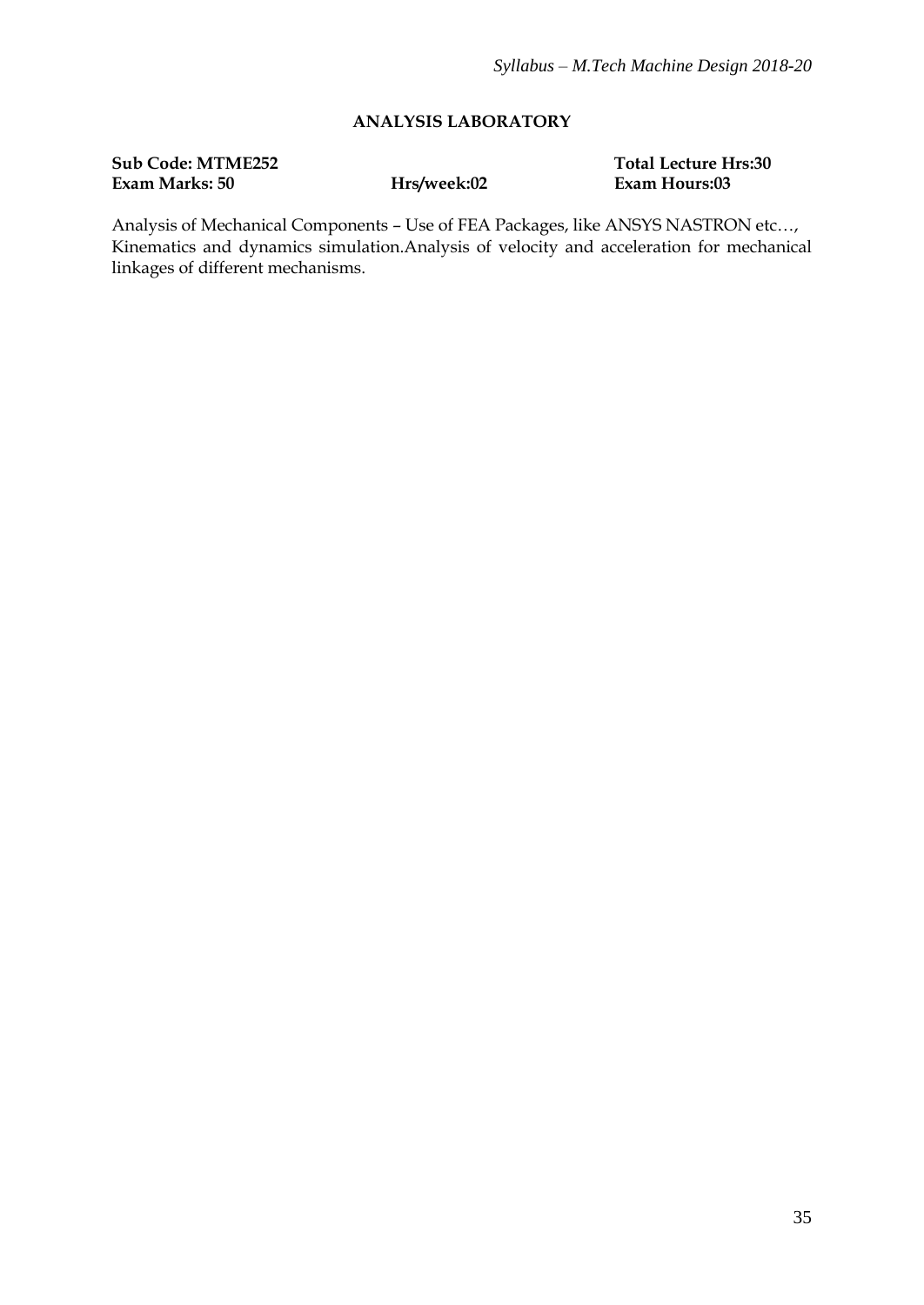#### **ANALYSIS LABORATORY**

| <b>Sub Code: MTME252</b> |             | <b>Total Lecture Hrs:30</b> |
|--------------------------|-------------|-----------------------------|
| Exam Marks: 50           | Hrs/week:02 | <b>Exam Hours:03</b>        |

Analysis of Mechanical Components – Use of FEA Packages, like ANSYS NASTRON etc…, Kinematics and dynamics simulation.Analysis of velocity and acceleration for mechanical linkages of different mechanisms.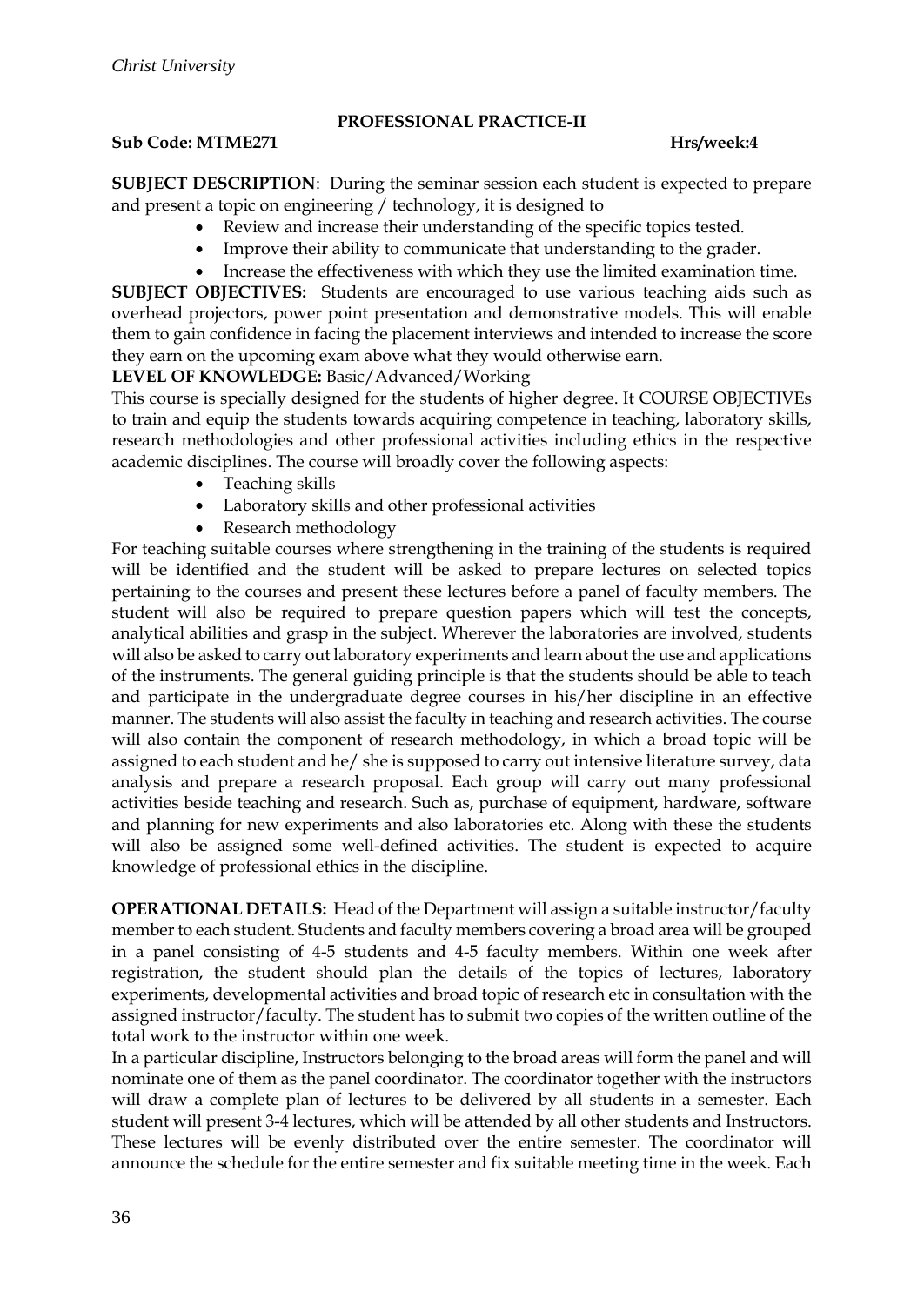### **PROFESSIONAL PRACTICE-II**

#### **Sub Code: MTME271 Hrs/week:4**

**SUBJECT DESCRIPTION**: During the seminar session each student is expected to prepare and present a topic on engineering / technology, it is designed to

- Review and increase their understanding of the specific topics tested.
- Improve their ability to communicate that understanding to the grader.
- Increase the effectiveness with which they use the limited examination time.

**SUBJECT OBJECTIVES:** Students are encouraged to use various teaching aids such as overhead projectors, power point presentation and demonstrative models. This will enable them to gain confidence in facing the placement interviews and intended to increase the score they earn on the upcoming exam above what they would otherwise earn.

**LEVEL OF KNOWLEDGE:** Basic/Advanced/Working

This course is specially designed for the students of higher degree. It COURSE OBJECTIVEs to train and equip the students towards acquiring competence in teaching, laboratory skills, research methodologies and other professional activities including ethics in the respective academic disciplines. The course will broadly cover the following aspects:

- Teaching skills
- Laboratory skills and other professional activities
- Research methodology

For teaching suitable courses where strengthening in the training of the students is required will be identified and the student will be asked to prepare lectures on selected topics pertaining to the courses and present these lectures before a panel of faculty members. The student will also be required to prepare question papers which will test the concepts, analytical abilities and grasp in the subject. Wherever the laboratories are involved, students will also be asked to carry out laboratory experiments and learn about the use and applications of the instruments. The general guiding principle is that the students should be able to teach and participate in the undergraduate degree courses in his/her discipline in an effective manner. The students will also assist the faculty in teaching and research activities. The course will also contain the component of research methodology, in which a broad topic will be assigned to each student and he/ she is supposed to carry out intensive literature survey, data analysis and prepare a research proposal. Each group will carry out many professional activities beside teaching and research. Such as, purchase of equipment, hardware, software and planning for new experiments and also laboratories etc. Along with these the students will also be assigned some well-defined activities. The student is expected to acquire knowledge of professional ethics in the discipline.

**OPERATIONAL DETAILS:** Head of the Department will assign a suitable instructor/faculty member to each student. Students and faculty members covering a broad area will be grouped in a panel consisting of 4-5 students and 4-5 faculty members. Within one week after registration, the student should plan the details of the topics of lectures, laboratory experiments, developmental activities and broad topic of research etc in consultation with the assigned instructor/faculty. The student has to submit two copies of the written outline of the total work to the instructor within one week.

In a particular discipline, Instructors belonging to the broad areas will form the panel and will nominate one of them as the panel coordinator. The coordinator together with the instructors will draw a complete plan of lectures to be delivered by all students in a semester. Each student will present 3-4 lectures, which will be attended by all other students and Instructors. These lectures will be evenly distributed over the entire semester. The coordinator will announce the schedule for the entire semester and fix suitable meeting time in the week. Each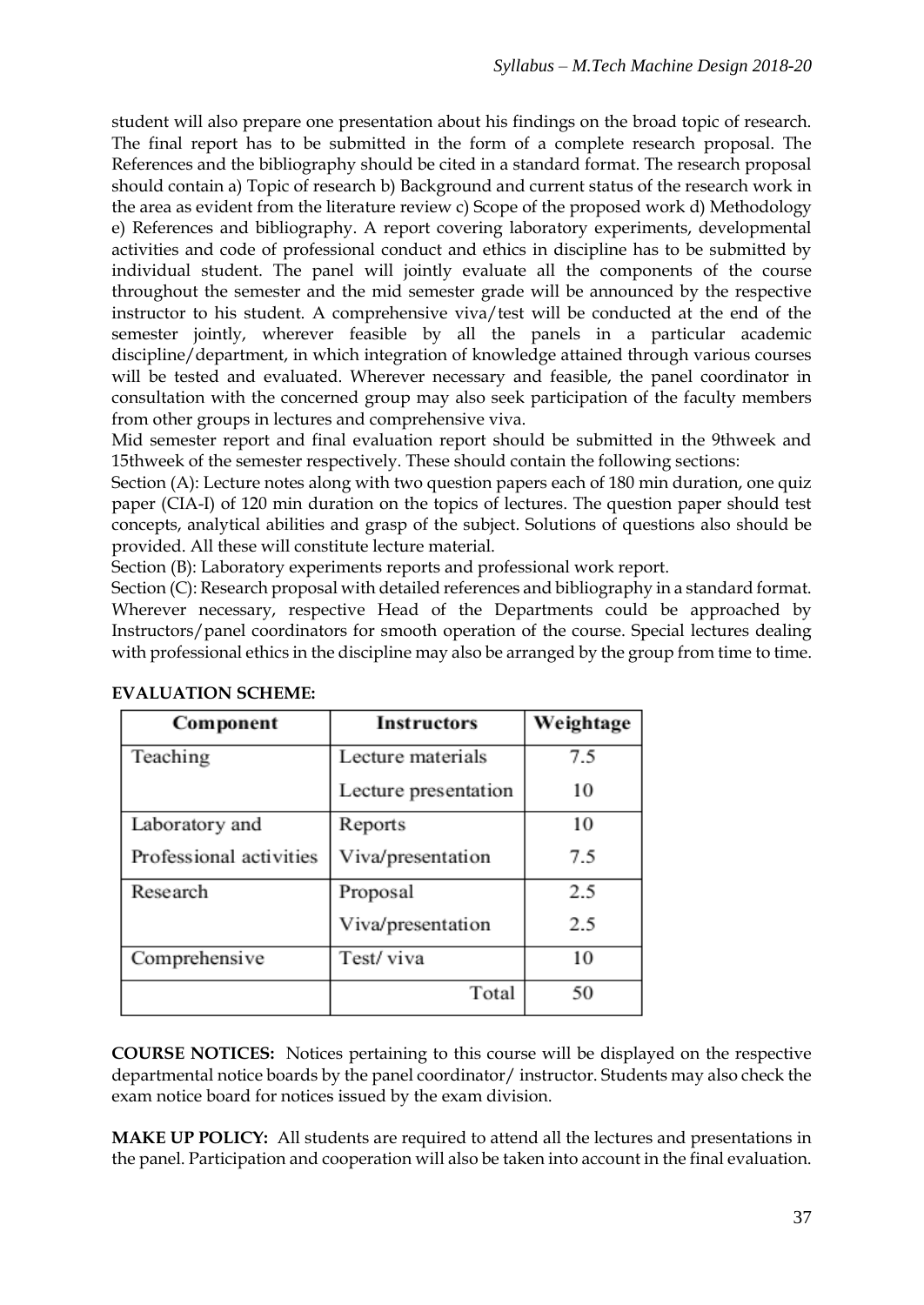student will also prepare one presentation about his findings on the broad topic of research. The final report has to be submitted in the form of a complete research proposal. The References and the bibliography should be cited in a standard format. The research proposal should contain a) Topic of research b) Background and current status of the research work in the area as evident from the literature review c) Scope of the proposed work d) Methodology e) References and bibliography. A report covering laboratory experiments, developmental activities and code of professional conduct and ethics in discipline has to be submitted by individual student. The panel will jointly evaluate all the components of the course throughout the semester and the mid semester grade will be announced by the respective instructor to his student. A comprehensive viva/test will be conducted at the end of the semester jointly, wherever feasible by all the panels in a particular academic discipline/department, in which integration of knowledge attained through various courses will be tested and evaluated. Wherever necessary and feasible, the panel coordinator in consultation with the concerned group may also seek participation of the faculty members from other groups in lectures and comprehensive viva.

Mid semester report and final evaluation report should be submitted in the 9thweek and 15thweek of the semester respectively. These should contain the following sections:

Section (A): Lecture notes along with two question papers each of 180 min duration, one quiz paper (CIA-I) of 120 min duration on the topics of lectures. The question paper should test concepts, analytical abilities and grasp of the subject. Solutions of questions also should be provided. All these will constitute lecture material.

Section (B): Laboratory experiments reports and professional work report.

Section (C): Research proposal with detailed references and bibliography in a standard format. Wherever necessary, respective Head of the Departments could be approached by Instructors/panel coordinators for smooth operation of the course. Special lectures dealing with professional ethics in the discipline may also be arranged by the group from time to time.

| Component               | <b>Instructors</b>   | Weightage |
|-------------------------|----------------------|-----------|
| Teaching                | Lecture materials    | 7.5       |
|                         | Lecture presentation | 10        |
| Laboratory and          | Reports              | 10        |
| Professional activities | Viva/presentation    | 7.5       |
| Research                | Proposal             | 2.5       |
|                         | Viva/presentation    | 2.5       |
| Comprehensive           | Test/viva            | 10        |
|                         | Total                | 50        |

#### **EVALUATION SCHEME:**

**COURSE NOTICES:** Notices pertaining to this course will be displayed on the respective departmental notice boards by the panel coordinator/ instructor. Students may also check the exam notice board for notices issued by the exam division.

**MAKE UP POLICY:** All students are required to attend all the lectures and presentations in the panel. Participation and cooperation will also be taken into account in the final evaluation.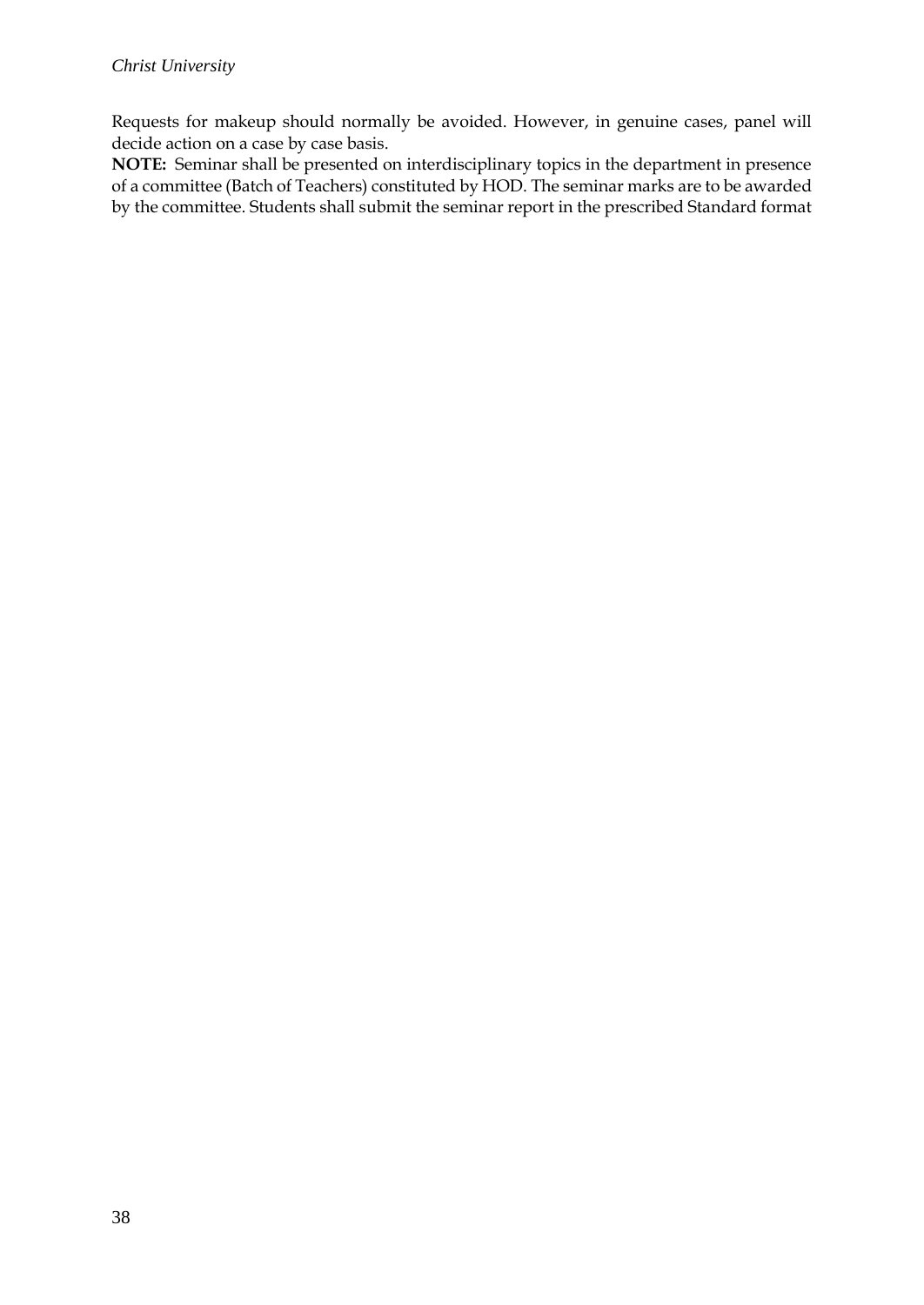Requests for makeup should normally be avoided. However, in genuine cases, panel will decide action on a case by case basis.

**NOTE:** Seminar shall be presented on interdisciplinary topics in the department in presence of a committee (Batch of Teachers) constituted by HOD. The seminar marks are to be awarded by the committee. Students shall submit the seminar report in the prescribed Standard format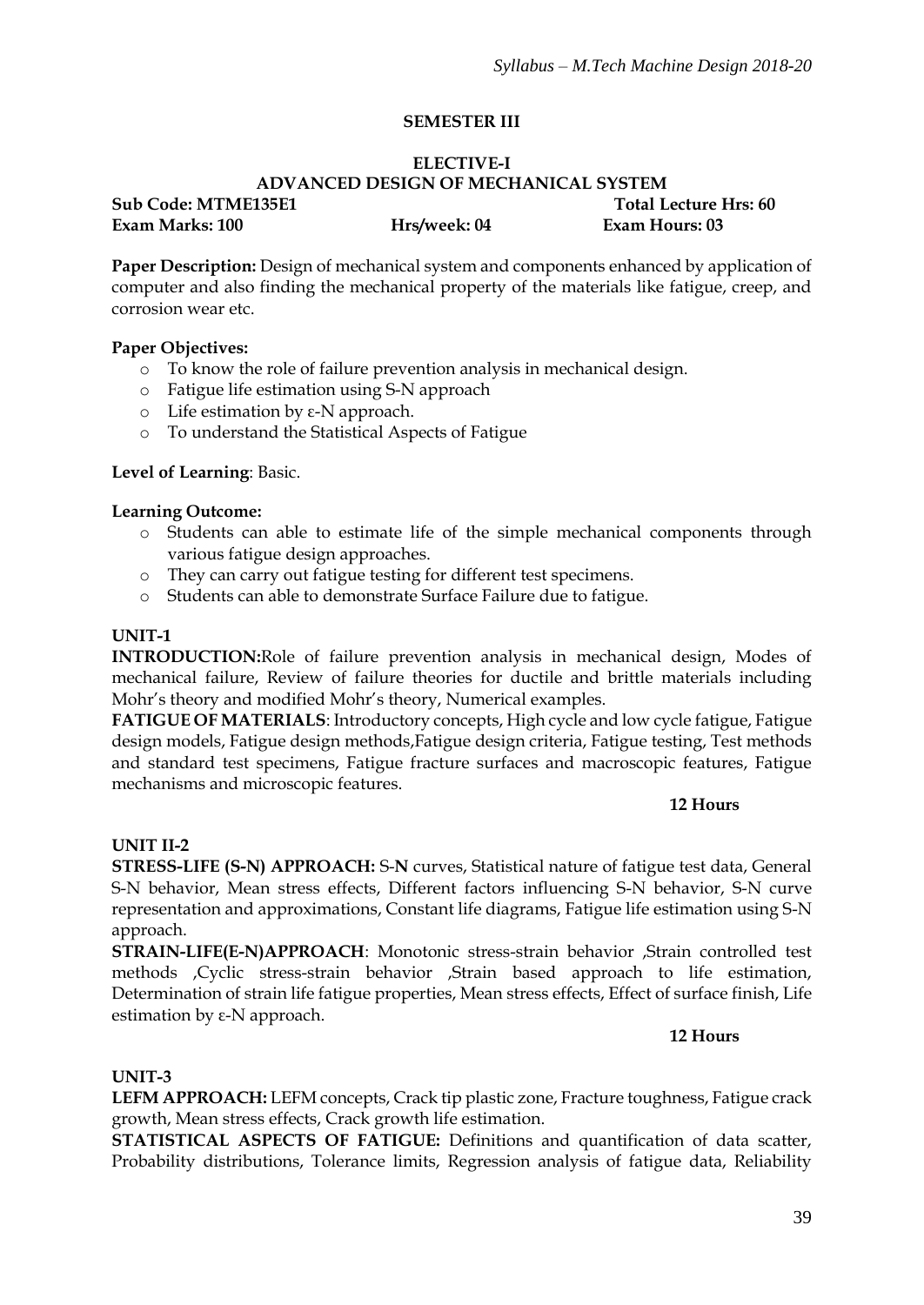#### **SEMESTER III**

## **ELECTIVE-I**

**ADVANCED DESIGN OF MECHANICAL SYSTEM Sub Code: MTME135E1 Total Lecture Hrs: 60 Exam Marks: 100 Hrs/week: 04 Exam Hours: 03**

**Paper Description:** Design of mechanical system and components enhanced by application of computer and also finding the mechanical property of the materials like fatigue, creep, and corrosion wear etc.

#### **Paper Objectives:**

- o To know the role of failure prevention analysis in mechanical design.
- o Fatigue life estimation using S-N approach
- o Life estimation by ε-N approach.
- o To understand the Statistical Aspects of Fatigue

#### **Level of Learning**: Basic.

#### **Learning Outcome:**

- o Students can able to estimate life of the simple mechanical components through various fatigue design approaches.
- o They can carry out fatigue testing for different test specimens.
- o Students can able to demonstrate Surface Failure due to fatigue.

#### **UNIT-1**

**INTRODUCTION:**Role of failure prevention analysis in mechanical design, Modes of mechanical failure, Review of failure theories for ductile and brittle materials including Mohr's theory and modified Mohr's theory, Numerical examples.

**FATIGUE OF MATERIALS**: Introductory concepts, High cycle and low cycle fatigue, Fatigue design models, Fatigue design methods,Fatigue design criteria, Fatigue testing, Test methods and standard test specimens, Fatigue fracture surfaces and macroscopic features, Fatigue mechanisms and microscopic features.

#### **12 Hours**

#### **UNIT II-2**

**STRESS-LIFE (S-N) APPROACH:** S-**N** curves, Statistical nature of fatigue test data, General S-N behavior, Mean stress effects, Different factors influencing S-N behavior, S-N curve representation and approximations, Constant life diagrams, Fatigue life estimation using S-N approach.

**STRAIN-LIFE(Ε-N)APPROACH**: Monotonic stress-strain behavior ,Strain controlled test methods ,Cyclic stress-strain behavior ,Strain based approach to life estimation, Determination of strain life fatigue properties, Mean stress effects, Effect of surface finish, Life estimation by ε-N approach.

#### **12 Hours**

#### **UNIT-3**

**LEFM APPROACH:** LEFM concepts, Crack tip plastic zone, Fracture toughness, Fatigue crack growth, Mean stress effects, Crack growth life estimation.

**STATISTICAL ASPECTS OF FATIGUE:** Definitions and quantification of data scatter, Probability distributions, Tolerance limits, Regression analysis of fatigue data, Reliability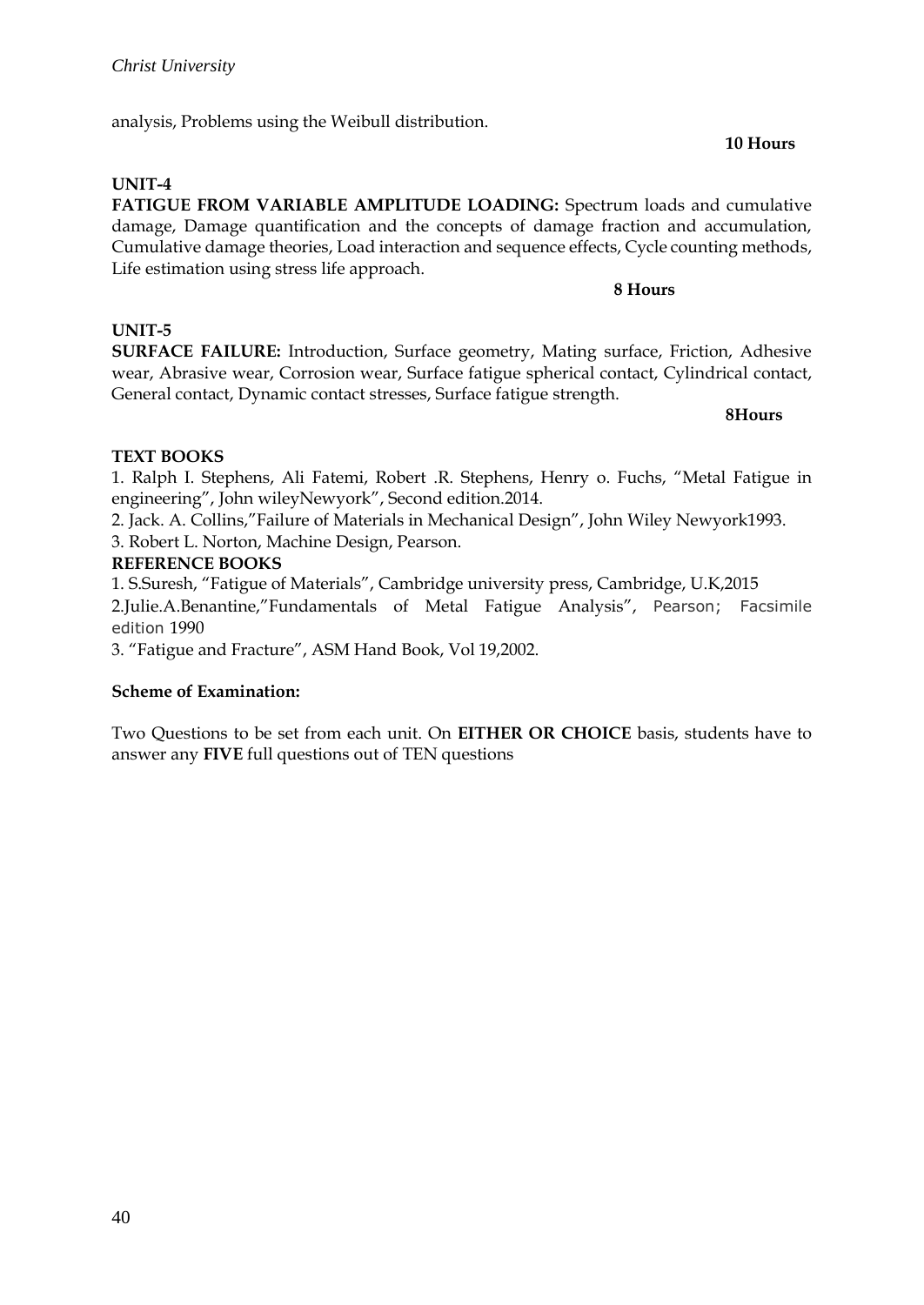analysis, Problems using the Weibull distribution.

## **UNIT-4**

**FATIGUE FROM VARIABLE AMPLITUDE LOADING:** Spectrum loads and cumulative damage, Damage quantification and the concepts of damage fraction and accumulation, Cumulative damage theories, Load interaction and sequence effects, Cycle counting methods, Life estimation using stress life approach.

#### **8 Hours**

## **UNIT-5**

**SURFACE FAILURE:** Introduction, Surface geometry, Mating surface, Friction, Adhesive wear, Abrasive wear, Corrosion wear, Surface fatigue spherical contact, Cylindrical contact, General contact, Dynamic contact stresses, Surface fatigue strength.

**8Hours**

## **TEXT BOOKS**

1. Ralph I. Stephens, Ali Fatemi, Robert .R. Stephens, Henry o. Fuchs, "Metal Fatigue in engineering", John wileyNewyork", Second edition.2014.

2. Jack. A. Collins,"Failure of Materials in Mechanical Design", John Wiley Newyork1993.

3. Robert L. Norton, Machine Design, Pearson.

## **REFERENCE BOOKS**

1. S.Suresh, "Fatigue of Materials", Cambridge university press, Cambridge, U.K,2015 2.Julie.A.Benantine,"Fundamentals of Metal Fatigue Analysis", Pearson; Facsimile edition 1990

3. "Fatigue and Fracture", ASM Hand Book, Vol 19,2002.

#### **Scheme of Examination:**

Two Questions to be set from each unit. On **EITHER OR CHOICE** basis, students have to answer any **FIVE** full questions out of TEN questions

#### **10 Hours**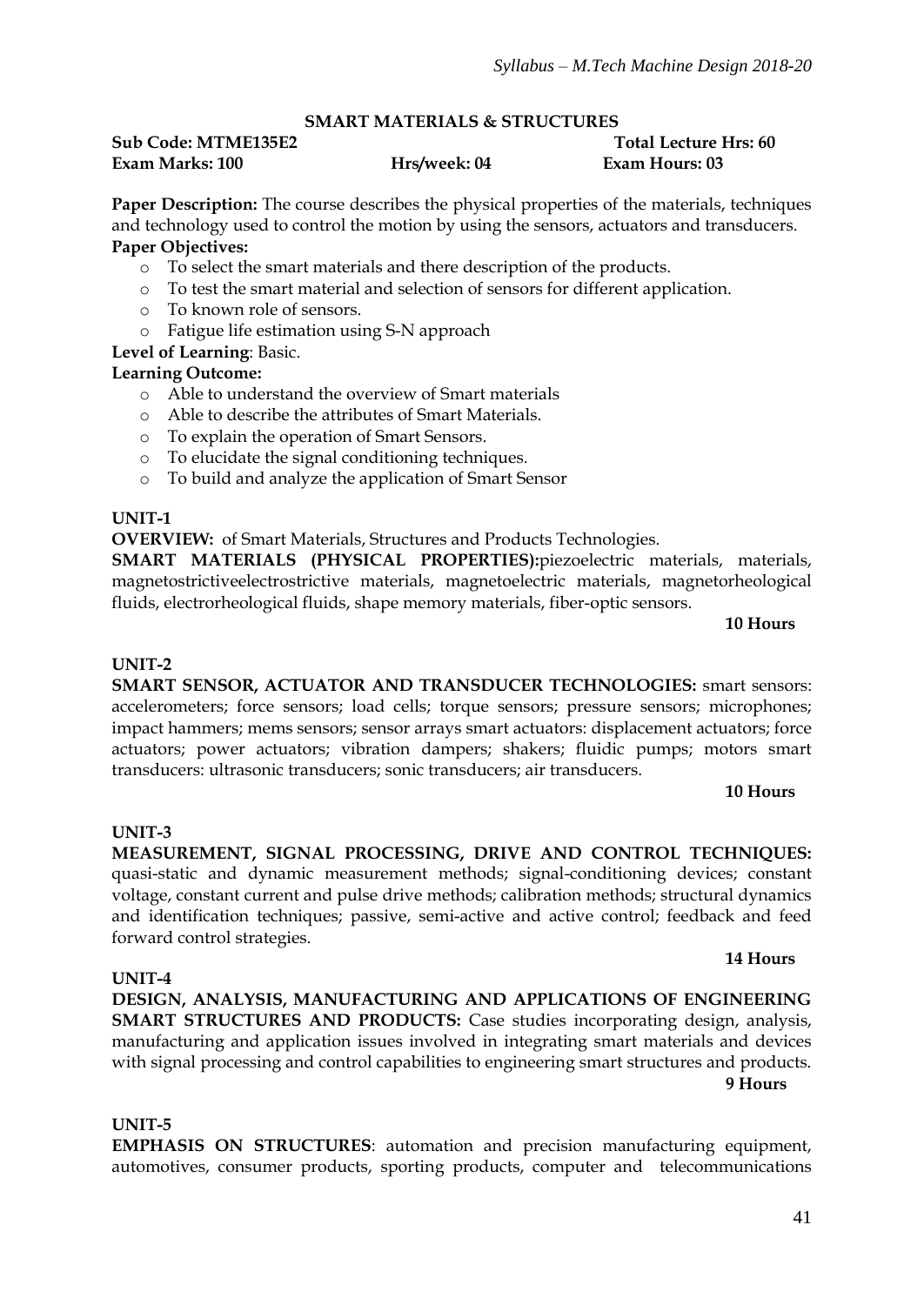#### **SMART MATERIALS & STRUCTURES**

## **Sub Code: MTME135E2 Total Lecture Hrs: 60 Exam Marks: 100 Hrs/week: 04 Exam Hours: 03**

**Paper Description:** The course describes the physical properties of the materials, techniques and technology used to control the motion by using the sensors, actuators and transducers. **Paper Objectives:**

- o To select the smart materials and there description of the products.
- o To test the smart material and selection of sensors for different application.
- o To known role of sensors.
- o Fatigue life estimation using S-N approach

**Level of Learning**: Basic.

## **Learning Outcome:**

- o Able to understand the overview of Smart materials
- o Able to describe the attributes of Smart Materials.
- o To explain the operation of Smart Sensors.
- o To elucidate the signal conditioning techniques.
- o To build and analyze the application of Smart Sensor

#### **UNIT-1**

#### **OVERVIEW:** of Smart Materials, Structures and Products Technologies.

**SMART MATERIALS (PHYSICAL PROPERTIES):**piezoelectric materials, materials, magnetostrictiveelectrostrictive materials, magnetoelectric materials, magnetorheological fluids, electrorheological fluids, shape memory materials, fiber-optic sensors.

#### **10 Hours**

#### **UNIT-2**

**SMART SENSOR, ACTUATOR AND TRANSDUCER TECHNOLOGIES:** smart sensors: accelerometers; force sensors; load cells; torque sensors; pressure sensors; microphones; impact hammers; mems sensors; sensor arrays smart actuators: displacement actuators; force actuators; power actuators; vibration dampers; shakers; fluidic pumps; motors smart transducers: ultrasonic transducers; sonic transducers; air transducers.

#### **10 Hours**

#### **UNIT-3**

**MEASUREMENT, SIGNAL PROCESSING, DRIVE AND CONTROL TECHNIQUES:**  quasi-static and dynamic measurement methods; signal-conditioning devices; constant voltage, constant current and pulse drive methods; calibration methods; structural dynamics and identification techniques; passive, semi-active and active control; feedback and feed forward control strategies.

#### **UNIT-4**

**DESIGN, ANALYSIS, MANUFACTURING AND APPLICATIONS OF ENGINEERING SMART STRUCTURES AND PRODUCTS:** Case studies incorporating design, analysis, manufacturing and application issues involved in integrating smart materials and devices with signal processing and control capabilities to engineering smart structures and products. **9 Hours**

#### **UNIT-5**

**EMPHASIS ON STRUCTURES**: automation and precision manufacturing equipment, automotives, consumer products, sporting products, computer and telecommunications

#### **14 Hours**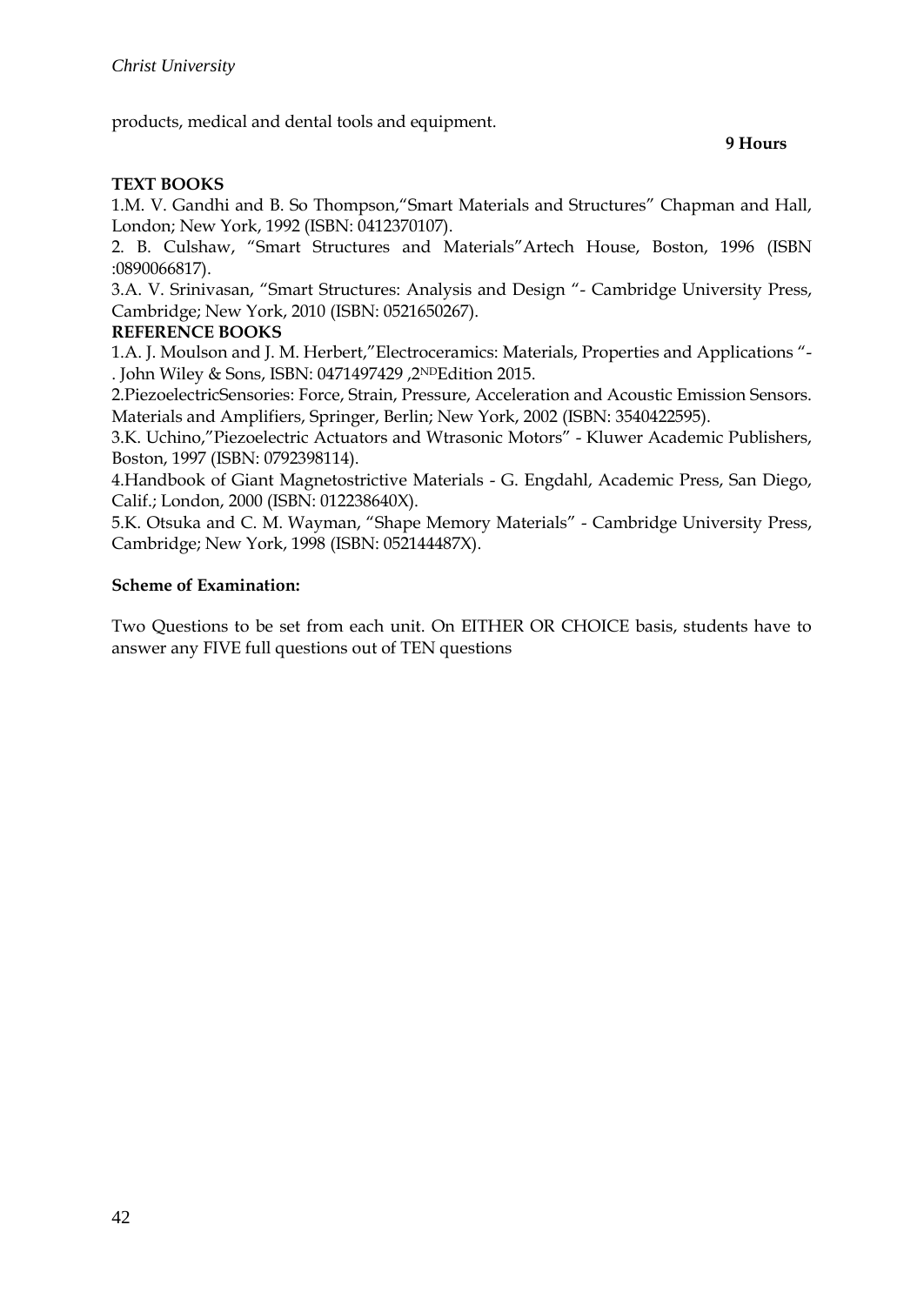products, medical and dental tools and equipment.

#### **9 Hours**

## **TEXT BOOKS**

1.M. V. Gandhi and B. So Thompson,"Smart Materials and Structures" Chapman and Hall, London; New York, 1992 (ISBN: 0412370107).

2. B. Culshaw, "Smart Structures and Materials"Artech House, Boston, 1996 (ISBN :0890066817).

3.A. V. Srinivasan, "Smart Structures: Analysis and Design "- Cambridge University Press, Cambridge; New York, 2010 (ISBN: 0521650267).

### **REFERENCE BOOKS**

1.A. J. Moulson and J. M. Herbert,"Electroceramics: Materials, Properties and Applications "- . John Wiley & Sons, ISBN: 0471497429 ,2NDEdition 2015.

2.PiezoelectricSensories: Force, Strain, Pressure, Acceleration and Acoustic Emission Sensors. Materials and Amplifiers, Springer, Berlin; New York, 2002 (ISBN: 3540422595).

3.K. Uchino,"Piezoelectric Actuators and Wtrasonic Motors" - Kluwer Academic Publishers, Boston, 1997 (ISBN: 0792398114).

4.Handbook of Giant Magnetostrictive Materials - G. Engdahl, Academic Press, San Diego, Calif.; London, 2000 (ISBN: 012238640X).

5.K. Otsuka and C. M. Wayman, "Shape Memory Materials" - Cambridge University Press, Cambridge; New York, 1998 (ISBN: 052144487X).

#### **Scheme of Examination:**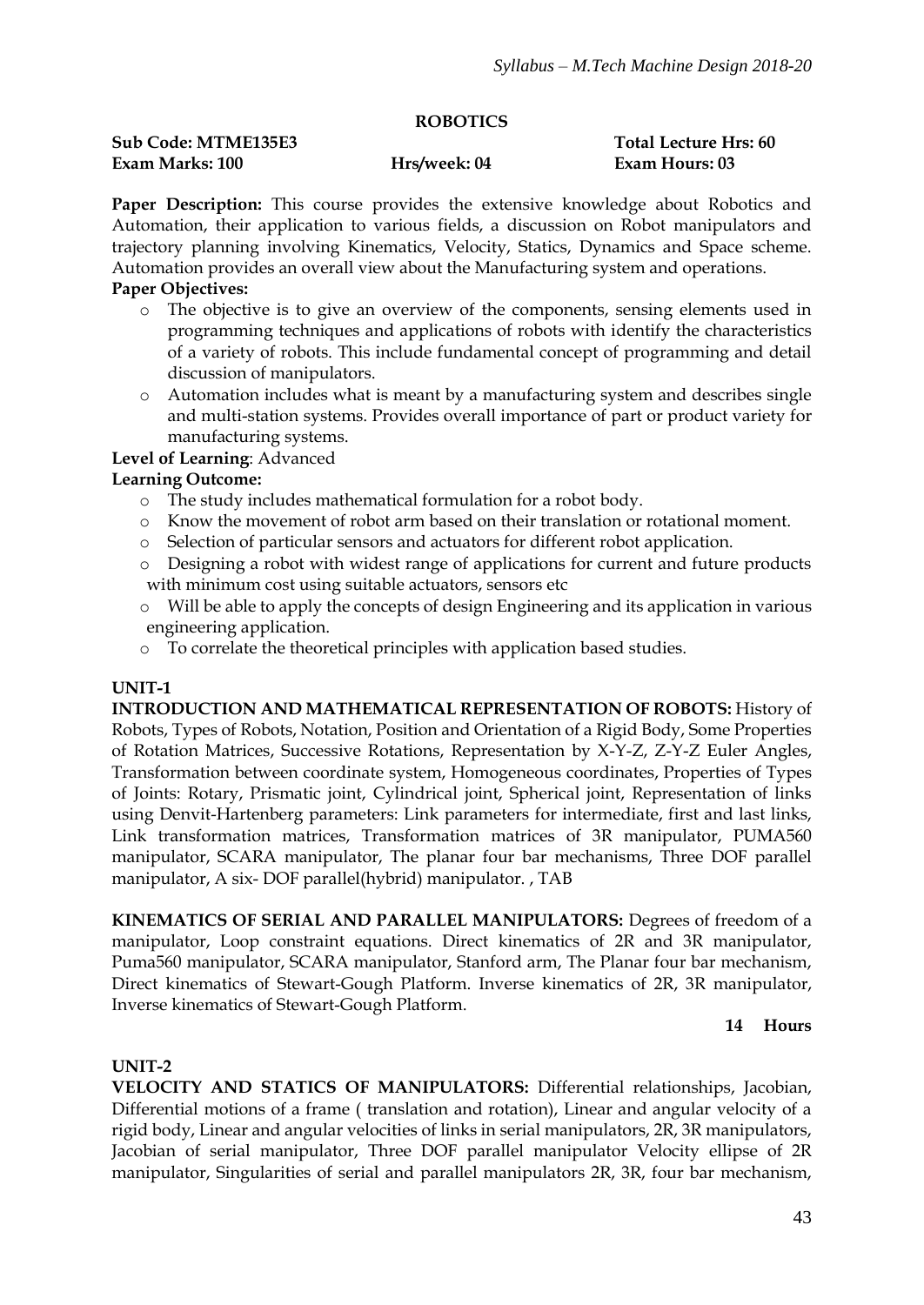#### **ROBOTICS**

#### **Sub Code: MTME135E3 Total Lecture Hrs: 60 Exam Marks: 100 Hrs/week: 04 Exam Hours: 03**

**Paper Description:** This course provides the extensive knowledge about Robotics and Automation, their application to various fields, a discussion on Robot manipulators and trajectory planning involving Kinematics, Velocity, Statics, Dynamics and Space scheme. Automation provides an overall view about the Manufacturing system and operations.

#### **Paper Objectives:**

- o The objective is to give an overview of the components, sensing elements used in programming techniques and applications of robots with identify the characteristics of a variety of robots. This include fundamental concept of programming and detail discussion of manipulators.
- o Automation includes what is meant by a manufacturing system and describes single and multi-station systems. Provides overall importance of part or product variety for manufacturing systems.

#### **Level of Learning**: Advanced

#### **Learning Outcome:**

- o The study includes mathematical formulation for a robot body.
- o Know the movement of robot arm based on their translation or rotational moment.
- o Selection of particular sensors and actuators for different robot application.
- o Designing a robot with widest range of applications for current and future products with minimum cost using suitable actuators, sensors etc
- o Will be able to apply the concepts of design Engineering and its application in various engineering application.
- o To correlate the theoretical principles with application based studies.

#### **UNIT-1**

**INTRODUCTION AND MATHEMATICAL REPRESENTATION OF ROBOTS:** History of Robots, Types of Robots, Notation, Position and Orientation of a Rigid Body, Some Properties of Rotation Matrices, Successive Rotations, Representation by X-Y-Z, Z-Y-Z Euler Angles, Transformation between coordinate system, Homogeneous coordinates, Properties of Types of Joints: Rotary, Prismatic joint, Cylindrical joint, Spherical joint, Representation of links using Denvit-Hartenberg parameters: Link parameters for intermediate, first and last links, Link transformation matrices, Transformation matrices of 3R manipulator, PUMA560 manipulator, SCARA manipulator, The planar four bar mechanisms, Three DOF parallel manipulator, A six- DOF parallel(hybrid) manipulator. , TAB

**KINEMATICS OF SERIAL AND PARALLEL MANIPULATORS:** Degrees of freedom of a manipulator, Loop constraint equations. Direct kinematics of 2R and 3R manipulator, Puma560 manipulator, SCARA manipulator, Stanford arm, The Planar four bar mechanism, Direct kinematics of Stewart-Gough Platform. Inverse kinematics of 2R, 3R manipulator, Inverse kinematics of Stewart-Gough Platform.

#### **14 Hours**

#### **UNIT-2**

**VELOCITY AND STATICS OF MANIPULATORS:** Differential relationships, Jacobian, Differential motions of a frame ( translation and rotation), Linear and angular velocity of a rigid body, Linear and angular velocities of links in serial manipulators, 2R, 3R manipulators, Jacobian of serial manipulator, Three DOF parallel manipulator Velocity ellipse of 2R manipulator, Singularities of serial and parallel manipulators 2R, 3R, four bar mechanism,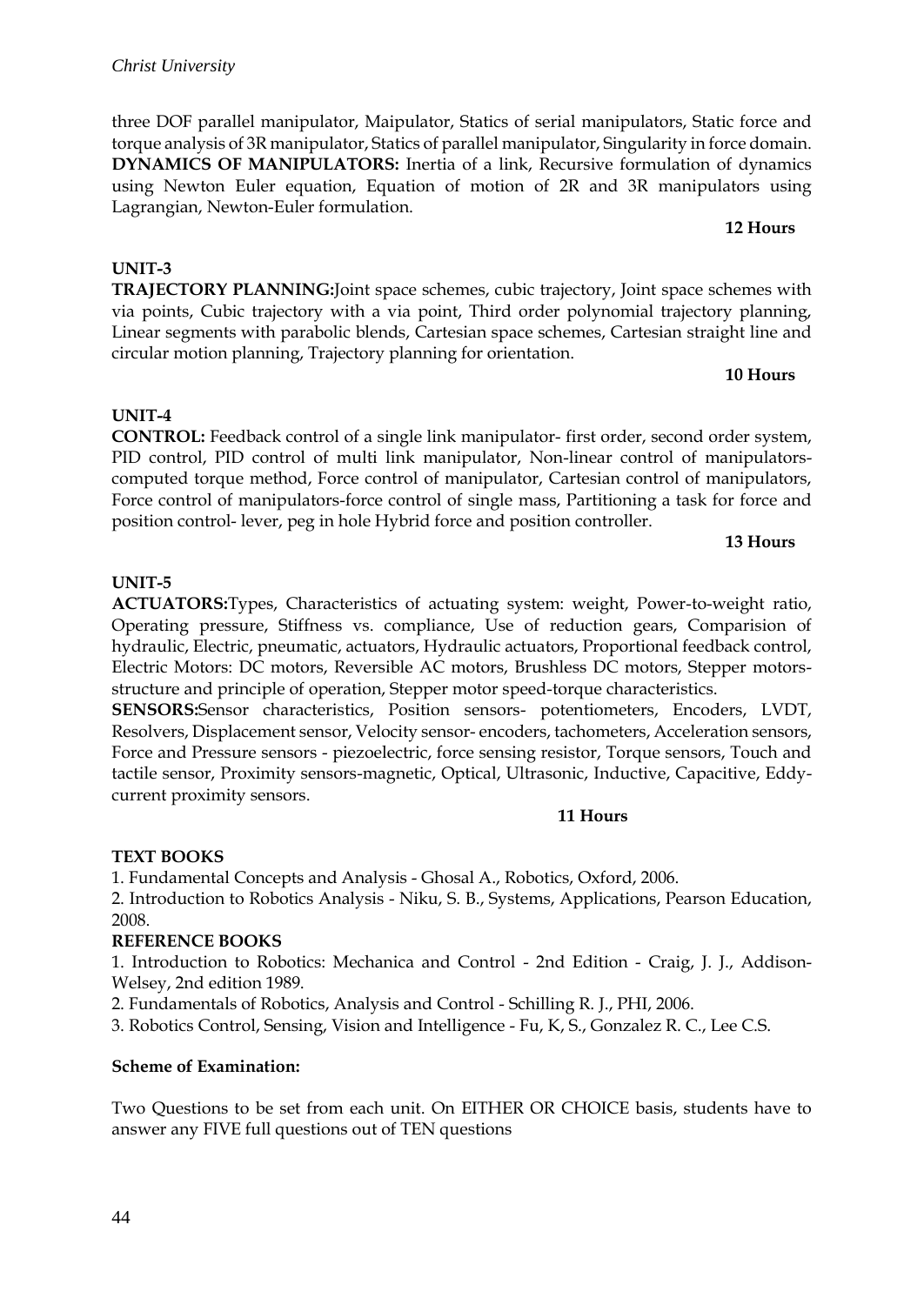# *Christ University*

three DOF parallel manipulator, Maipulator, Statics of serial manipulators, Static force and torque analysis of 3R manipulator, Statics of parallel manipulator, Singularity in force domain. **DYNAMICS OF MANIPULATORS:** Inertia of a link, Recursive formulation of dynamics using Newton Euler equation, Equation of motion of 2R and 3R manipulators using Lagrangian, Newton-Euler formulation.

#### **12 Hours**

**UNIT-3 TRAJECTORY PLANNING:**Joint space schemes, cubic trajectory, Joint space schemes with via points, Cubic trajectory with a via point, Third order polynomial trajectory planning, Linear segments with parabolic blends, Cartesian space schemes, Cartesian straight line and circular motion planning, Trajectory planning for orientation.

#### **10 Hours**

#### **UNIT-4**

**CONTROL:** Feedback control of a single link manipulator- first order, second order system, PID control, PID control of multi link manipulator, Non-linear control of manipulatorscomputed torque method, Force control of manipulator, Cartesian control of manipulators, Force control of manipulators-force control of single mass, Partitioning a task for force and position control- lever, peg in hole Hybrid force and position controller.

#### **13 Hours**

#### **UNIT-5**

**ACTUATORS:**Types, Characteristics of actuating system: weight, Power-to-weight ratio, Operating pressure, Stiffness vs. compliance, Use of reduction gears, Comparision of hydraulic, Electric, pneumatic, actuators, Hydraulic actuators, Proportional feedback control, Electric Motors: DC motors, Reversible AC motors, Brushless DC motors, Stepper motorsstructure and principle of operation, Stepper motor speed-torque characteristics.

**SENSORS:**Sensor characteristics, Position sensors- potentiometers, Encoders, LVDT, Resolvers, Displacement sensor, Velocity sensor- encoders, tachometers, Acceleration sensors, Force and Pressure sensors - piezoelectric, force sensing resistor, Torque sensors, Touch and tactile sensor, Proximity sensors-magnetic, Optical, Ultrasonic, Inductive, Capacitive, Eddycurrent proximity sensors.

#### **11 Hours**

#### **TEXT BOOKS**

1. Fundamental Concepts and Analysis - Ghosal A., Robotics, Oxford, 2006.

2. Introduction to Robotics Analysis - Niku, S. B., Systems, Applications, Pearson Education, 2008.

#### **REFERENCE BOOKS**

1. Introduction to Robotics: Mechanica and Control - 2nd Edition - Craig, J. J., Addison-Welsey, 2nd edition 1989.

2. Fundamentals of Robotics, Analysis and Control - Schilling R. J., PHI, 2006.

3. Robotics Control, Sensing, Vision and Intelligence - Fu, K, S., Gonzalez R. C., Lee C.S.

#### **Scheme of Examination:**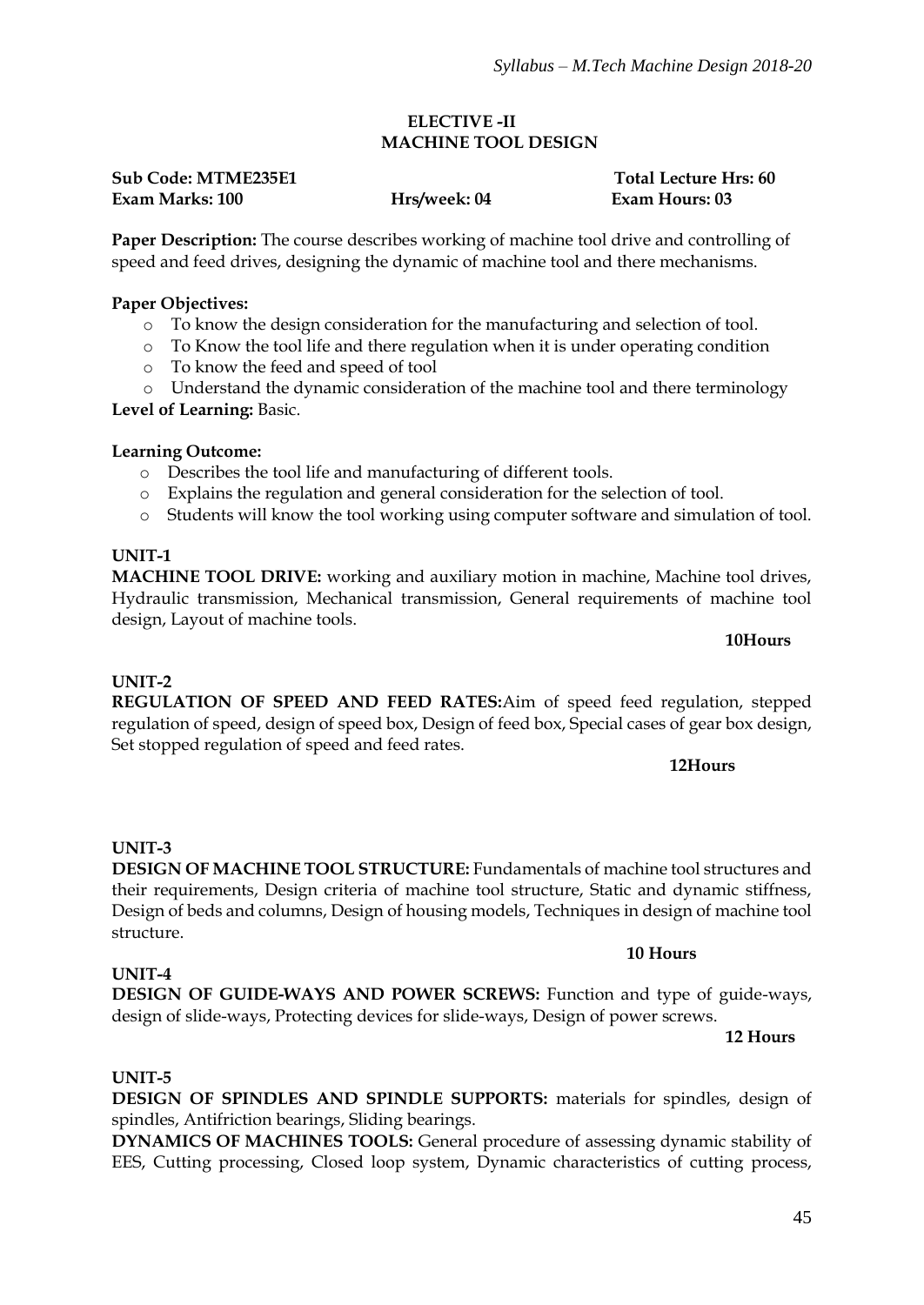#### **ELECTIVE -II MACHINE TOOL DESIGN**

**Sub Code: MTME235E1 Total Lecture Hrs: 60 Exam Marks: 100 Hrs/week: 04 Exam Hours: 03**

**Paper Description:** The course describes working of machine tool drive and controlling of speed and feed drives, designing the dynamic of machine tool and there mechanisms.

#### **Paper Objectives:**

- o To know the design consideration for the manufacturing and selection of tool.
- o To Know the tool life and there regulation when it is under operating condition
- o To know the feed and speed of tool

o Understand the dynamic consideration of the machine tool and there terminology **Level of Learning:** Basic.

## **Learning Outcome:**

- o Describes the tool life and manufacturing of different tools.
- o Explains the regulation and general consideration for the selection of tool.
- o Students will know the tool working using computer software and simulation of tool.

## **UNIT-1**

**MACHINE TOOL DRIVE:** working and auxiliary motion in machine, Machine tool drives, Hydraulic transmission, Mechanical transmission, General requirements of machine tool design, Layout of machine tools.

#### **10Hours**

## **UNIT-2**

**REGULATION OF SPEED AND FEED RATES:**Aim of speed feed regulation, stepped regulation of speed, design of speed box, Design of feed box, Special cases of gear box design, Set stopped regulation of speed and feed rates.

#### **12Hours**

 **10 Hours**

## **UNIT-3**

**DESIGN OF MACHINE TOOL STRUCTURE:** Fundamentals of machine tool structures and their requirements, Design criteria of machine tool structure, Static and dynamic stiffness, Design of beds and columns, Design of housing models, Techniques in design of machine tool structure.

#### **UNIT-4**

**DESIGN OF GUIDE-WAYS AND POWER SCREWS:** Function and type of guide-ways, design of slide-ways, Protecting devices for slide-ways, Design of power screws.

#### **12 Hours**

#### **UNIT-5**

**DESIGN OF SPINDLES AND SPINDLE SUPPORTS:** materials for spindles, design of spindles, Antifriction bearings, Sliding bearings.

**DYNAMICS OF MACHINES TOOLS:** General procedure of assessing dynamic stability of EES, Cutting processing, Closed loop system, Dynamic characteristics of cutting process,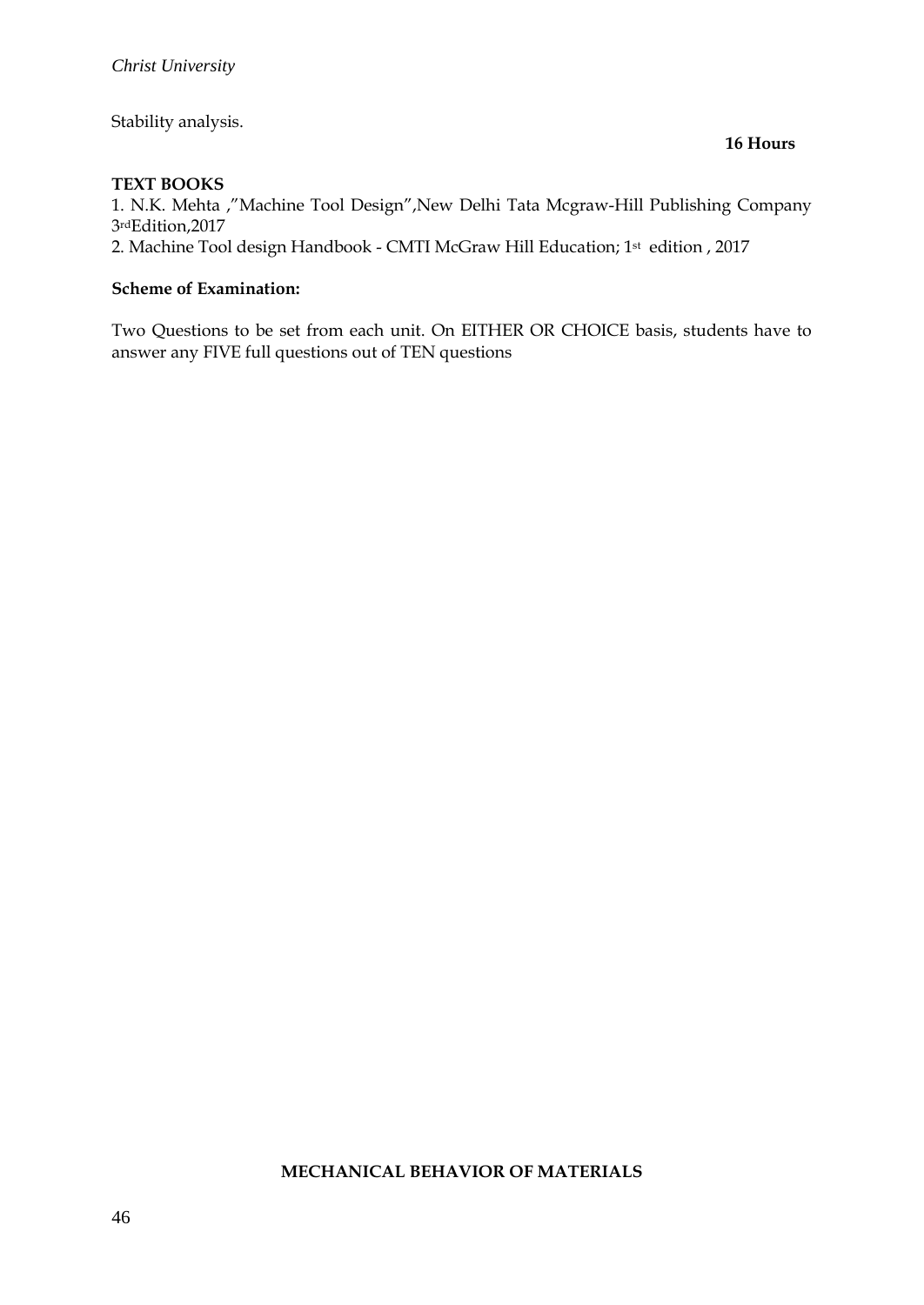## Stability analysis.

#### **16 Hours**

#### **TEXT BOOKS**

1. N.K. Mehta ,"Machine Tool Design",New Delhi Tata Mcgraw-Hill Publishing Company 3rdEdition,2017

2. Machine Tool design Handbook - CMTI McGraw Hill Education; 1st edition , 2017

## **Scheme of Examination:**

Two Questions to be set from each unit. On EITHER OR CHOICE basis, students have to answer any FIVE full questions out of TEN questions

## **MECHANICAL BEHAVIOR OF MATERIALS**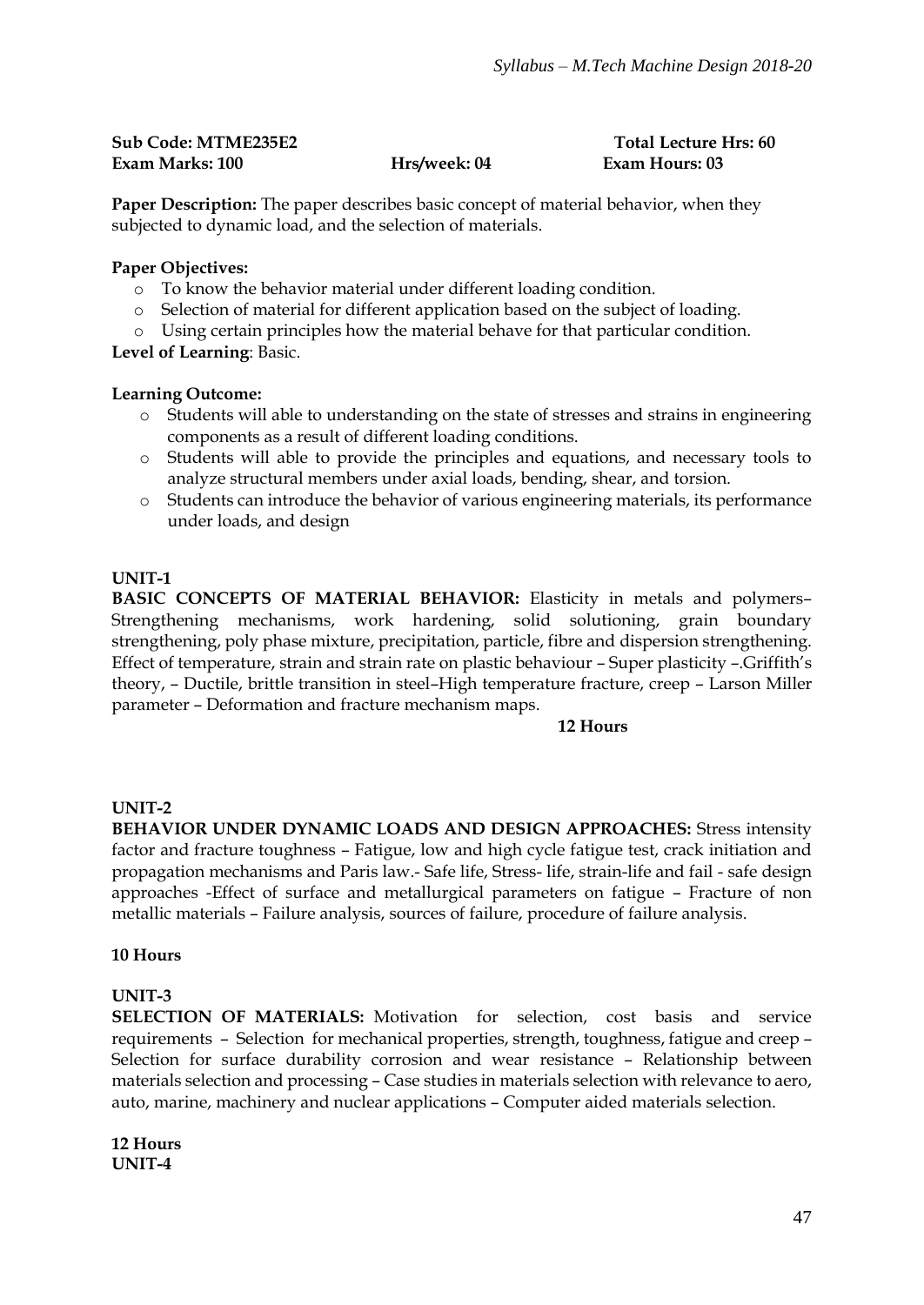| <b>Sub Code: MTME235E2</b> |              | Total Lecture Hrs: 60 |
|----------------------------|--------------|-----------------------|
| Exam Marks: 100            | Hrs/week: 04 | <b>Exam Hours: 03</b> |

**Paper Description:** The paper describes basic concept of material behavior, when they subjected to dynamic load, and the selection of materials.

## **Paper Objectives:**

- o To know the behavior material under different loading condition.
- o Selection of material for different application based on the subject of loading.
- $\circ$  Using certain principles how the material behave for that particular condition.

## **Level of Learning**: Basic.

## **Learning Outcome:**

- o Students will able to understanding on the state of stresses and strains in engineering components as a result of different loading conditions.
- o Students will able to provide the principles and equations, and necessary tools to analyze structural members under axial loads, bending, shear, and torsion.
- o Students can introduce the behavior of various engineering materials, its performance under loads, and design

#### **UNIT-1**

BASIC CONCEPTS OF MATERIAL BEHAVIOR: Elasticity in metals and polymers-Strengthening mechanisms, work hardening, solid solutioning, grain boundary strengthening, poly phase mixture, precipitation, particle, fibre and dispersion strengthening. Effect of temperature, strain and strain rate on plastic behaviour – Super plasticity –.Griffith's theory, – Ductile, brittle transition in steel–High temperature fracture, creep – Larson Miller parameter – Deformation and fracture mechanism maps.

#### **12 Hours**

#### **UNIT-2**

**BEHAVIOR UNDER DYNAMIC LOADS AND DESIGN APPROACHES:** Stress intensity factor and fracture toughness – Fatigue, low and high cycle fatigue test, crack initiation and propagation mechanisms and Paris law.- Safe life, Stress- life, strain-life and fail - safe design approaches -Effect of surface and metallurgical parameters on fatigue – Fracture of non metallic materials – Failure analysis, sources of failure, procedure of failure analysis.

#### **10 Hours**

#### **UNIT-3**

**SELECTION OF MATERIALS:** Motivation for selection, cost basis and service requirements – Selection for mechanical properties, strength, toughness, fatigue and creep – Selection for surface durability corrosion and wear resistance – Relationship between materials selection and processing – Case studies in materials selection with relevance to aero, auto, marine, machinery and nuclear applications – Computer aided materials selection.

**12 Hours UNIT-4**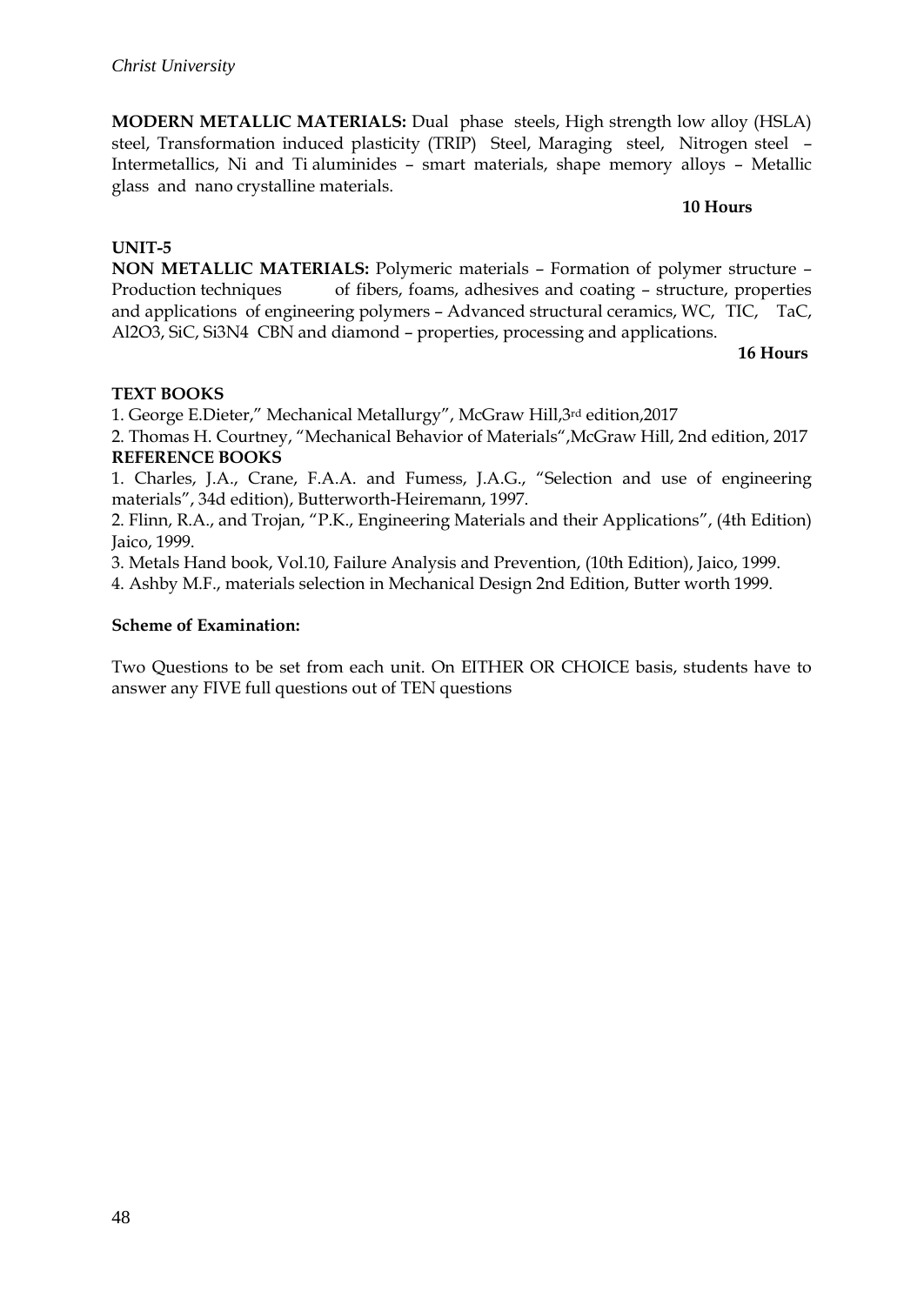**MODERN METALLIC MATERIALS:** Dual phase steels, High strength low alloy (HSLA) steel, Transformation induced plasticity (TRIP) Steel, Maraging steel, Nitrogen steel – Intermetallics, Ni and Ti aluminides – smart materials, shape memory alloys – Metallic glass and nano crystalline materials.

#### **10 Hours**

## **UNIT-5**

**NON METALLIC MATERIALS:** Polymeric materials – Formation of polymer structure – Production techniques of fibers, foams, adhesives and coating – structure, properties and applications of engineering polymers – Advanced structural ceramics, WC, TIC, TaC, Al2O3, SiC, Si3N4 CBN and diamond – properties, processing and applications.

 **16 Hours**

#### **TEXT BOOKS**

1. George E.Dieter," Mechanical Metallurgy", McGraw Hill,3rd edition,2017

2. Thomas H. Courtney, "Mechanical Behavior of Materials",McGraw Hill, 2nd edition, 2017 **REFERENCE BOOKS**

1. Charles, J.A., Crane, F.A.A. and Fumess, J.A.G., "Selection and use of engineering materials", 34d edition), Butterworth-Heiremann, 1997.

2. Flinn, R.A., and Trojan, "P.K., Engineering Materials and their Applications", (4th Edition) Jaico, 1999.

3. Metals Hand book, Vol.10, Failure Analysis and Prevention, (10th Edition), Jaico, 1999.

4. Ashby M.F., materials selection in Mechanical Design 2nd Edition, Butter worth 1999.

#### **Scheme of Examination:**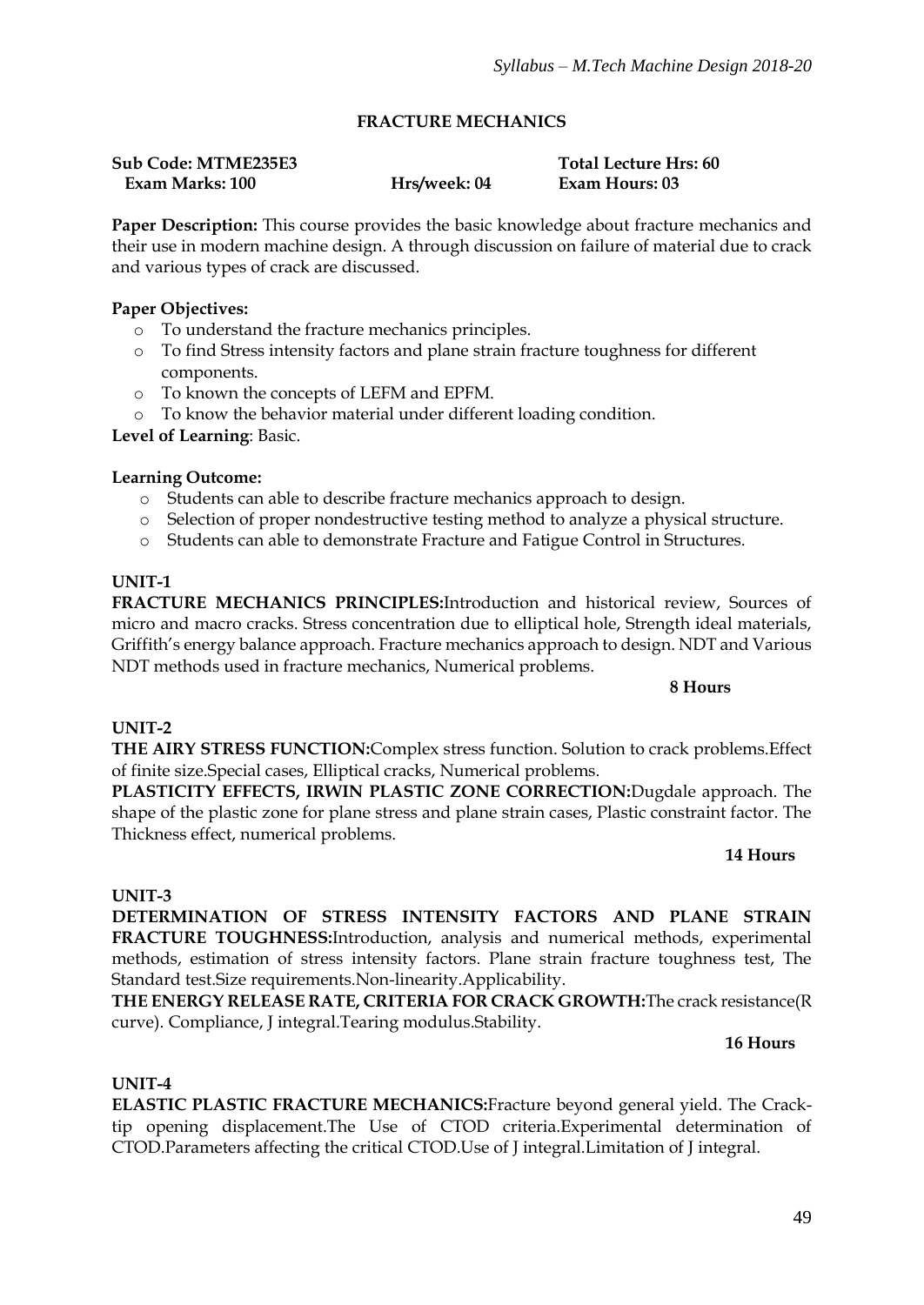## **FRACTURE MECHANICS**

| <b>Sub Code: MTME235E3</b> |              | <b>Total Lecture Hrs: 60</b> |
|----------------------------|--------------|------------------------------|
| Exam Marks: 100            | Hrs/week: 04 | <b>Exam Hours: 03</b>        |

**Paper Description:** This course provides the basic knowledge about fracture mechanics and their use in modern machine design. A through discussion on failure of material due to crack and various types of crack are discussed.

#### **Paper Objectives:**

- o To understand the fracture mechanics principles.
- o To find Stress intensity factors and plane strain fracture toughness for different components.
- o To known the concepts of LEFM and EPFM.
- o To know the behavior material under different loading condition.

**Level of Learning**: Basic.

#### **Learning Outcome:**

- o Students can able to describe fracture mechanics approach to design.
- o Selection of proper nondestructive testing method to analyze a physical structure.
- o Students can able to demonstrate Fracture and Fatigue Control in Structures.

#### **UNIT-1**

**FRACTURE MECHANICS PRINCIPLES:**Introduction and historical review, Sources of micro and macro cracks. Stress concentration due to elliptical hole, Strength ideal materials, Griffith's energy balance approach. Fracture mechanics approach to design. NDT and Various NDT methods used in fracture mechanics, Numerical problems.

#### **8 Hours**

#### **UNIT-2**

**THE AIRY STRESS FUNCTION:**Complex stress function. Solution to crack problems.Effect of finite size.Special cases, Elliptical cracks, Numerical problems.

**PLASTICITY EFFECTS, IRWIN PLASTIC ZONE CORRECTION:**Dugdale approach. The shape of the plastic zone for plane stress and plane strain cases, Plastic constraint factor. The Thickness effect, numerical problems.

#### **14 Hours**

#### **UNIT-3**

**DETERMINATION OF STRESS INTENSITY FACTORS AND PLANE STRAIN FRACTURE TOUGHNESS:**Introduction, analysis and numerical methods, experimental methods, estimation of stress intensity factors. Plane strain fracture toughness test, The Standard test.Size requirements.Non-linearity.Applicability.

**THE ENERGY RELEASE RATE, CRITERIA FOR CRACK GROWTH:**The crack resistance(R curve). Compliance, J integral.Tearing modulus.Stability.

#### **16 Hours**

#### **UNIT-4**

**ELASTIC PLASTIC FRACTURE MECHANICS:**Fracture beyond general yield. The Cracktip opening displacement.The Use of CTOD criteria.Experimental determination of CTOD.Parameters affecting the critical CTOD.Use of J integral.Limitation of J integral.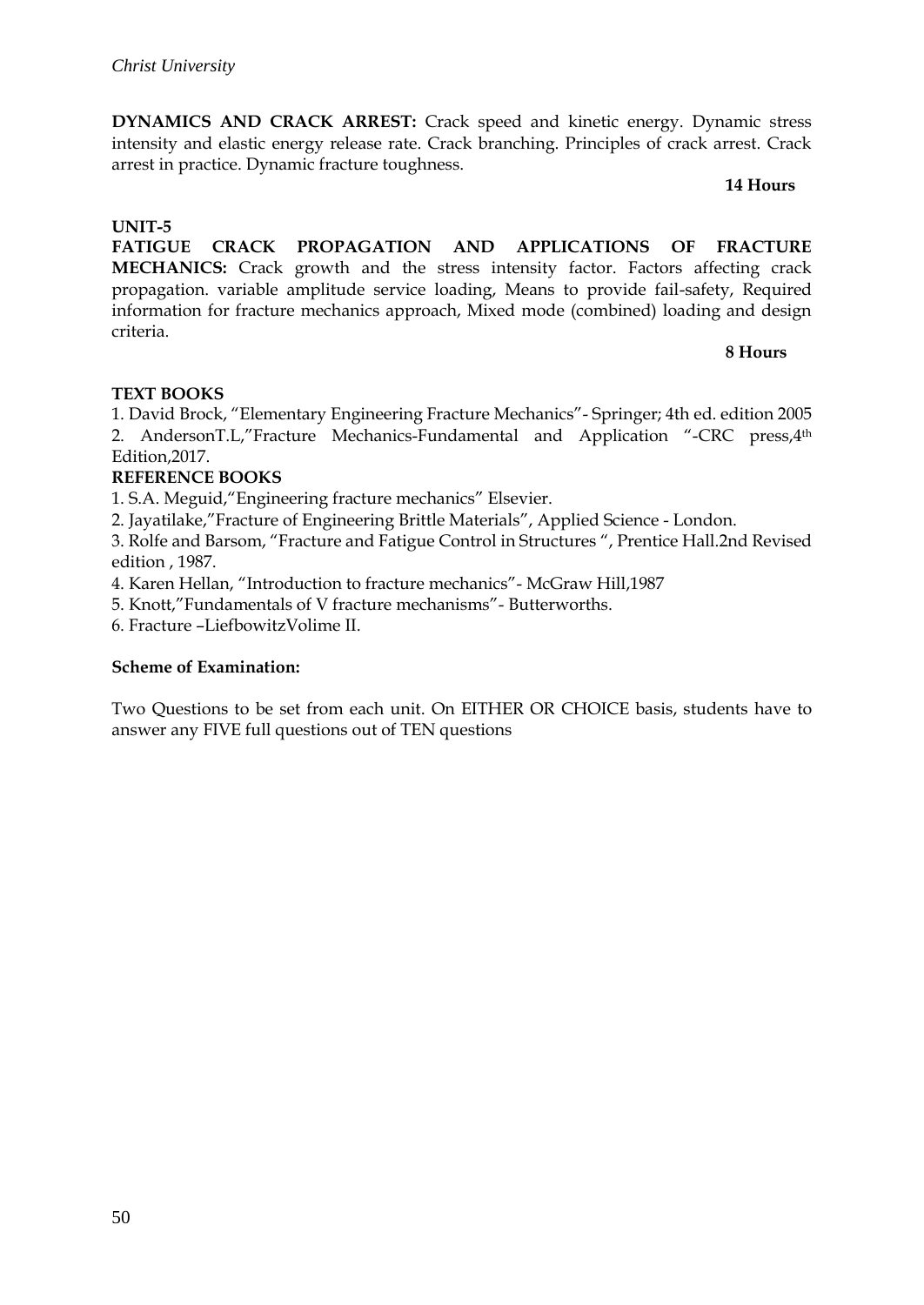**DYNAMICS AND CRACK ARREST:** Crack speed and kinetic energy. Dynamic stress intensity and elastic energy release rate. Crack branching. Principles of crack arrest. Crack arrest in practice. Dynamic fracture toughness.

#### **14 Hours**

#### **UNIT-5**

**FATIGUE CRACK PROPAGATION AND APPLICATIONS OF FRACTURE MECHANICS:** Crack growth and the stress intensity factor. Factors affecting crack propagation. variable amplitude service loading, Means to provide fail-safety, Required information for fracture mechanics approach, Mixed mode (combined) loading and design criteria.

#### **8 Hours**

#### **TEXT BOOKS**

1. David Brock, "Elementary Engineering Fracture Mechanics"- Springer; 4th ed. edition 2005 2. AndersonT.L,"Fracture Mechanics-Fundamental and Application "-CRC press,4th Edition,2017.

#### **REFERENCE BOOKS**

1. S.A. Meguid,"Engineering fracture mechanics" Elsevier.

2. Jayatilake,"Fracture of Engineering Brittle Materials", Applied Science - London.

3. Rolfe and Barsom, "Fracture and Fatigue Control in Structures ", Prentice Hall.2nd Revised edition , 1987.

4. Karen Hellan, "Introduction to fracture mechanics"- McGraw Hill,1987

5. Knott,"Fundamentals of V fracture mechanisms"- Butterworths.

6. Fracture –LiefbowitzVolime II.

#### **Scheme of Examination:**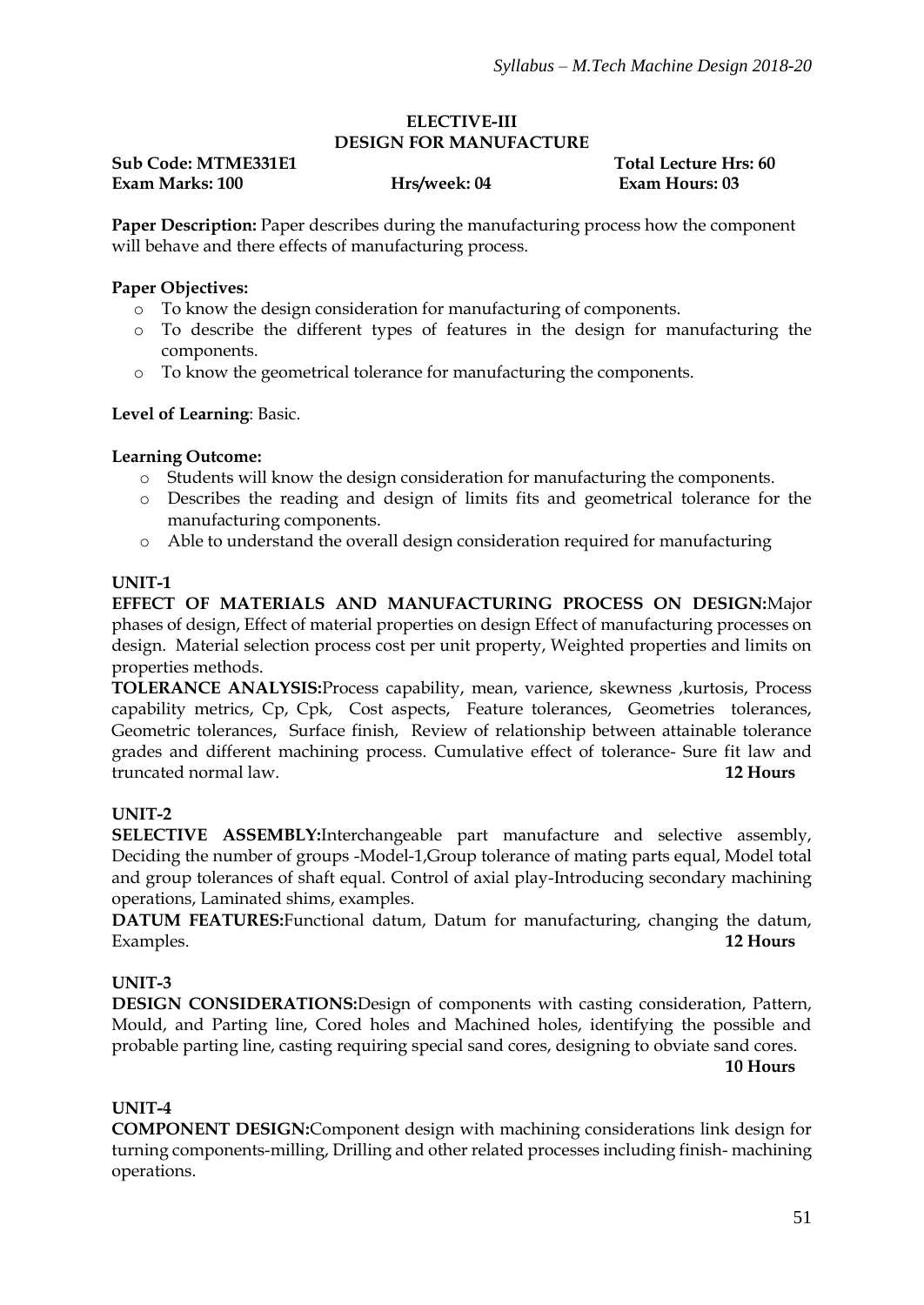#### **ELECTIVE-III DESIGN FOR MANUFACTURE**

| <b>Sub Code: MTME331E1</b> |              | <b>Total Lecture Hrs: 60</b> |
|----------------------------|--------------|------------------------------|
| Exam Marks: 100            | Hrs/week: 04 | Exam Hours: 03               |

**Paper Description:** Paper describes during the manufacturing process how the component will behave and there effects of manufacturing process.

#### **Paper Objectives:**

- o To know the design consideration for manufacturing of components.
- o To describe the different types of features in the design for manufacturing the components.
- o To know the geometrical tolerance for manufacturing the components.

#### **Level of Learning**: Basic.

#### **Learning Outcome:**

- o Students will know the design consideration for manufacturing the components.
- o Describes the reading and design of limits fits and geometrical tolerance for the manufacturing components.
- o Able to understand the overall design consideration required for manufacturing

#### **UNIT-1**

**EFFECT OF MATERIALS AND MANUFACTURING PROCESS ON DESIGN:**Major phases of design, Effect of material properties on design Effect of manufacturing processes on design. Material selection process cost per unit property, Weighted properties and limits on properties methods.

**TOLERANCE ANALYSIS:**Process capability, mean, varience, skewness ,kurtosis, Process capability metrics, Cp, Cpk, Cost aspects, Feature tolerances, Geometries tolerances, Geometric tolerances, Surface finish, Review of relationship between attainable tolerance grades and different machining process. Cumulative effect of tolerance- Sure fit law and truncated normal law. **12 Hours**

#### **UNIT-2**

**SELECTIVE ASSEMBLY:**Interchangeable part manufacture and selective assembly, Deciding the number of groups -Model-1,Group tolerance of mating parts equal, Model total and group tolerances of shaft equal. Control of axial play-Introducing secondary machining operations, Laminated shims, examples.

**DATUM FEATURES:**Functional datum, Datum for manufacturing, changing the datum, Examples. **12 Hours**

#### **UNIT-3**

**DESIGN CONSIDERATIONS:**Design of components with casting consideration, Pattern, Mould, and Parting line, Cored holes and Machined holes, identifying the possible and probable parting line, casting requiring special sand cores, designing to obviate sand cores.

**10 Hours**

#### **UNIT-4**

**COMPONENT DESIGN:**Component design with machining considerations link design for turning components-milling, Drilling and other related processes including finish- machining operations.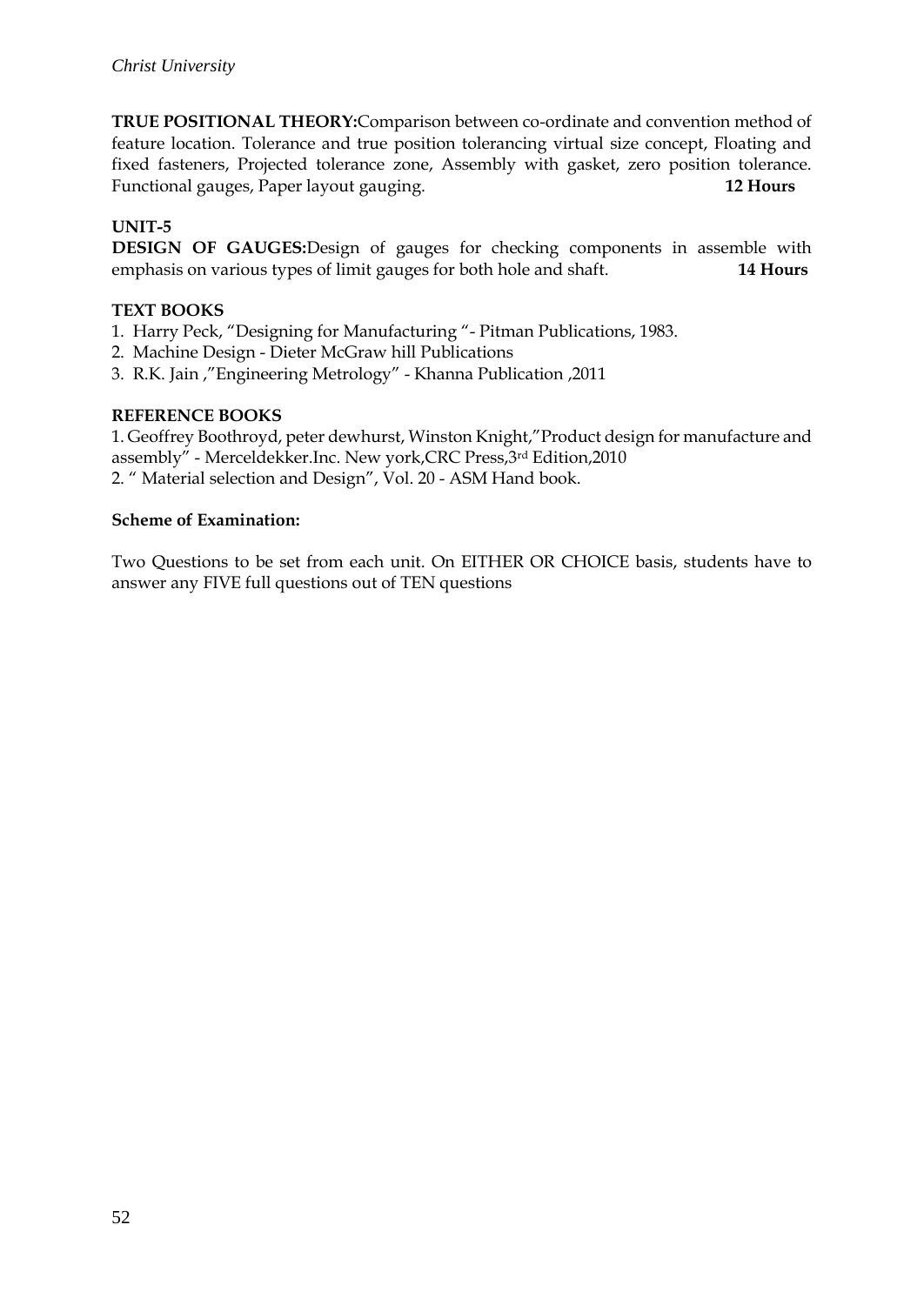**TRUE POSITIONAL THEORY:**Comparison between co-ordinate and convention method of feature location. Tolerance and true position tolerancing virtual size concept, Floating and fixed fasteners, Projected tolerance zone, Assembly with gasket, zero position tolerance. Functional gauges, Paper layout gauging. **12 Hours**

## **UNIT-5**

**DESIGN OF GAUGES:**Design of gauges for checking components in assemble with emphasis on various types of limit gauges for both hole and shaft. **14 Hours**

## **TEXT BOOKS**

1. Harry Peck, "Designing for Manufacturing "- Pitman Publications, 1983.

- 2. Machine Design Dieter McGraw hill Publications
- 3. R.K. Jain ,"Engineering Metrology" Khanna Publication ,2011

## **REFERENCE BOOKS**

1. Geoffrey Boothroyd, peter dewhurst, Winston Knight,"Product design for manufacture and assembly" - Merceldekker.Inc. New york,CRC Press,3rd Edition,2010 2. " Material selection and Design", Vol. 20 - ASM Hand book.

## **Scheme of Examination:**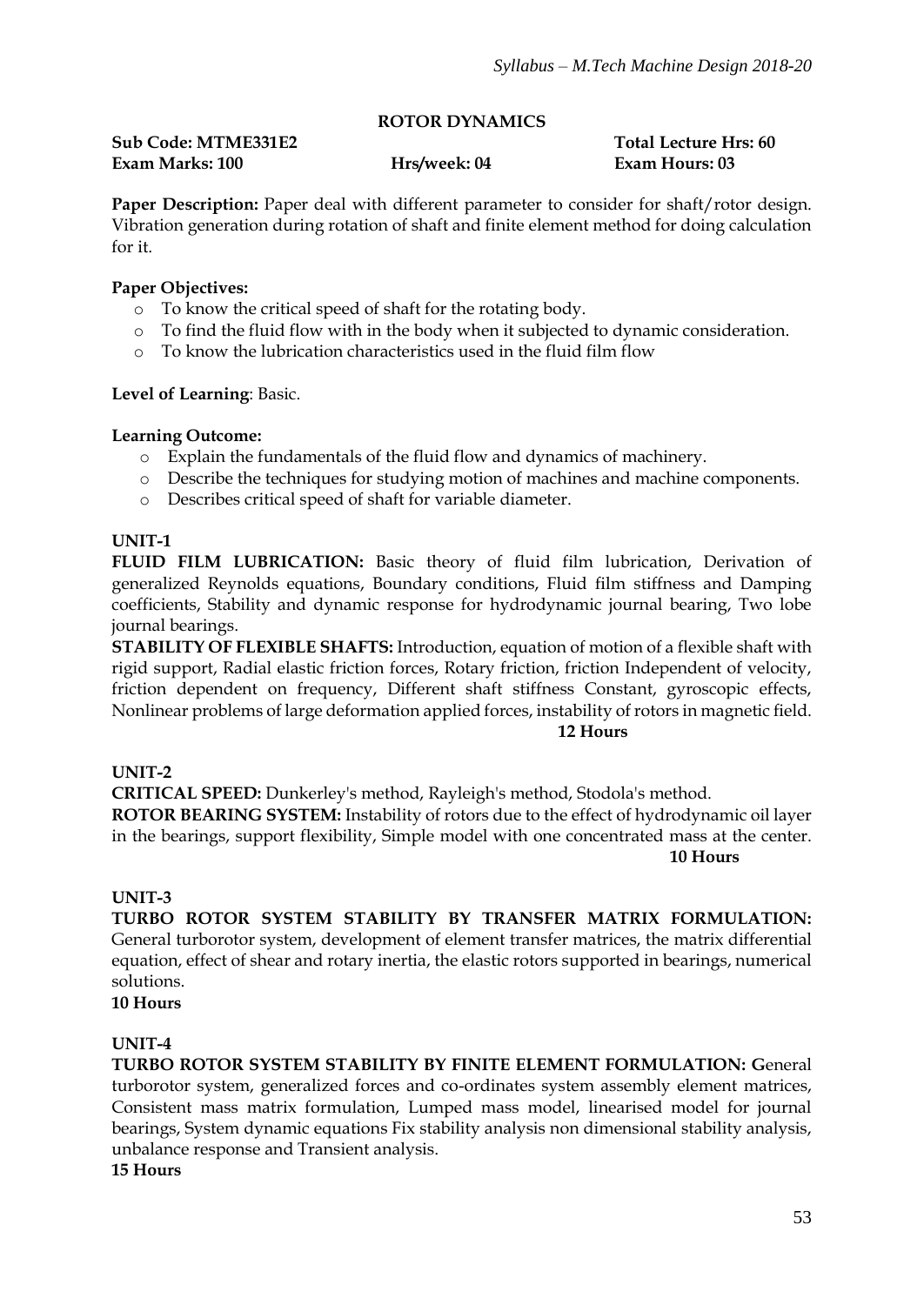### **ROTOR DYNAMICS**

| <b>Sub Code: MTME331E2</b> |              | <b>Total Lecture Hrs: 60</b> |
|----------------------------|--------------|------------------------------|
| Exam Marks: 100            | Hrs/week: 04 | <b>Exam Hours: 03</b>        |

Paper Description: Paper deal with different parameter to consider for shaft/rotor design. Vibration generation during rotation of shaft and finite element method for doing calculation for it.

## **Paper Objectives:**

- o To know the critical speed of shaft for the rotating body.
- o To find the fluid flow with in the body when it subjected to dynamic consideration.
- $\circ$  To know the lubrication characteristics used in the fluid film flow

## **Level of Learning**: Basic.

## **Learning Outcome:**

- o Explain the fundamentals of the fluid flow and dynamics of machinery.
- o Describe the techniques for studying motion of machines and machine components.
- o Describes critical speed of shaft for variable diameter.

## **UNIT-1**

FLUID FILM LUBRICATION: Basic theory of fluid film lubrication, Derivation of generalized Reynolds equations, Boundary conditions, Fluid film stiffness and Damping coefficients, Stability and dynamic response for hydrodynamic journal bearing, Two lobe journal bearings.

**STABILITY OF FLEXIBLE SHAFTS:** Introduction, equation of motion of a flexible shaft with rigid support, Radial elastic friction forces, Rotary friction, friction Independent of velocity, friction dependent on frequency, Different shaft stiffness Constant, gyroscopic effects, Nonlinear problems of large deformation applied forces, instability of rotors in magnetic field.

#### **12 Hours**

#### **UNIT-2**

**CRITICAL SPEED:** Dunkerley's method, Rayleigh's method, Stodola's method. **ROTOR BEARING SYSTEM:** Instability of rotors due to the effect of hydrodynamic oil layer in the bearings, support flexibility, Simple model with one concentrated mass at the center. **10 Hours**

## **UNIT-3**

**TURBO ROTOR SYSTEM STABILITY BY TRANSFER MATRIX FORMULATION:**  General turborotor system, development of element transfer matrices, the matrix differential equation, effect of shear and rotary inertia, the elastic rotors supported in bearings, numerical solutions.

**10 Hours**

#### **UNIT-4**

**TURBO ROTOR SYSTEM STABILITY BY FINITE ELEMENT FORMULATION: G**eneral turborotor system, generalized forces and co-ordinates system assembly element matrices, Consistent mass matrix formulation, Lumped mass model, linearised model for journal bearings, System dynamic equations Fix stability analysis non dimensional stability analysis, unbalance response and Transient analysis.

**15 Hours**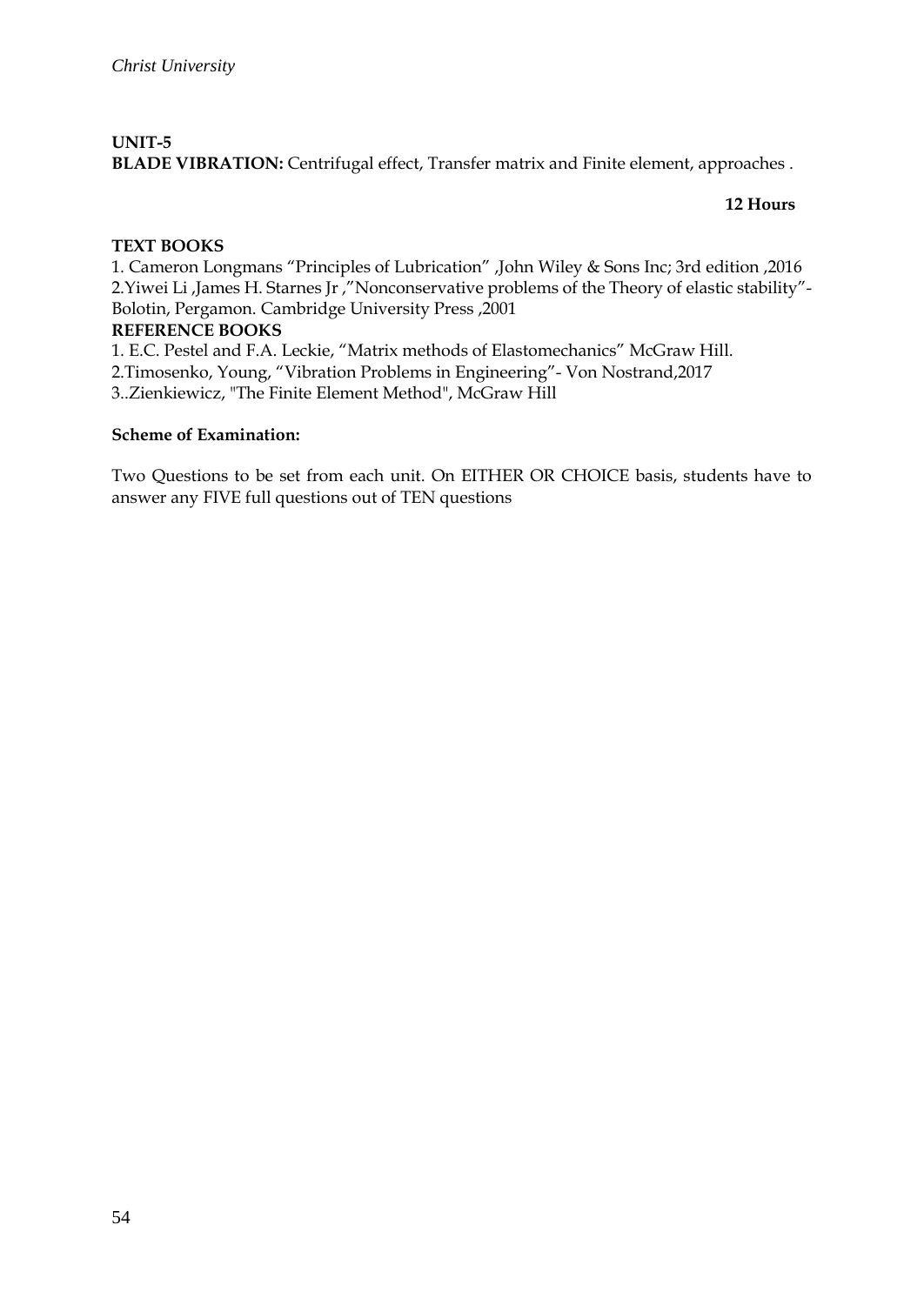## **UNIT-5**

**BLADE VIBRATION:** Centrifugal effect, Transfer matrix and Finite element, approaches .

#### **12 Hours**

#### **TEXT BOOKS**

1. Cameron Longmans "Principles of Lubrication" ,John Wiley & Sons Inc; 3rd edition ,2016 2.Yiwei Li ,James H. Starnes Jr ,"Nonconservative problems of the Theory of elastic stability"- Bolotin, Pergamon. Cambridge University Press ,2001

## **REFERENCE BOOKS**

1. E.C. Pestel and F.A. Leckie, "Matrix methods of Elastomechanics" McGraw Hill. 2.Timosenko, Young, "Vibration Problems in Engineering"- Von Nostrand,2017

3..Zienkiewicz, "The Finite Element Method", McGraw Hill

#### **Scheme of Examination:**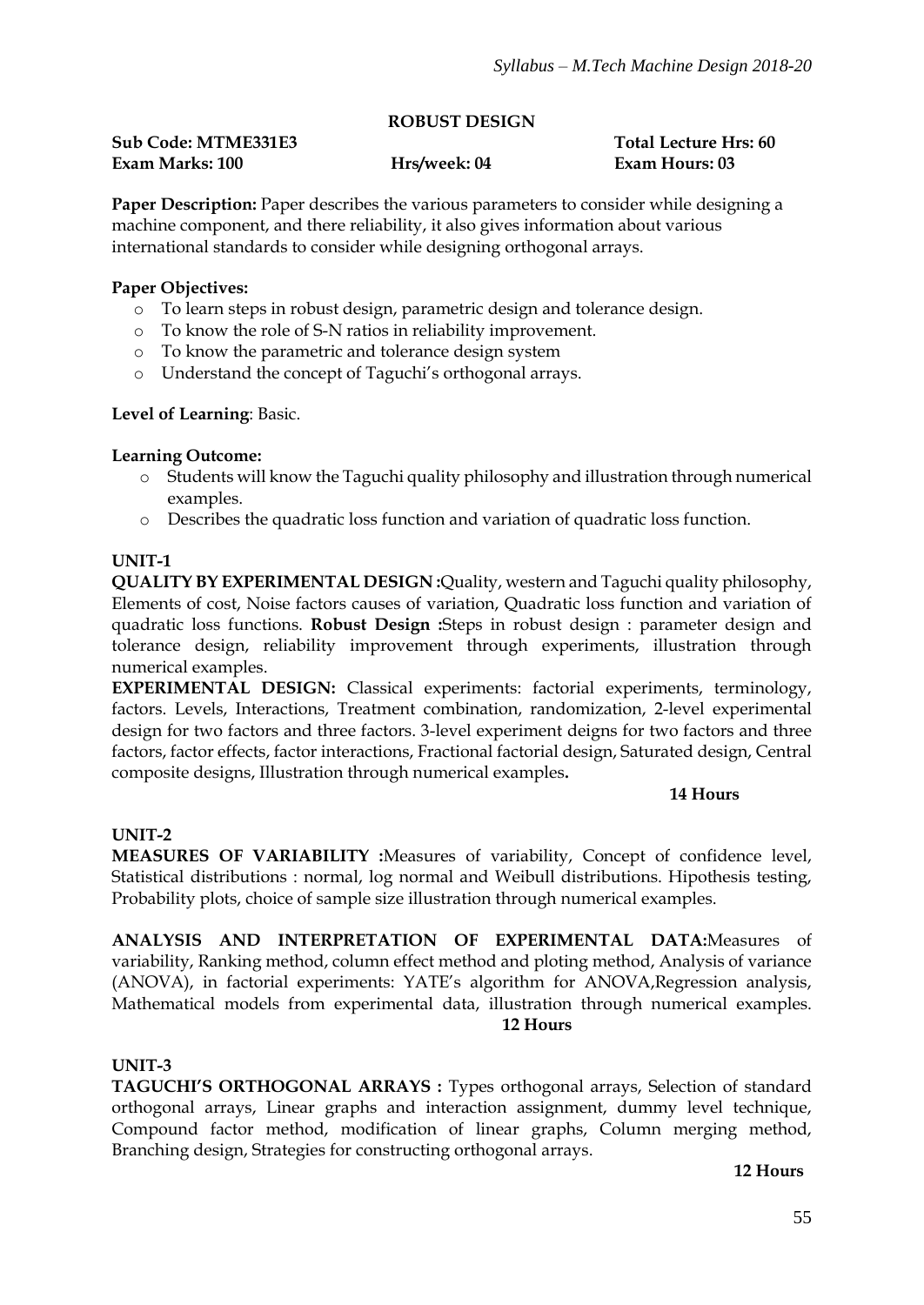#### **ROBUST DESIGN**

| <b>Sub Code: MTME331E3</b> |              | Total Lecture Hrs: 60 |
|----------------------------|--------------|-----------------------|
| Exam Marks: 100            | Hrs/week: 04 | Exam Hours: 03        |

Paper Description: Paper describes the various parameters to consider while designing a machine component, and there reliability, it also gives information about various international standards to consider while designing orthogonal arrays.

#### **Paper Objectives:**

- o To learn steps in robust design, parametric design and tolerance design.
- o To know the role of S-N ratios in reliability improvement.
- o To know the parametric and tolerance design system
- o Understand the concept of Taguchi's orthogonal arrays.

#### **Level of Learning**: Basic.

#### **Learning Outcome:**

- o Students will know the Taguchi quality philosophy and illustration through numerical examples.
- o Describes the quadratic loss function and variation of quadratic loss function.

## **UNIT-1**

**QUALITY BY EXPERIMENTAL DESIGN :**Quality, western and Taguchi quality philosophy, Elements of cost, Noise factors causes of variation, Quadratic loss function and variation of quadratic loss functions. **Robust Design :**Steps in robust design : parameter design and tolerance design, reliability improvement through experiments, illustration through numerical examples.

**EXPERIMENTAL DESIGN:** Classical experiments: factorial experiments, terminology, factors. Levels, Interactions, Treatment combination, randomization, 2-level experimental design for two factors and three factors. 3-level experiment deigns for two factors and three factors, factor effects, factor interactions, Fractional factorial design, Saturated design, Central composite designs, Illustration through numerical examples**.** 

#### **14 Hours**

#### **UNIT-2**

**MEASURES OF VARIABILITY :**Measures of variability, Concept of confidence level, Statistical distributions : normal, log normal and Weibull distributions. Hipothesis testing, Probability plots, choice of sample size illustration through numerical examples.

**ANALYSIS AND INTERPRETATION OF EXPERIMENTAL DATA:**Measures of variability, Ranking method, column effect method and ploting method, Analysis of variance (ANOVA), in factorial experiments: YATE's algorithm for ANOVA,Regression analysis, Mathematical models from experimental data, illustration through numerical examples. **12 Hours**

#### **UNIT-3**

**TAGUCHI'S ORTHOGONAL ARRAYS :** Types orthogonal arrays, Selection of standard orthogonal arrays, Linear graphs and interaction assignment, dummy level technique, Compound factor method, modification of linear graphs, Column merging method, Branching design, Strategies for constructing orthogonal arrays.

### **12 Hours**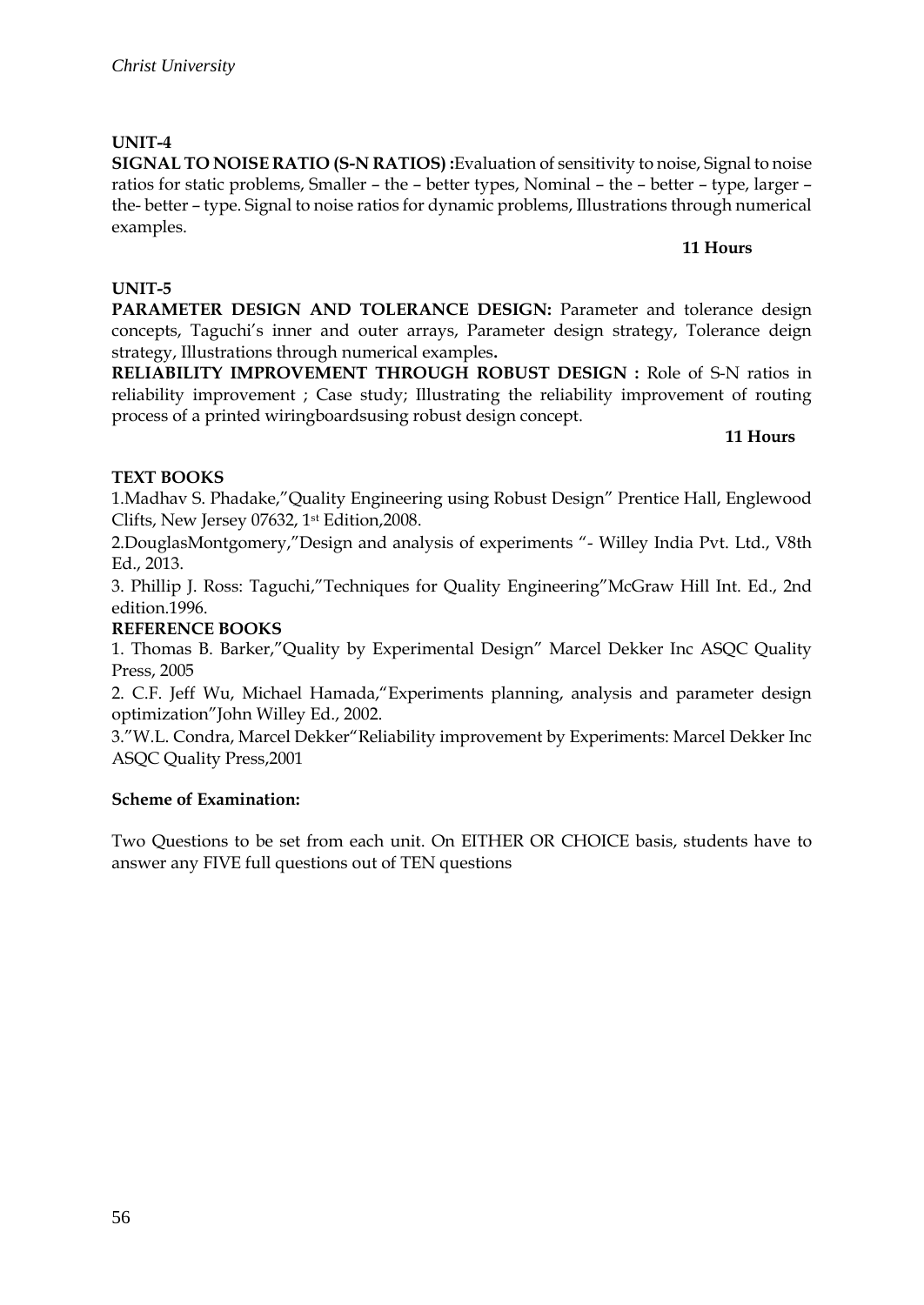## **UNIT-4**

**SIGNAL TO NOISE RATIO (S-N RATIOS) :**Evaluation of sensitivity to noise, Signal to noise ratios for static problems, Smaller – the – better types, Nominal – the – better – type, larger – the- better – type. Signal to noise ratios for dynamic problems, Illustrations through numerical examples.

## **11 Hours**

## **UNIT-5**

**PARAMETER DESIGN AND TOLERANCE DESIGN:** Parameter and tolerance design concepts, Taguchi's inner and outer arrays, Parameter design strategy, Tolerance deign strategy, Illustrations through numerical examples**.**

**RELIABILITY IMPROVEMENT THROUGH ROBUST DESIGN :** Role of S-N ratios in reliability improvement ; Case study; Illustrating the reliability improvement of routing process of a printed wiringboardsusing robust design concept.

#### **11 Hours**

## **TEXT BOOKS**

1.Madhav S. Phadake,"Quality Engineering using Robust Design" Prentice Hall, Englewood Clifts, New Jersey 07632, 1st Edition,2008.

2.DouglasMontgomery,"Design and analysis of experiments "- Willey India Pvt. Ltd., V8th Ed., 2013.

3. Phillip J. Ross: Taguchi,"Techniques for Quality Engineering"McGraw Hill Int. Ed., 2nd edition.1996.

#### **REFERENCE BOOKS**

1. Thomas B. Barker,"Quality by Experimental Design" Marcel Dekker Inc ASQC Quality Press, 2005

2. C.F. Jeff Wu, Michael Hamada,"Experiments planning, analysis and parameter design optimization"John Willey Ed., 2002.

3."W.L. Condra, Marcel Dekker"Reliability improvement by Experiments: Marcel Dekker Inc ASQC Quality Press,2001

#### **Scheme of Examination:**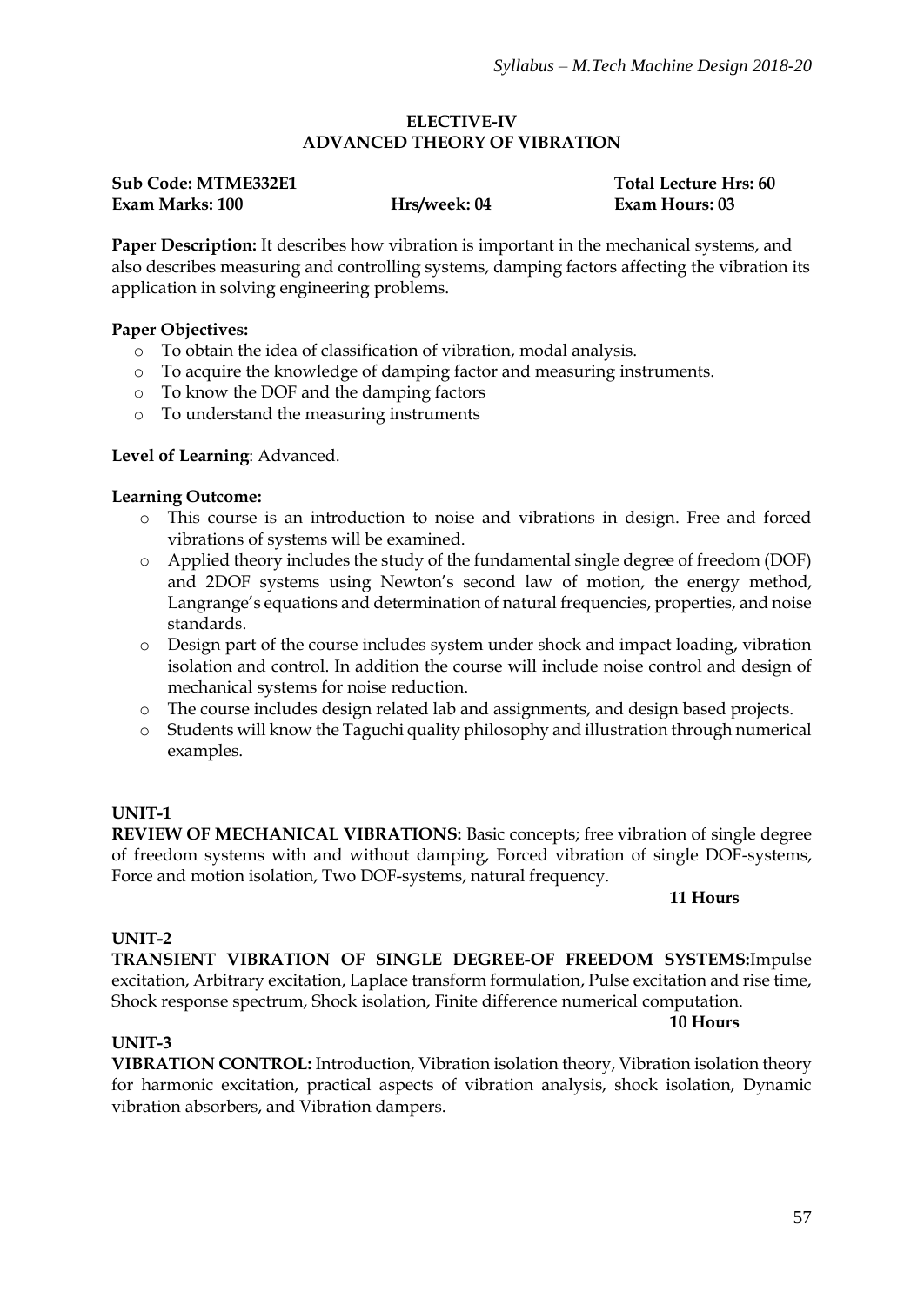#### **ELECTIVE-IV ADVANCED THEORY OF VIBRATION**

| <b>Sub Code: MTME332E1</b> |              |
|----------------------------|--------------|
| Exam Marks: 100            | Hrs/week: 04 |

**Sub Code: MTME332E1 Total Lecture Hrs: 60 Exam Hours: 03** 

**Paper Description:** It describes how vibration is important in the mechanical systems, and also describes measuring and controlling systems, damping factors affecting the vibration its application in solving engineering problems.

### **Paper Objectives:**

- o To obtain the idea of classification of vibration, modal analysis.
- o To acquire the knowledge of damping factor and measuring instruments.
- o To know the DOF and the damping factors
- o To understand the measuring instruments

#### **Level of Learning**: Advanced.

#### **Learning Outcome:**

- o This course is an introduction to noise and vibrations in design. Free and forced vibrations of systems will be examined.
- o Applied theory includes the study of the fundamental single degree of freedom (DOF) and 2DOF systems using Newton's second law of motion, the energy method, Langrange's equations and determination of natural frequencies, properties, and noise standards.
- o Design part of the course includes system under shock and impact loading, vibration isolation and control. In addition the course will include noise control and design of mechanical systems for noise reduction.
- o The course includes design related lab and assignments, and design based projects.
- o Students will know the Taguchi quality philosophy and illustration through numerical examples.

## **UNIT-1**

**REVIEW OF MECHANICAL VIBRATIONS:** Basic concepts; free vibration of single degree of freedom systems with and without damping, Forced vibration of single DOF-systems, Force and motion isolation, Two DOF-systems, natural frequency.

#### **11 Hours**

#### **UNIT-2**

**TRANSIENT VIBRATION OF SINGLE DEGREE-OF FREEDOM SYSTEMS:**Impulse excitation, Arbitrary excitation, Laplace transform formulation, Pulse excitation and rise time, Shock response spectrum, Shock isolation, Finite difference numerical computation.

**10 Hours**

#### **UNIT-3**

**VIBRATION CONTROL:** Introduction, Vibration isolation theory, Vibration isolation theory for harmonic excitation, practical aspects of vibration analysis, shock isolation, Dynamic vibration absorbers, and Vibration dampers.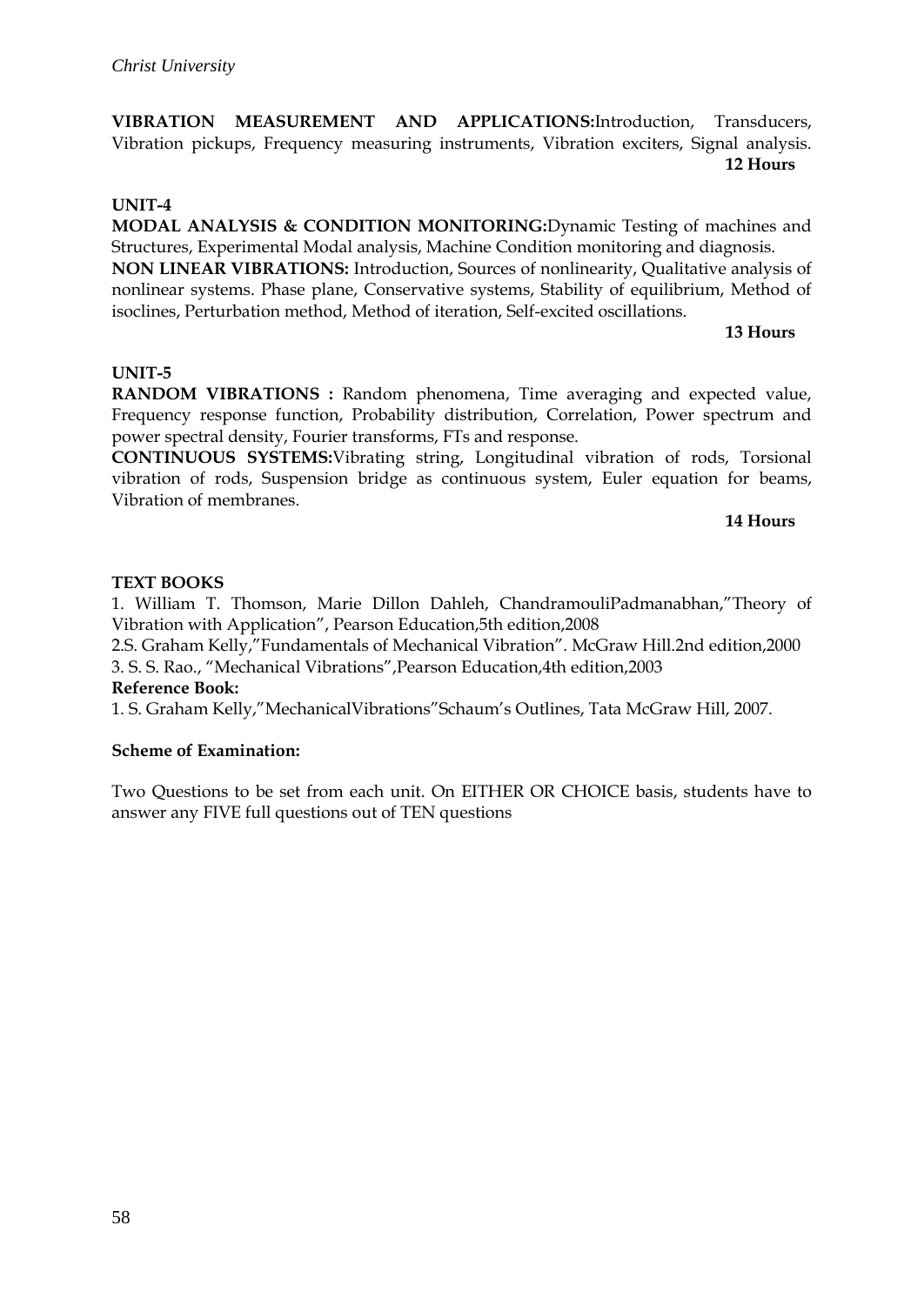**VIBRATION MEASUREMENT AND APPLICATIONS:**Introduction, Transducers, Vibration pickups, Frequency measuring instruments, Vibration exciters, Signal analysis. **12 Hours**

## **UNIT-4**

**MODAL ANALYSIS & CONDITION MONITORING:**Dynamic Testing of machines and Structures, Experimental Modal analysis, Machine Condition monitoring and diagnosis. **NON LINEAR VIBRATIONS:** Introduction, Sources of nonlinearity, Qualitative analysis of nonlinear systems. Phase plane, Conservative systems, Stability of equilibrium, Method of isoclines, Perturbation method, Method of iteration, Self-excited oscillations.

#### **13 Hours**

#### **UNIT-5**

RANDOM VIBRATIONS : Random phenomena, Time averaging and expected value, Frequency response function, Probability distribution, Correlation, Power spectrum and power spectral density, Fourier transforms, FTs and response.

**CONTINUOUS SYSTEMS:**Vibrating string, Longitudinal vibration of rods, Torsional vibration of rods, Suspension bridge as continuous system, Euler equation for beams, Vibration of membranes.

#### **14 Hours**

#### **TEXT BOOKS**

1. William T. Thomson, Marie Dillon Dahleh, ChandramouliPadmanabhan,"Theory of Vibration with Application", Pearson Education,5th edition,2008

2.S. Graham Kelly,"Fundamentals of Mechanical Vibration". McGraw Hill.2nd edition,2000 3. S. S. Rao., "Mechanical Vibrations",Pearson Education,4th edition,2003

#### **Reference Book:**

1. S. Graham Kelly,"MechanicalVibrations"Schaum's Outlines, Tata McGraw Hill, 2007.

#### **Scheme of Examination:**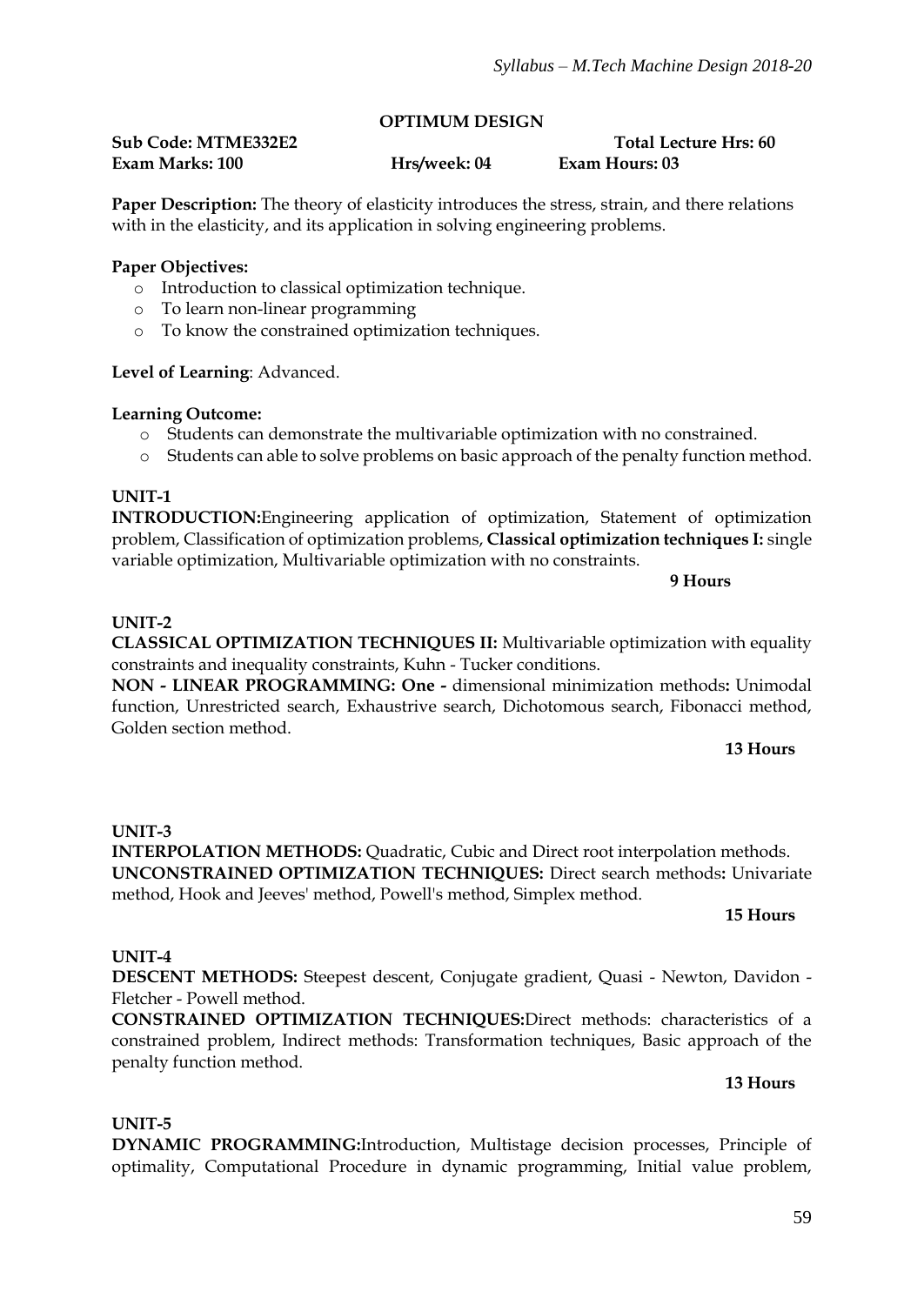# **OPTIMUM DESIGN**

# **Sub Code: MTME332E2**<br>**Final Lecture Hrs: 60**<br>**Hrs/week: 04**<br>**Total Lecture Hrs: 60**<br>**Total Lecture Hrs: 60**<br>**Total Lecture Hrs: 60 Exam Marks: 100 Hrs/week: 04**

**Paper Description:** The theory of elasticity introduces the stress, strain, and there relations with in the elasticity, and its application in solving engineering problems.

# **Paper Objectives:**

- o Introduction to classical optimization technique.
- o To learn non-linear programming
- o To know the constrained optimization techniques.

# **Level of Learning**: Advanced.

# **Learning Outcome:**

- o Students can demonstrate the multivariable optimization with no constrained.
- o Students can able to solve problems on basic approach of the penalty function method.

# **UNIT-1**

**INTRODUCTION:**Engineering application of optimization, Statement of optimization problem, Classification of optimization problems, **Classical optimization techniques I:** single variable optimization, Multivariable optimization with no constraints.

**9 Hours**

## **UNIT-2**

**CLASSICAL OPTIMIZATION TECHNIQUES II:** Multivariable optimization with equality constraints and inequality constraints, Kuhn - Tucker conditions.

**NON - LINEAR PROGRAMMING: One -** dimensional minimization methods**:** Unimodal function, Unrestricted search, Exhaustrive search, Dichotomous search, Fibonacci method, Golden section method.

## **13 Hours**

# **UNIT-3**

**INTERPOLATION METHODS:** Quadratic, Cubic and Direct root interpolation methods. **UNCONSTRAINED OPTIMIZATION TECHNIQUES:** Direct search methods**:** Univariate method, Hook and Jeeves' method, Powell's method, Simplex method.

## **15 Hours**

## **UNIT-4**

**DESCENT METHODS:** Steepest descent, Conjugate gradient, Quasi - Newton, Davidon - Fletcher - Powell method.

**CONSTRAINED OPTIMIZATION TECHNIQUES:**Direct methods: characteristics of a constrained problem, Indirect methods: Transformation techniques, Basic approach of the penalty function method.

## **13 Hours**

## **UNIT-5**

**DYNAMIC PROGRAMMING:**Introduction, Multistage decision processes, Principle of optimality, Computational Procedure in dynamic programming, Initial value problem,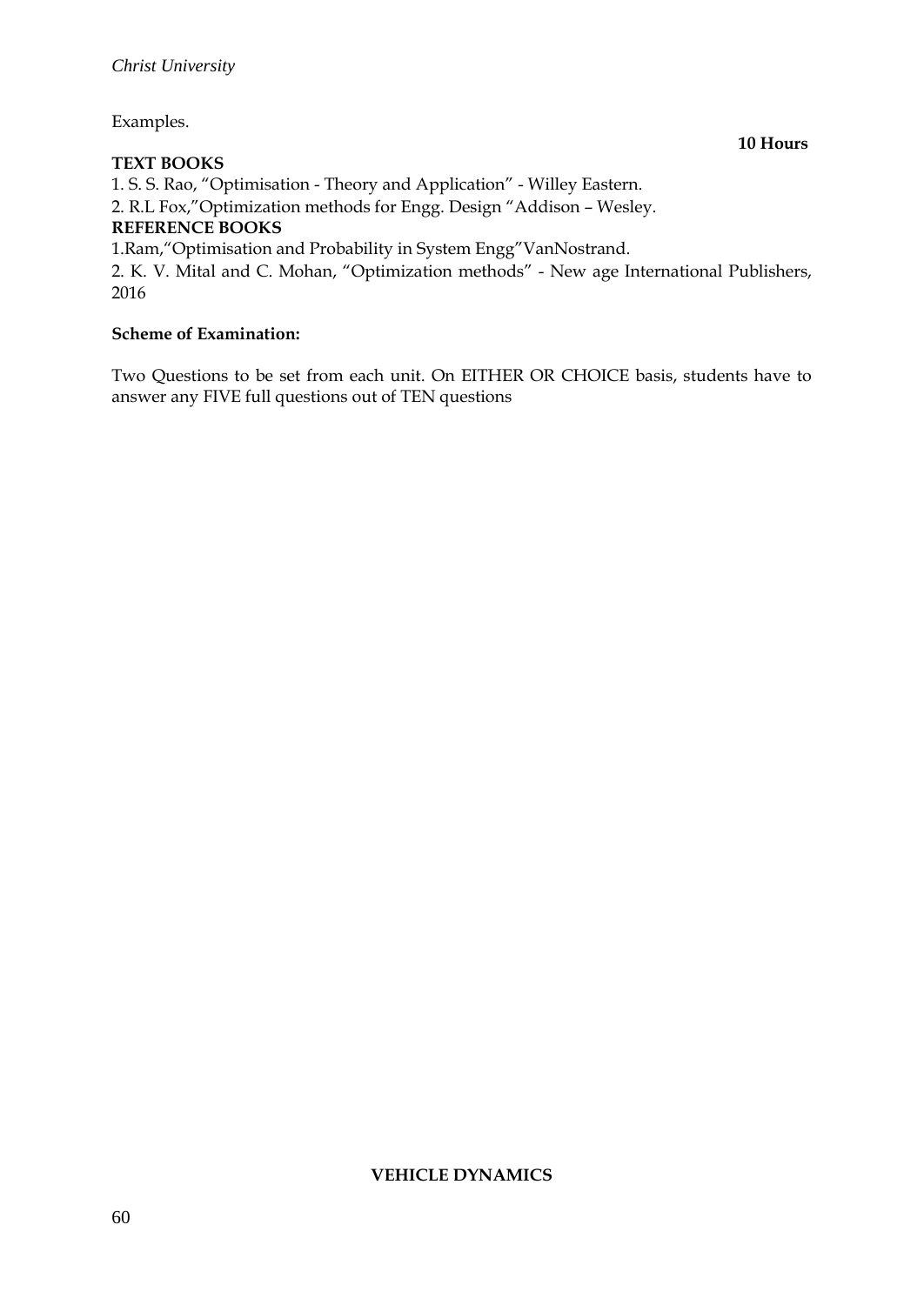Examples.

## **TEXT BOOKS**

1. S. S. Rao, "Optimisation - Theory and Application" - Willey Eastern.

2. R.L Fox,"Optimization methods for Engg. Design "Addison – Wesley.

## **REFERENCE BOOKS**

1.Ram,"Optimisation and Probability in System Engg"VanNostrand.

2. K. V. Mital and C. Mohan, "Optimization methods" - New age International Publishers, 2016

## **Scheme of Examination:**

Two Questions to be set from each unit. On EITHER OR CHOICE basis, students have to answer any FIVE full questions out of TEN questions

#### **VEHICLE DYNAMICS**

#### **10 Hours**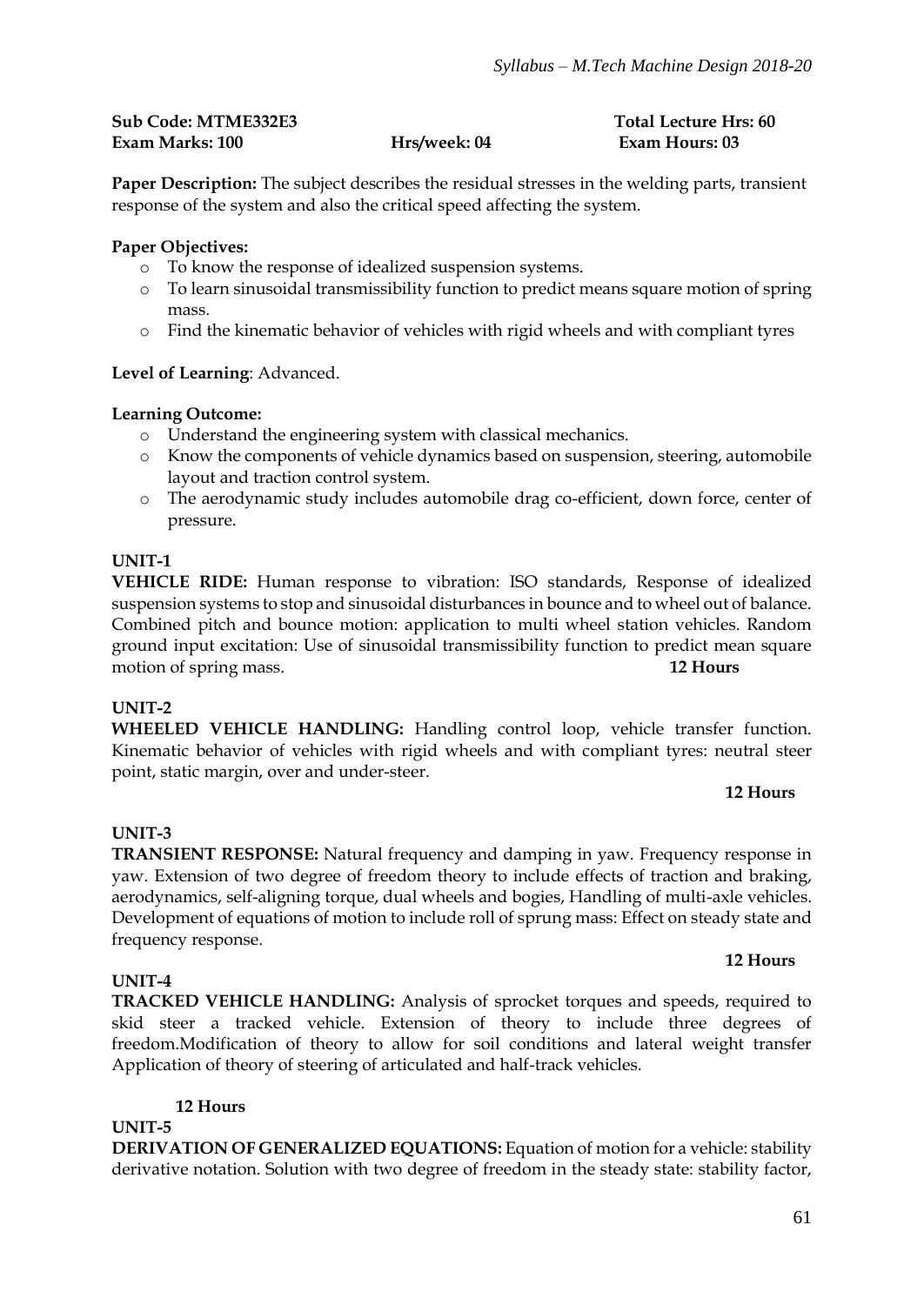| <b>Sub Code: MTME332E3</b> |              |
|----------------------------|--------------|
| Exam Marks: 100            | Hrs/week: 04 |

**Total Lecture Hrs: 60 Exam Hours: 03** 

**Paper Description:** The subject describes the residual stresses in the welding parts, transient response of the system and also the critical speed affecting the system.

## **Paper Objectives:**

- o To know the response of idealized suspension systems.
- o To learn sinusoidal transmissibility function to predict means square motion of spring mass.
- o Find the kinematic behavior of vehicles with rigid wheels and with compliant tyres

## **Level of Learning**: Advanced.

#### **Learning Outcome:**

- o Understand the engineering system with classical mechanics.
- o Know the components of vehicle dynamics based on suspension, steering, automobile layout and traction control system.
- o The aerodynamic study includes automobile drag co-efficient, down force, center of pressure.

## **UNIT-1**

**VEHICLE RIDE:** Human response to vibration: ISO standards, Response of idealized suspension systems to stop and sinusoidal disturbances in bounce and to wheel out of balance. Combined pitch and bounce motion: application to multi wheel station vehicles. Random ground input excitation: Use of sinusoidal transmissibility function to predict mean square motion of spring mass. **12 Hours**

## **UNIT-2**

**WHEELED VEHICLE HANDLING:** Handling control loop, vehicle transfer function. Kinematic behavior of vehicles with rigid wheels and with compliant tyres: neutral steer point, static margin, over and under-steer.

#### **12 Hours**

**12 Hours**

#### **UNIT-3**

**TRANSIENT RESPONSE:** Natural frequency and damping in yaw. Frequency response in yaw. Extension of two degree of freedom theory to include effects of traction and braking, aerodynamics, self-aligning torque, dual wheels and bogies, Handling of multi-axle vehicles. Development of equations of motion to include roll of sprung mass: Effect on steady state and frequency response.

#### **UNIT-4**

**TRACKED VEHICLE HANDLING:** Analysis of sprocket torques and speeds, required to skid steer a tracked vehicle. Extension of theory to include three degrees of freedom.Modification of theory to allow for soil conditions and lateral weight transfer Application of theory of steering of articulated and half-track vehicles.

#### **12 Hours**

## **UNIT-5**

**DERIVATION OF GENERALIZED EQUATIONS:** Equation of motion for a vehicle: stability derivative notation. Solution with two degree of freedom in the steady state: stability factor,

# 61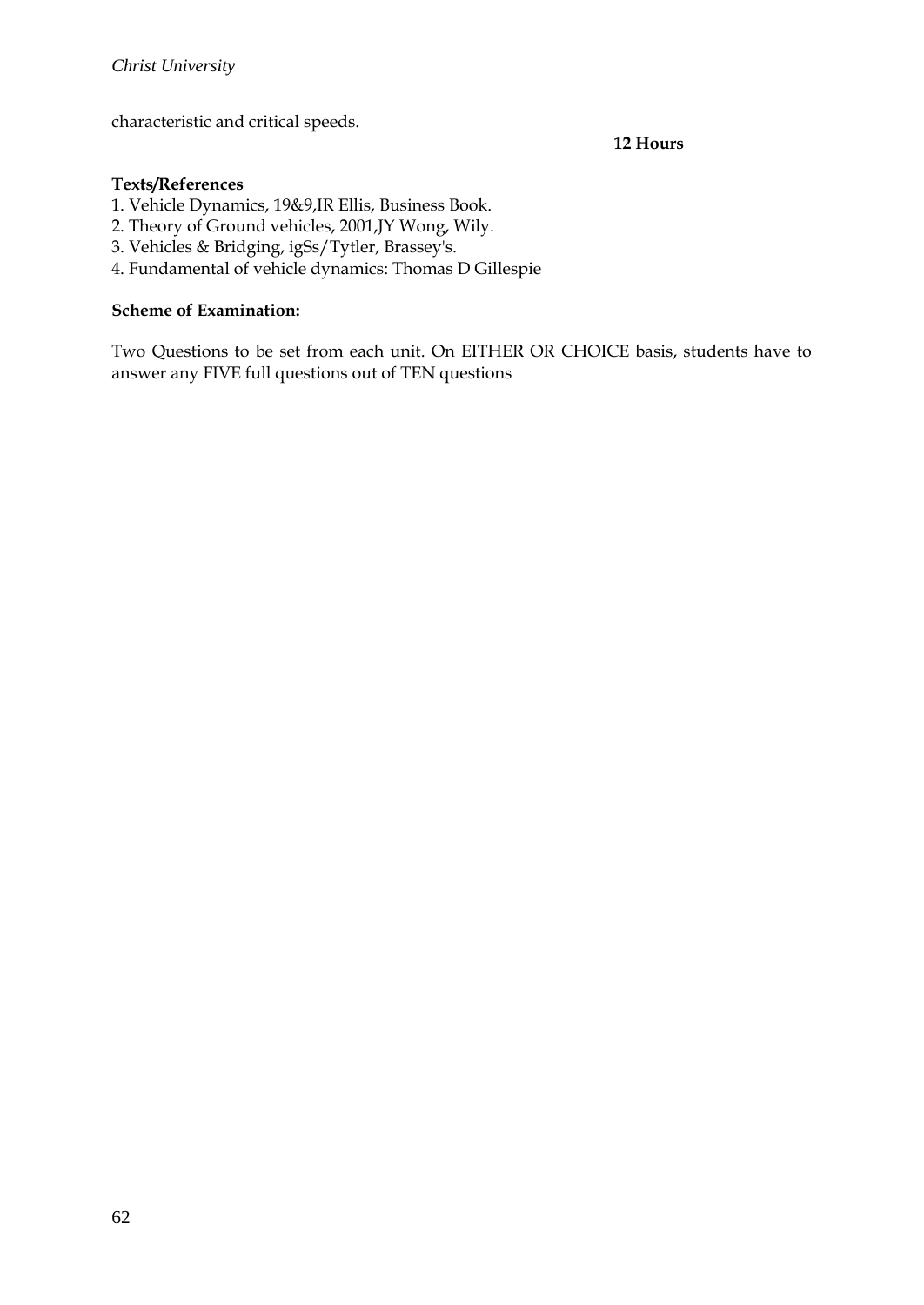characteristic and critical speeds.

## **12 Hours**

## **Texts/References**

- 1. Vehicle Dynamics, 19&9,IR Ellis, Business Book.
- 2. Theory of Ground vehicles, 2001,JY Wong, Wily.
- 3. Vehicles & Bridging, igSs/Tytler, Brassey's.
- 4. Fundamental of vehicle dynamics: Thomas D Gillespie

## **Scheme of Examination:**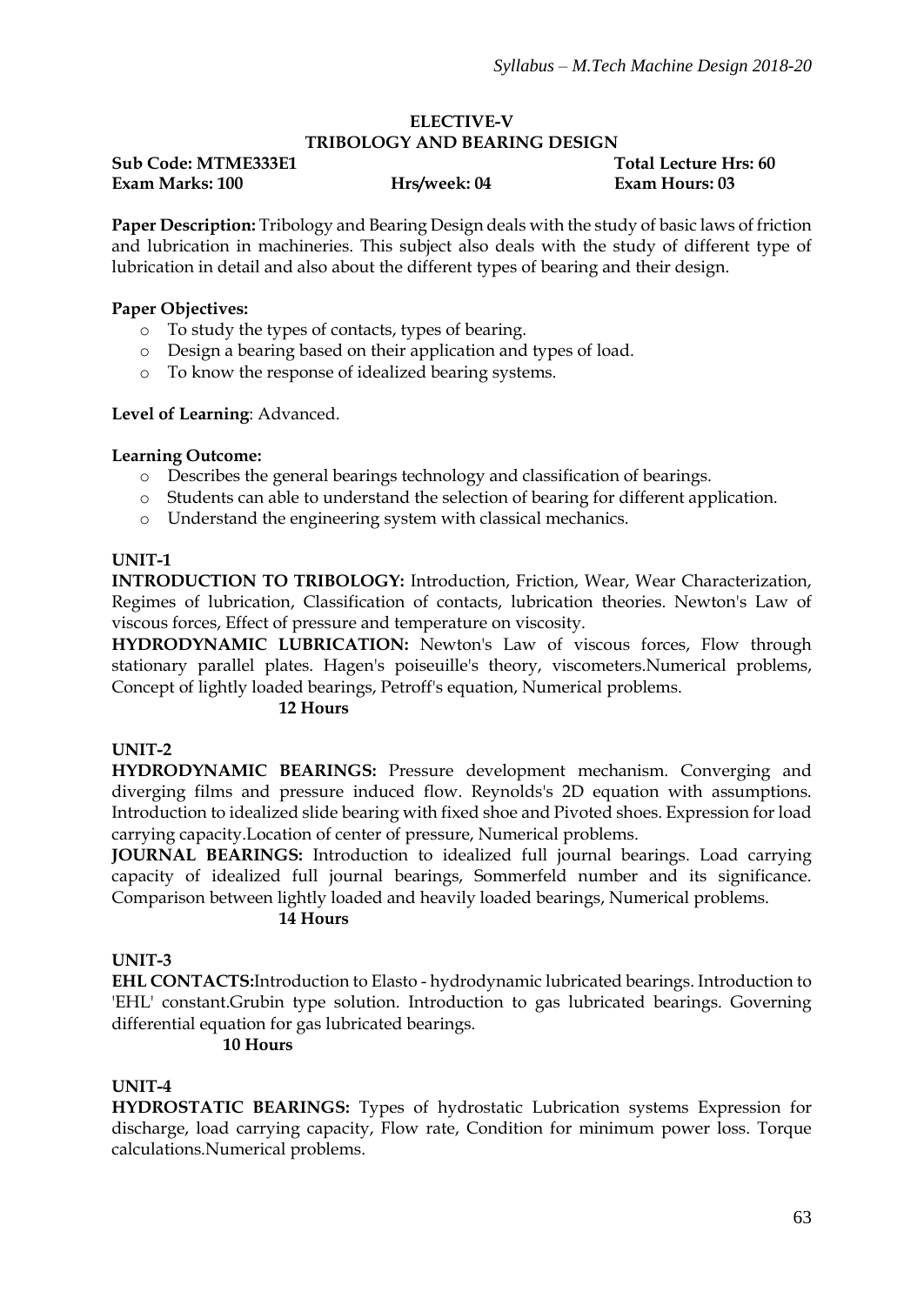#### **ELECTIVE-V TRIBOLOGY AND BEARING DESIGN**

## **Sub Code: MTME333E1 Total Lecture Hrs: 60 Exam Marks: 100 Hrs/week: 04 Exam Hours: 03**

**Paper Description:** Tribology and Bearing Design deals with the study of basic laws of friction and lubrication in machineries. This subject also deals with the study of different type of lubrication in detail and also about the different types of bearing and their design.

#### **Paper Objectives:**

- o To study the types of contacts, types of bearing.
- o Design a bearing based on their application and types of load.
- o To know the response of idealized bearing systems.

#### **Level of Learning**: Advanced.

#### **Learning Outcome:**

- o Describes the general bearings technology and classification of bearings.
- o Students can able to understand the selection of bearing for different application.
- o Understand the engineering system with classical mechanics.

#### **UNIT-1**

**INTRODUCTION TO TRIBOLOGY:** Introduction, Friction, Wear, Wear Characterization, Regimes of lubrication, Classification of contacts, lubrication theories. Newton's Law of viscous forces, Effect of pressure and temperature on viscosity.

**HYDRODYNAMIC LUBRICATION:** Newton's Law of viscous forces, Flow through stationary parallel plates. Hagen's poiseuille's theory, viscometers.Numerical problems, Concept of lightly loaded bearings, Petroff's equation, Numerical problems.

#### **12 Hours**

#### **UNIT-2**

**HYDRODYNAMIC BEARINGS:** Pressure development mechanism. Converging and diverging films and pressure induced flow. Reynolds's 2D equation with assumptions. Introduction to idealized slide bearing with fixed shoe and Pivoted shoes. Expression for load carrying capacity.Location of center of pressure, Numerical problems.

**JOURNAL BEARINGS:** Introduction to idealized full journal bearings. Load carrying capacity of idealized full journal bearings, Sommerfeld number and its significance. Comparison between lightly loaded and heavily loaded bearings, Numerical problems.

#### **14 Hours**

#### **UNIT-3**

**EHL CONTACTS:**Introduction to Elasto - hydrodynamic lubricated bearings. Introduction to 'EHL' constant.Grubin type solution. Introduction to gas lubricated bearings. Governing differential equation for gas lubricated bearings.

#### **10 Hours**

#### **UNIT-4**

**HYDROSTATIC BEARINGS:** Types of hydrostatic Lubrication systems Expression for discharge, load carrying capacity, Flow rate, Condition for minimum power loss. Torque calculations.Numerical problems.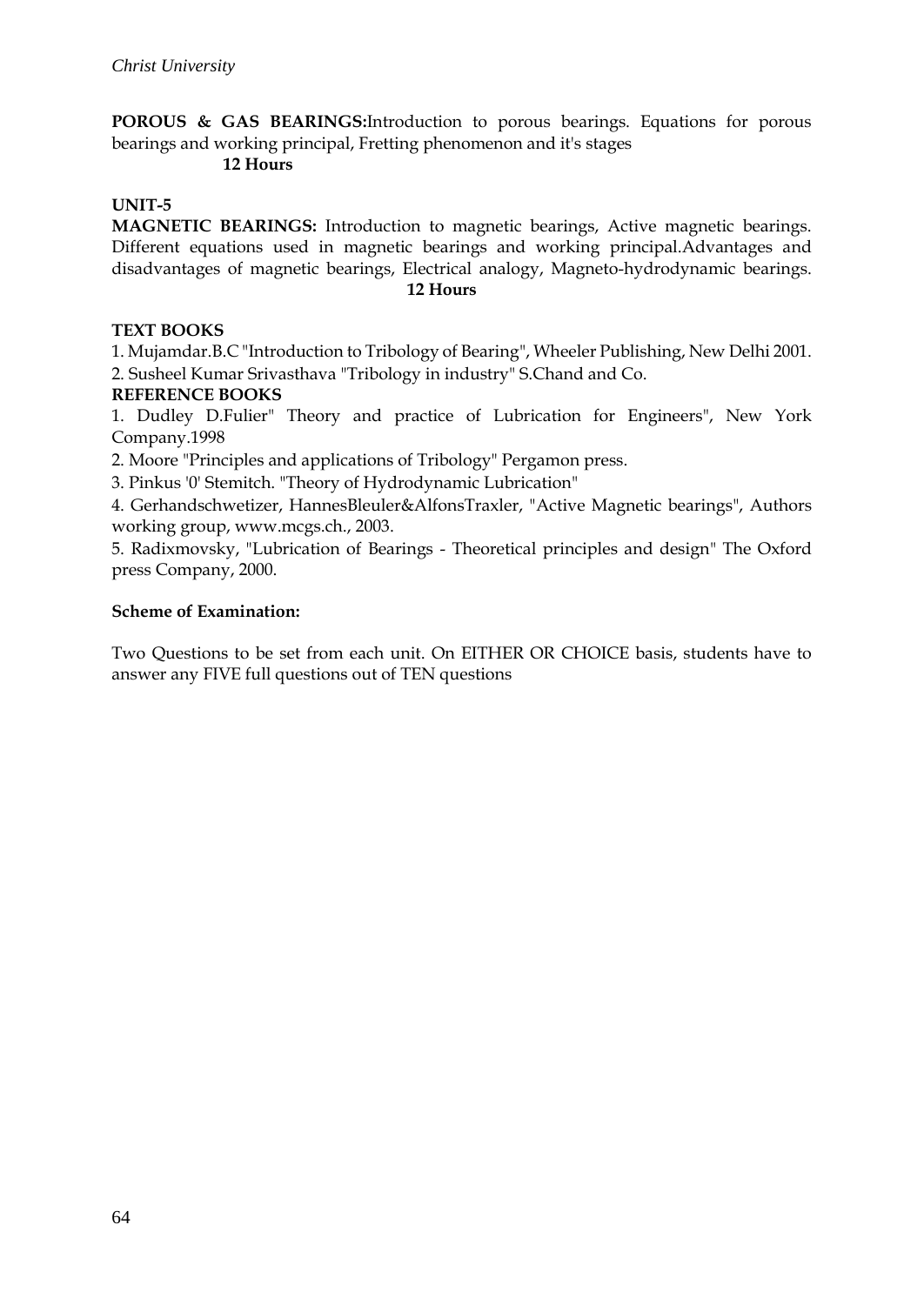**POROUS & GAS BEARINGS:**Introduction to porous bearings. Equations for porous bearings and working principal, Fretting phenomenon and it's stages

## **12 Hours**

## **UNIT-5**

**MAGNETIC BEARINGS:** Introduction to magnetic bearings, Active magnetic bearings. Different equations used in magnetic bearings and working principal.Advantages and disadvantages of magnetic bearings, Electrical analogy, Magneto-hydrodynamic bearings.

## **12 Hours**

## **TEXT BOOKS**

1. Mujamdar.B.C "Introduction to Tribology of Bearing", Wheeler Publishing, New Delhi 2001. 2. Susheel Kumar Srivasthava "Tribology in industry" S.Chand and Co.

## **REFERENCE BOOKS**

1. Dudley D.Fulier" Theory and practice of Lubrication for Engineers", New York Company.1998

2. Moore "Principles and applications of Tribology" Pergamon press.

3. Pinkus '0' Stemitch. "Theory of Hydrodynamic Lubrication"

4. Gerhandschwetizer, HannesBleuler&AlfonsTraxler, "Active Magnetic bearings", Authors working group, www.mcgs.ch., 2003.

5. Radixmovsky, "Lubrication of Bearings - Theoretical principles and design" The Oxford press Company, 2000.

#### **Scheme of Examination:**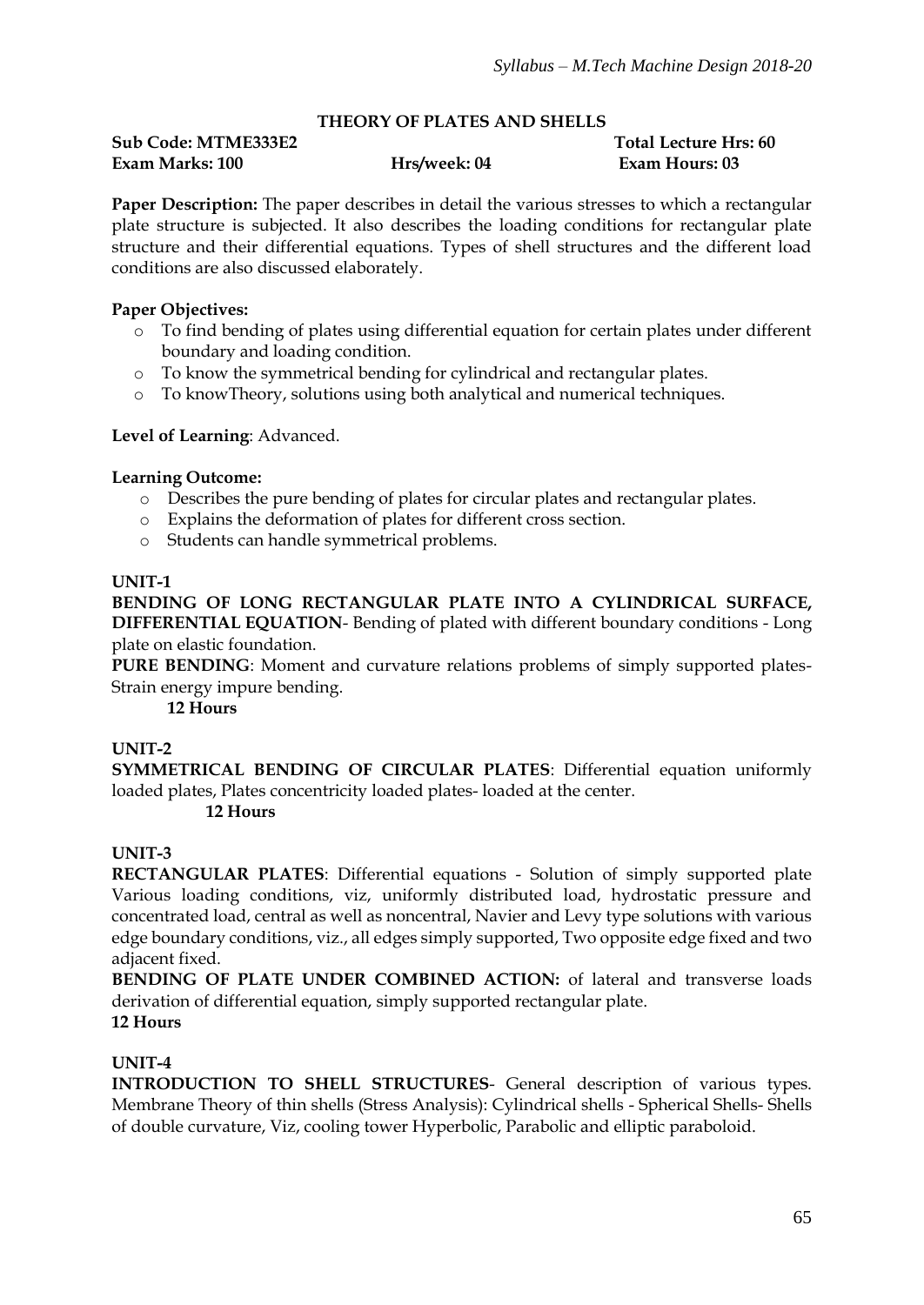#### **THEORY OF PLATES AND SHELLS**

#### **Sub Code: MTME333E2 Total Lecture Hrs: 60 Exam Marks: 100 Hrs/week: 04 Exam Hours: 03**

**Paper Description:** The paper describes in detail the various stresses to which a rectangular plate structure is subjected. It also describes the loading conditions for rectangular plate structure and their differential equations. Types of shell structures and the different load conditions are also discussed elaborately.

#### **Paper Objectives:**

- o To find bending of plates using differential equation for certain plates under different boundary and loading condition.
- o To know the symmetrical bending for cylindrical and rectangular plates.
- o To knowTheory, solutions using both analytical and numerical techniques.

#### **Level of Learning**: Advanced.

#### **Learning Outcome:**

- o Describes the pure bending of plates for circular plates and rectangular plates.
- o Explains the deformation of plates for different cross section.
- o Students can handle symmetrical problems.

#### **UNIT-1**

**BENDING OF LONG RECTANGULAR PLATE INTO A CYLINDRICAL SURFACE, DIFFERENTIAL EQUATION**- Bending of plated with different boundary conditions - Long plate on elastic foundation.

**PURE BENDING**: Moment and curvature relations problems of simply supported plates-Strain energy impure bending.

**12 Hours**

#### **UNIT-2**

**SYMMETRICAL BENDING OF CIRCULAR PLATES**: Differential equation uniformly loaded plates, Plates concentricity loaded plates- loaded at the center.

 **12 Hours**

#### **UNIT-3**

**RECTANGULAR PLATES**: Differential equations - Solution of simply supported plate Various loading conditions, viz, uniformly distributed load, hydrostatic pressure and concentrated load, central as well as noncentral, Navier and Levy type solutions with various edge boundary conditions, viz., all edges simply supported, Two opposite edge fixed and two adjacent fixed.

**BENDING OF PLATE UNDER COMBINED ACTION:** of lateral and transverse loads derivation of differential equation, simply supported rectangular plate.

## **12 Hours**

#### **UNIT-4**

**INTRODUCTION TO SHELL STRUCTURES**- General description of various types. Membrane Theory of thin shells (Stress Analysis): Cylindrical shells - Spherical Shells- Shells of double curvature, Viz, cooling tower Hyperbolic, Parabolic and elliptic paraboloid.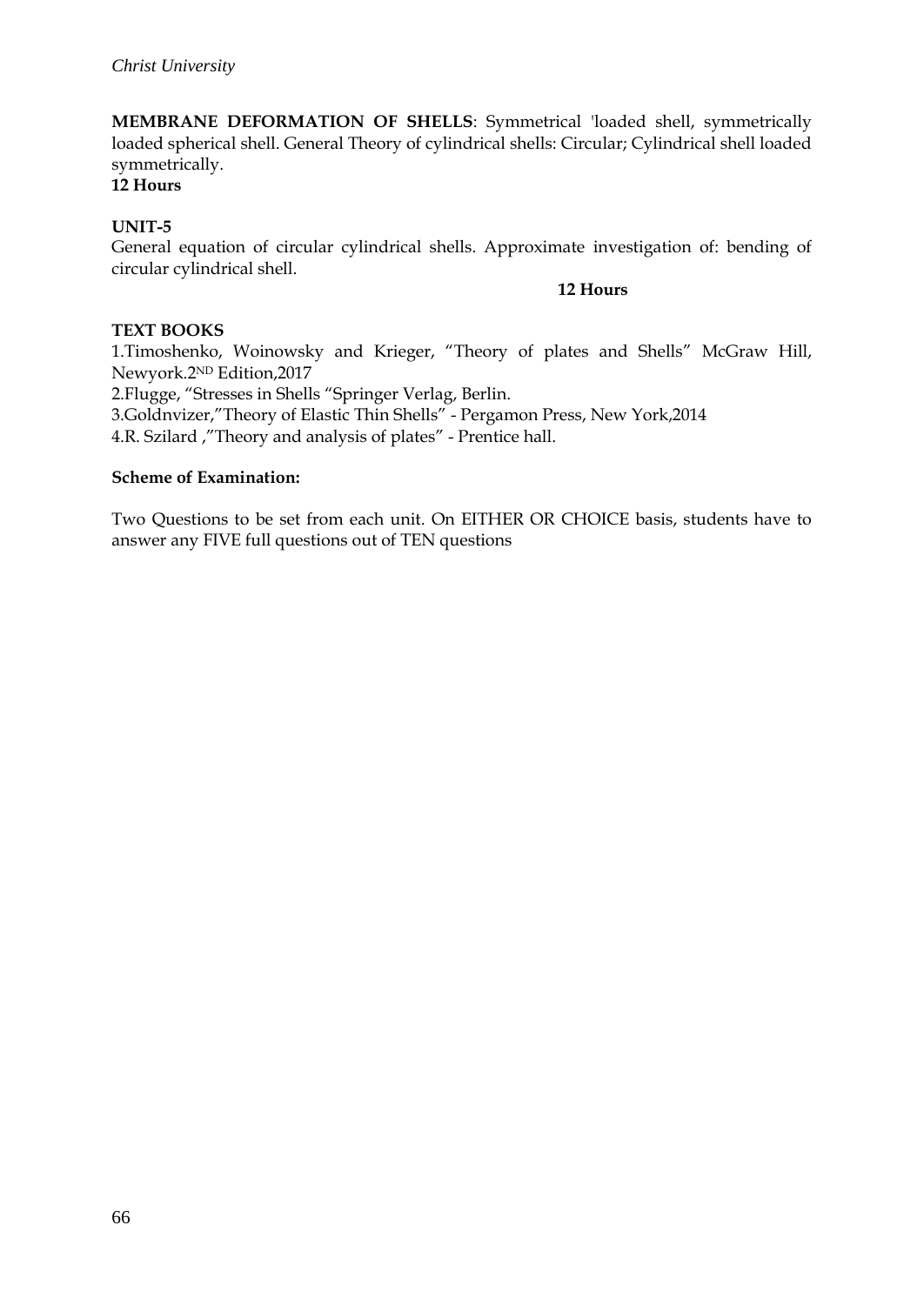**MEMBRANE DEFORMATION OF SHELLS**: Symmetrical 'loaded shell, symmetrically loaded spherical shell. General Theory of cylindrical shells: Circular; Cylindrical shell loaded symmetrically.

## **12 Hours**

## **UNIT-5**

General equation of circular cylindrical shells. Approximate investigation of: bending of circular cylindrical shell.

#### **12 Hours**

#### **TEXT BOOKS**

1.Timoshenko, Woinowsky and Krieger, "Theory of plates and Shells" McGraw Hill, Newyork.2ND Edition,2017

2.Flugge, "Stresses in Shells "Springer Verlag, Berlin.

3.Goldnvizer,"Theory of Elastic Thin Shells" - Pergamon Press, New York,2014

4.R. Szilard ,"Theory and analysis of plates" - Prentice hall.

#### **Scheme of Examination:**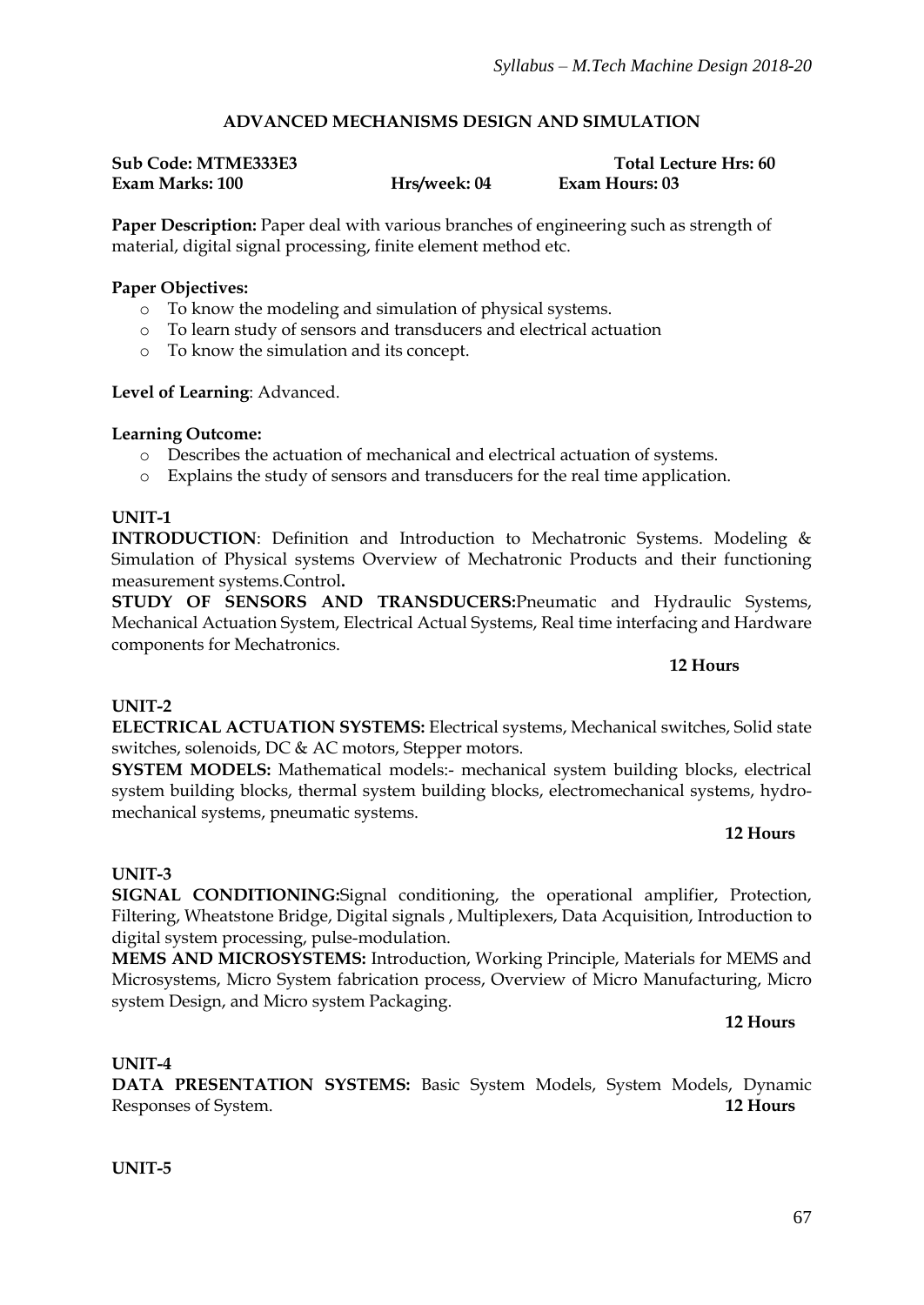# **ADVANCED MECHANISMS DESIGN AND SIMULATION**

| <b>Sub Code: MTME333E3</b> |              | Total Lecture Hrs: 60 |
|----------------------------|--------------|-----------------------|
| Exam Marks: 100            | Hrs/week: 04 | Exam Hours: 03        |

**Paper Description:** Paper deal with various branches of engineering such as strength of material, digital signal processing, finite element method etc.

# **Paper Objectives:**

- o To know the modeling and simulation of physical systems.
- o To learn study of sensors and transducers and electrical actuation
- o To know the simulation and its concept.

# **Level of Learning**: Advanced.

# **Learning Outcome:**

- o Describes the actuation of mechanical and electrical actuation of systems.
- o Explains the study of sensors and transducers for the real time application.

## **UNIT-1**

**INTRODUCTION**: Definition and Introduction to Mechatronic Systems. Modeling & Simulation of Physical systems Overview of Mechatronic Products and their functioning measurement systems.Control**.**

**STUDY OF SENSORS AND TRANSDUCERS:**Pneumatic and Hydraulic Systems, Mechanical Actuation System, Electrical Actual Systems, Real time interfacing and Hardware components for Mechatronics.

## **12 Hours**

## **UNIT-2**

**ELECTRICAL ACTUATION SYSTEMS:** Electrical systems, Mechanical switches, Solid state switches, solenoids, DC & AC motors, Stepper motors.

**SYSTEM MODELS:** Mathematical models:- mechanical system building blocks, electrical system building blocks, thermal system building blocks, electromechanical systems, hydromechanical systems, pneumatic systems.

## **12 Hours**

## **UNIT-3**

**SIGNAL CONDITIONING:**Signal conditioning, the operational amplifier, Protection, Filtering, Wheatstone Bridge, Digital signals , Multiplexers, Data Acquisition, Introduction to digital system processing, pulse-modulation.

**MEMS AND MICROSYSTEMS:** Introduction, Working Principle, Materials for MEMS and Microsystems, Micro System fabrication process, Overview of Micro Manufacturing, Micro system Design, and Micro system Packaging.

**12 Hours**

## **UNIT-4**

**DATA PRESENTATION SYSTEMS:** Basic System Models, System Models, Dynamic Responses of System. **12 Hours**

**UNIT-5**